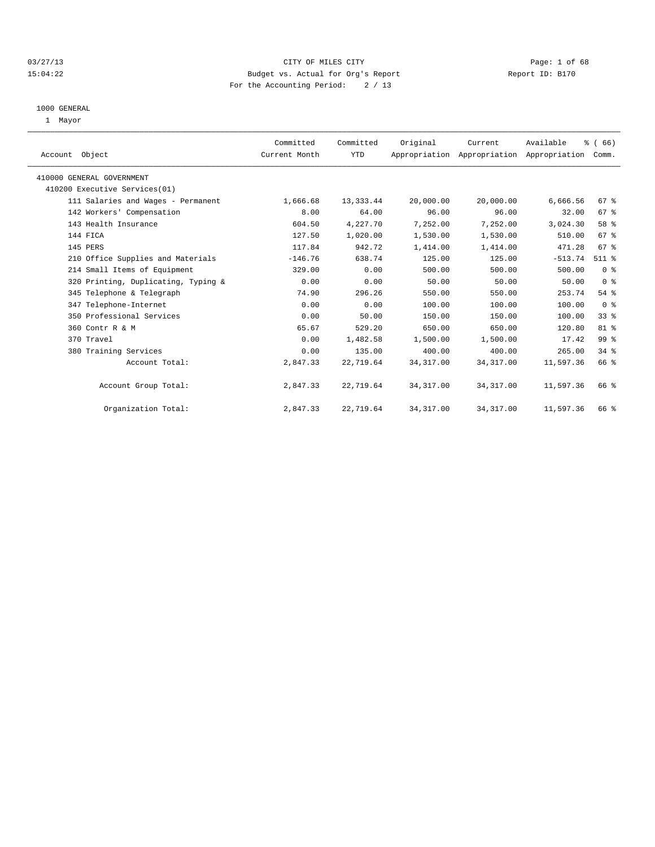#### 03/27/13 Page: 1 of 68 15:04:22 Budget vs. Actual for Org's Report Report ID: B170 For the Accounting Period: 2 / 13

#### 1000 GENERAL

1 Mayor

| Account Object                      | Committed<br>Current Month | Committed<br>YTD | Original   | Current<br>Appropriation Appropriation Appropriation | Available | % (66)<br>Comm. |  |
|-------------------------------------|----------------------------|------------------|------------|------------------------------------------------------|-----------|-----------------|--|
| 410000 GENERAL GOVERNMENT           |                            |                  |            |                                                      |           |                 |  |
| 410200 Executive Services(01)       |                            |                  |            |                                                      |           |                 |  |
| 111 Salaries and Wages - Permanent  | 1,666.68                   | 13, 333.44       | 20,000.00  | 20,000.00                                            | 6,666.56  | 67 %            |  |
| 142 Workers' Compensation           | 8.00                       | 64.00            | 96.00      | 96.00                                                | 32.00     | 67 %            |  |
| 143 Health Insurance                | 604.50                     | 4,227.70         | 7,252.00   | 7,252.00                                             | 3,024.30  | 58 %            |  |
| 144 FICA                            | 127.50                     | 1,020.00         | 1,530.00   | 1,530.00                                             | 510.00    | 67 %            |  |
| 145 PERS                            | 117.84                     | 942.72           | 1,414.00   | 1,414.00                                             | 471.28    | 67 <sup>8</sup> |  |
| 210 Office Supplies and Materials   | $-146.76$                  | 638.74           | 125.00     | 125.00                                               | $-513.74$ | $511$ $%$       |  |
| 214 Small Items of Equipment        | 329.00                     | 0.00             | 500.00     | 500.00                                               | 500.00    | 0 <sup>8</sup>  |  |
| 320 Printing, Duplicating, Typing & | 0.00                       | 0.00             | 50.00      | 50.00                                                | 50.00     | 0 <sup>8</sup>  |  |
| 345 Telephone & Telegraph           | 74.90                      | 296.26           | 550.00     | 550.00                                               | 253.74    | 54%             |  |
| 347 Telephone-Internet              | 0.00                       | 0.00             | 100.00     | 100.00                                               | 100.00    | 0 <sup>8</sup>  |  |
| 350 Professional Services           | 0.00                       | 50.00            | 150.00     | 150.00                                               | 100.00    | $33$ $%$        |  |
| 360 Contr R & M                     | 65.67                      | 529.20           | 650.00     | 650.00                                               | 120.80    | 81 %            |  |
| 370 Travel                          | 0.00                       | 1,482.58         | 1,500.00   | 1,500.00                                             | 17.42     | 99 %            |  |
| 380 Training Services               | 0.00                       | 135.00           | 400.00     | 400.00                                               | 265.00    | 34.8            |  |
| Account Total:                      | 2,847.33                   | 22,719.64        | 34, 317.00 | 34, 317.00                                           | 11,597.36 | 66 %            |  |
| Account Group Total:                | 2,847.33                   | 22,719.64        | 34, 317.00 | 34, 317.00                                           | 11,597.36 | 66 %            |  |
| Organization Total:                 | 2,847.33                   | 22,719.64        | 34, 317.00 | 34, 317.00                                           | 11,597.36 | 66 %            |  |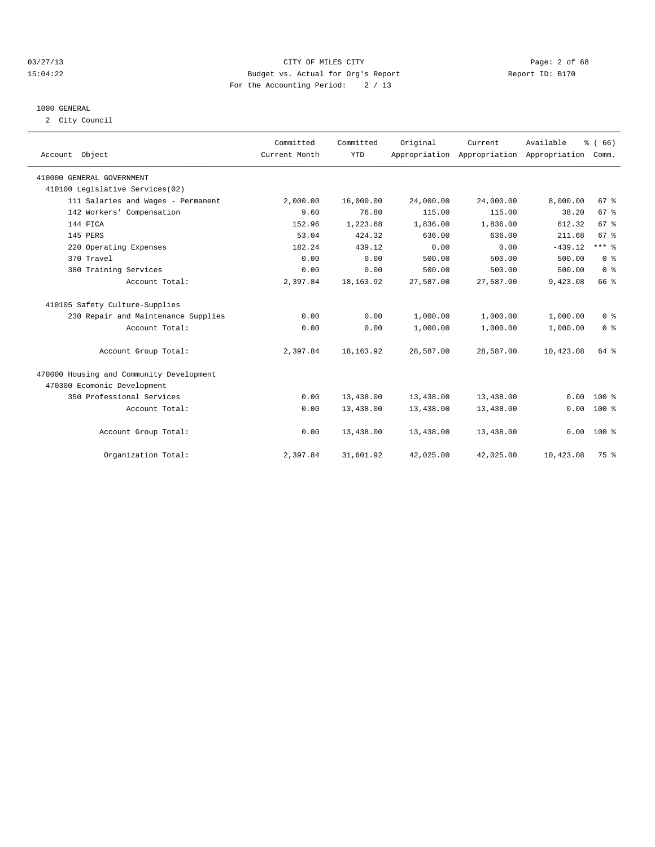#### 03/27/13 Page: 2 of 68 15:04:22 Budget vs. Actual for Org's Report Report ID: B170 For the Accounting Period: 2 / 13

#### 1000 GENERAL

2 City Council

| Account Object                           | Committed<br>Current Month | Committed<br><b>YTD</b> | Original  | Current<br>Appropriation Appropriation Appropriation | Available | % (66)<br>Comm. |  |
|------------------------------------------|----------------------------|-------------------------|-----------|------------------------------------------------------|-----------|-----------------|--|
| 410000 GENERAL GOVERNMENT                |                            |                         |           |                                                      |           |                 |  |
| 410100 Legislative Services(02)          |                            |                         |           |                                                      |           |                 |  |
| 111 Salaries and Wages - Permanent       | 2,000.00                   | 16,000.00               | 24,000.00 | 24,000.00                                            | 8,000.00  | 67 %            |  |
| 142 Workers' Compensation                | 9.60                       | 76.80                   | 115.00    | 115.00                                               | 38.20     | 67%             |  |
| 144 FICA                                 | 152.96                     | 1,223.68                | 1,836.00  | 1,836.00                                             | 612.32    | 67 <sup>8</sup> |  |
| 145 PERS                                 | 53.04                      | 424.32                  | 636.00    | 636.00                                               | 211.68    | 67 <sup>8</sup> |  |
| 220 Operating Expenses                   | 182.24                     | 439.12                  | 0.00      | 0.00                                                 | $-439.12$ | $***$ $%$       |  |
| 370 Travel                               | 0.00                       | 0.00                    | 500.00    | 500.00                                               | 500.00    | 0 <sup>8</sup>  |  |
| 380 Training Services                    | 0.00                       | 0.00                    | 500.00    | 500.00                                               | 500.00    | 0 <sup>8</sup>  |  |
| Account Total:                           | 2,397.84                   | 18, 163. 92             | 27,587.00 | 27,587.00                                            | 9,423.08  | 66 %            |  |
| 410105 Safety Culture-Supplies           |                            |                         |           |                                                      |           |                 |  |
| 230 Repair and Maintenance Supplies      | 0.00                       | 0.00                    | 1,000.00  | 1,000.00                                             | 1,000.00  | 0 <sup>8</sup>  |  |
| Account Total:                           | 0.00                       | 0.00                    | 1,000.00  | 1,000.00                                             | 1,000.00  | 0 <sup>8</sup>  |  |
| Account Group Total:                     | 2,397.84                   | 18, 163. 92             | 28,587.00 | 28,587.00                                            | 10,423.08 | 64 %            |  |
| 470000 Housing and Community Development |                            |                         |           |                                                      |           |                 |  |
| 470300 Ecomonic Development              |                            |                         |           |                                                      |           |                 |  |
| 350 Professional Services                | 0.00                       | 13,438.00               | 13,438.00 | 13,438.00                                            | 0.00      | $100*$          |  |
| Account Total:                           | 0.00                       | 13,438.00               | 13,438.00 | 13,438.00                                            | 0.00      | 100 %           |  |
| Account Group Total:                     | 0.00                       | 13,438.00               | 13,438.00 | 13,438.00                                            | 0.00      | $100*$          |  |
| Organization Total:                      | 2,397.84                   | 31,601.92               | 42,025.00 | 42,025.00                                            | 10,423.08 | 75 %            |  |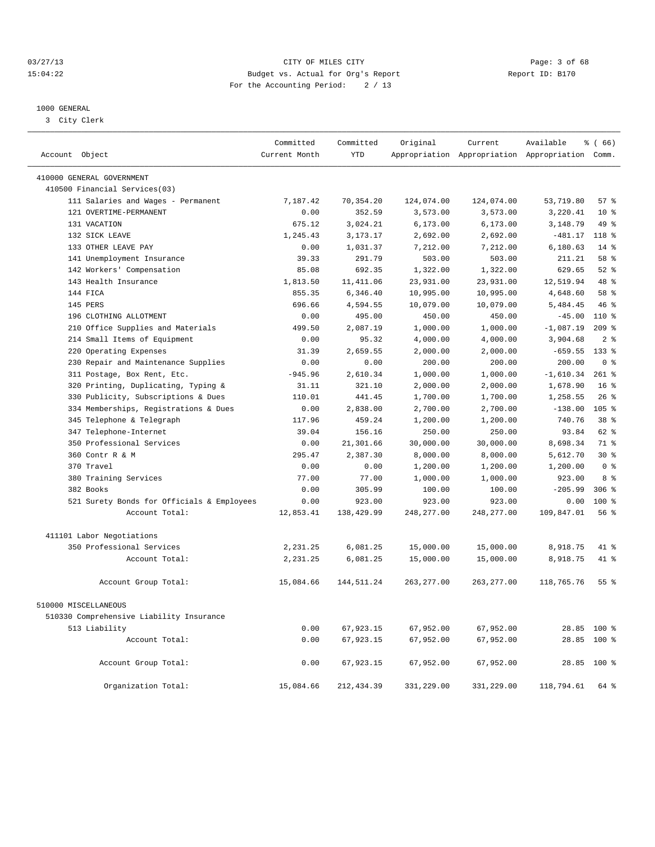#### 03/27/13 Page: 3 of 68 15:04:22 Budget vs. Actual for Org's Report Report ID: B170 For the Accounting Period: 2 / 13

#### 1000 GENERAL

3 City Clerk

| Account Object                             | Committed<br>Current Month | Committed<br><b>YTD</b> | Original               | Current     | Available<br>Appropriation Appropriation Appropriation Comm. | % (66)                     |
|--------------------------------------------|----------------------------|-------------------------|------------------------|-------------|--------------------------------------------------------------|----------------------------|
|                                            |                            |                         |                        |             |                                                              |                            |
| 410000 GENERAL GOVERNMENT                  |                            |                         |                        |             |                                                              |                            |
| 410500 Financial Services(03)              |                            |                         |                        |             |                                                              |                            |
| 111 Salaries and Wages - Permanent         | 7.187.42                   | 70,354.20               | 124,074.00             | 124,074.00  | 53,719.80                                                    | 57%                        |
| 121 OVERTIME-PERMANENT                     | 0.00                       | 352.59                  | 3,573.00               | 3,573.00    | 3,220.41                                                     | $10*$                      |
| 131 VACATION                               | 675.12                     | 3,024.21                | 6,173.00               | 6, 173.00   | 3,148.79                                                     | 49 %                       |
| 132 SICK LEAVE                             | 1,245.43                   | 3, 173. 17              | 2,692.00               | 2,692.00    | $-481.17$                                                    | 118 <sup>8</sup>           |
| 133 OTHER LEAVE PAY                        | 0.00                       | 1,031.37                | 7,212.00               | 7,212.00    | 6,180.63                                                     | $14*$                      |
| 141 Unemployment Insurance                 | 39.33                      | 291.79                  | 503.00                 | 503.00      | 211.21                                                       | 58 %                       |
| 142 Workers' Compensation                  | 85.08                      | 692.35                  | 1,322.00               | 1,322.00    | 629.65                                                       | $52$ $%$                   |
| 143 Health Insurance                       | 1,813.50                   | 11, 411.06              | 23,931.00              | 23,931.00   | 12,519.94                                                    | $48*$                      |
| 144 FICA                                   | 855.35                     | 6,346.40                | 10,995.00              | 10,995.00   | 4,648.60                                                     | 58 <sup>8</sup>            |
| 145 PERS                                   | 696.66                     | 4,594.55                | 10,079.00              | 10,079.00   | 5,484.45                                                     | $46*$                      |
| 196 CLOTHING ALLOTMENT                     | 0.00                       | 495.00                  | 450.00                 | 450.00      | $-45.00$                                                     | $110*$                     |
| 210 Office Supplies and Materials          | 499.50                     | 2,087.19                | 1,000.00               | 1,000.00    | $-1,087.19$                                                  | $209$ %                    |
| 214 Small Items of Equipment               | 0.00                       | 95.32                   | 4,000.00               | 4,000.00    | 3,904.68                                                     | 2 <sup>8</sup>             |
| Operating Expenses<br>220                  | 31.39                      | 2,659.55                | 2,000.00               | 2.000.00    | $-659.55$                                                    | $133*$                     |
| 230 Repair and Maintenance Supplies        | 0.00                       | 0.00                    | 200.00                 | 200.00      | 200.00                                                       | 0 <sup>8</sup>             |
| 311 Postage, Box Rent, Etc.                | $-945.96$                  | 2,610.34                | 1,000.00               | 1,000.00    | $-1,610.34$                                                  | $261$ %                    |
| 320 Printing, Duplicating, Typing &        | 31.11                      | 321.10                  | 2,000.00               | 2,000.00    | 1,678.90                                                     | 16 <sup>8</sup>            |
| Publicity, Subscriptions & Dues<br>330     | 110.01                     | 441.45                  | 1,700.00               | 1,700.00    | 1,258.55                                                     | $26$ %                     |
| 334 Memberships, Registrations & Dues      | 0.00                       | 2,838.00                | 2,700.00               | 2,700.00    | $-138.00$                                                    | 105 <sub>8</sub>           |
| 345 Telephone & Telegraph                  | 117.96                     | 459.24                  | 1,200.00               | 1,200.00    | 740.76                                                       | $38*$                      |
| 347 Telephone-Internet                     | 39.04                      | 156.16                  | 250.00                 | 250.00      | 93.84                                                        | 62 %                       |
| 350 Professional Services                  | 0.00                       | 21,301.66               | 30,000.00              | 30,000.00   | 8,698.34                                                     | 71 %                       |
| 360 Contr R & M                            | 295.47                     | 2,387.30                | 8,000.00               | 8,000.00    | 5,612.70                                                     | $30*$                      |
| 370 Travel                                 | 0.00                       | 0.00                    | 1,200.00               | 1,200.00    | 1,200.00                                                     | 0 <sup>8</sup>             |
| 380 Training Services                      | 77.00                      | 77.00                   | 1,000.00               | 1,000.00    | 923.00                                                       | 8 %                        |
| 382 Books                                  | 0.00                       | 305.99                  | 100.00                 | 100.00      | $-205.99$                                                    | 306 <sup>8</sup>           |
| 521 Surety Bonds for Officials & Employees | 0.00                       | 923.00                  | 923.00                 | 923.00      | 0.00                                                         | $100$ %                    |
| Account Total:                             | 12,853.41                  | 138,429.99              | 248, 277.00            | 248, 277.00 | 109,847.01                                                   | 56%                        |
|                                            |                            |                         |                        |             |                                                              |                            |
| 411101 Labor Negotiations                  |                            |                         |                        |             |                                                              |                            |
| 350 Professional Services                  | 2,231.25                   | 6,081.25                | 15,000.00              | 15,000.00   | 8,918.75                                                     | 41 %                       |
| Account Total:                             | 2,231.25                   | 6,081.25                | 15,000.00              | 15,000.00   | 8,918.75                                                     | 41 %                       |
| Account Group Total:                       | 15,084.66                  | 144,511.24              | 263,277.00             | 263,277.00  | 118,765.76                                                   | 55 <sup>8</sup>            |
| 510000 MISCELLANEOUS                       |                            |                         |                        |             |                                                              |                            |
| 510330 Comprehensive Liability Insurance   |                            |                         |                        |             |                                                              |                            |
| 513 Liability                              |                            |                         |                        | 67,952.00   |                                                              |                            |
| Account Total:                             | 0.00<br>0.00               | 67,923.15<br>67,923.15  | 67,952.00<br>67,952.00 | 67,952.00   |                                                              | 28.85 100 %<br>28.85 100 % |
|                                            |                            |                         |                        |             |                                                              |                            |
| Account Group Total:                       | 0.00                       | 67,923.15               | 67,952.00              | 67,952.00   |                                                              | 28.85 100 %                |
| Organization Total:                        | 15,084.66                  | 212, 434.39             | 331,229.00             | 331,229.00  | 118,794.61                                                   | 64 %                       |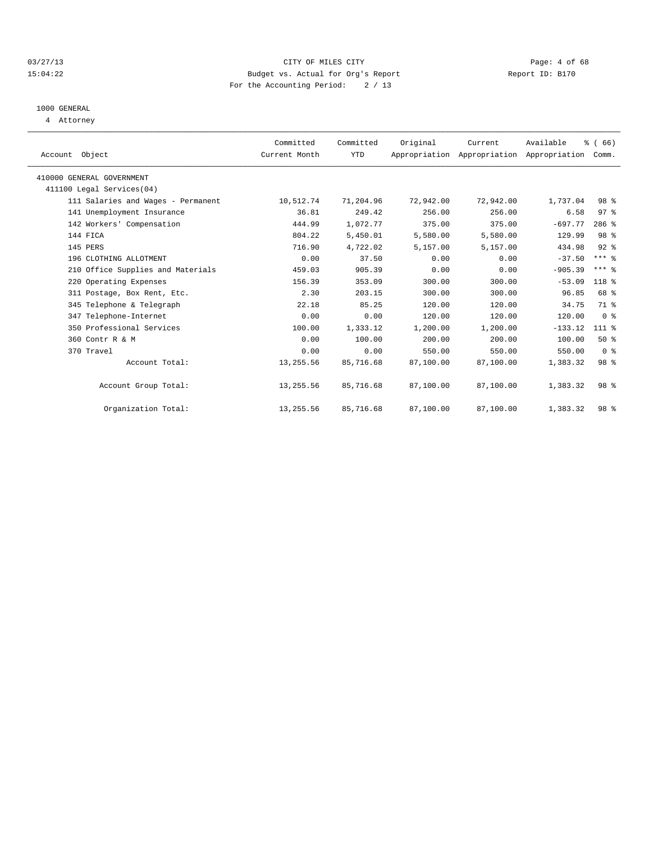#### 03/27/13 Page: 4 of 68 15:04:22 Budget vs. Actual for Org's Report Report ID: B170 For the Accounting Period: 2 / 13

## 1000 GENERAL

4 Attorney

| Account Object                     | Committed<br>Current Month | Committed<br>YTD | Original  | Current   | Available<br>Appropriation Appropriation Appropriation | % (66)<br>Comm.  |  |
|------------------------------------|----------------------------|------------------|-----------|-----------|--------------------------------------------------------|------------------|--|
| 410000 GENERAL GOVERNMENT          |                            |                  |           |           |                                                        |                  |  |
| 411100 Legal Services(04)          |                            |                  |           |           |                                                        |                  |  |
| 111 Salaries and Wages - Permanent | 10,512.74                  | 71,204.96        | 72,942.00 | 72,942.00 | 1,737.04                                               | 98 %             |  |
| 141 Unemployment Insurance         | 36.81                      | 249.42           | 256.00    | 256.00    | 6.58                                                   | 97%              |  |
| 142 Workers' Compensation          | 444.99                     | 1,072.77         | 375.00    | 375.00    | $-697.77$                                              | $286$ %          |  |
| 144 FICA                           | 804.22                     | 5,450.01         | 5,580.00  | 5,580.00  | 129.99                                                 | 98 <sup>8</sup>  |  |
| 145 PERS                           | 716.90                     | 4,722.02         | 5,157.00  | 5,157.00  | 434.98                                                 | $92$ $%$         |  |
| 196 CLOTHING ALLOTMENT             | 0.00                       | 37.50            | 0.00      | 0.00      | $-37.50$                                               | $***$ $-$        |  |
| 210 Office Supplies and Materials  | 459.03                     | 905.39           | 0.00      | 0.00      | $-905.39$                                              | $***$ $%$        |  |
| 220 Operating Expenses             | 156.39                     | 353.09           | 300.00    | 300.00    | $-53.09$                                               | 118 <sup>8</sup> |  |
| 311 Postage, Box Rent, Etc.        | 2.30                       | 203.15           | 300.00    | 300.00    | 96.85                                                  | 68 %             |  |
| 345 Telephone & Telegraph          | 22.18                      | 85.25            | 120.00    | 120.00    | 34.75                                                  | 71 %             |  |
| 347 Telephone-Internet             | 0.00                       | 0.00             | 120.00    | 120.00    | 120.00                                                 | 0 <sup>8</sup>   |  |
| 350 Professional Services          | 100.00                     | 1,333.12         | 1,200.00  | 1,200.00  | $-133.12$                                              | 111 %            |  |
| 360 Contr R & M                    | 0.00                       | 100.00           | 200.00    | 200.00    | 100.00                                                 | 50%              |  |
| 370 Travel                         | 0.00                       | 0.00             | 550.00    | 550.00    | 550.00                                                 | 0 <sup>8</sup>   |  |
| Account Total:                     | 13,255.56                  | 85,716.68        | 87,100.00 | 87,100.00 | 1,383.32                                               | 98 %             |  |
|                                    |                            |                  |           |           |                                                        |                  |  |
| Account Group Total:               | 13,255.56                  | 85,716.68        | 87,100.00 | 87,100.00 | 1,383.32                                               | 98 %             |  |
| Organization Total:                | 13,255.56                  | 85,716.68        | 87,100.00 | 87,100.00 | 1,383.32                                               | 98 %             |  |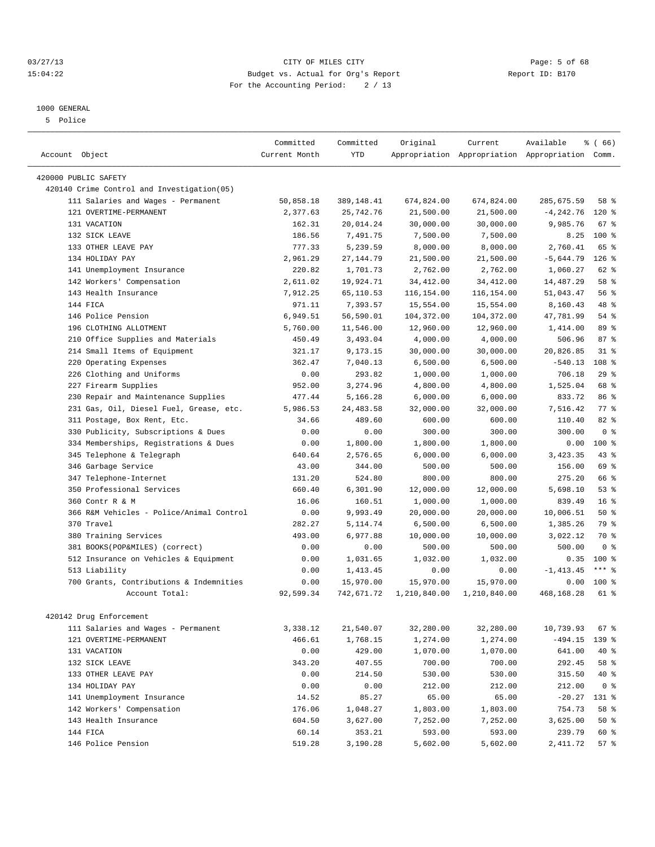#### 03/27/13 Page: 5 of 68 15:04:22 Budget vs. Actual for Org's Report Report ID: B170 For the Accounting Period: 2 / 13

#### 1000 GENERAL

5 Police

| Account Object                             | Committed<br>Current Month | Committed<br><b>YTD</b> | Original     | Current      | Available<br>Appropriation Appropriation Appropriation Comm. | % (66)           |
|--------------------------------------------|----------------------------|-------------------------|--------------|--------------|--------------------------------------------------------------|------------------|
|                                            |                            |                         |              |              |                                                              |                  |
| 420000 PUBLIC SAFETY                       |                            |                         |              |              |                                                              |                  |
| 420140 Crime Control and Investigation(05) |                            |                         |              |              |                                                              |                  |
| 111 Salaries and Wages - Permanent         | 50,858.18                  | 389,148.41              | 674,824.00   | 674,824.00   | 285,675.59                                                   | 58 %             |
| 121 OVERTIME-PERMANENT                     | 2,377.63                   | 25,742.76               | 21,500.00    | 21,500.00    | $-4, 242.76$                                                 | $120$ %          |
| 131 VACATION                               | 162.31                     | 20,014.24               | 30,000.00    | 30,000.00    | 9,985.76                                                     | 67 <sup>8</sup>  |
| 132 SICK LEAVE                             | 186.56                     | 7.491.75                | 7,500.00     | 7,500.00     | 8.25                                                         | $100*$           |
| 133 OTHER LEAVE PAY                        | 777.33                     | 5,239.59                | 8,000.00     | 8,000.00     | 2,760.41                                                     | 65 %             |
| 134 HOLIDAY PAY                            | 2,961.29                   | 27, 144.79              | 21,500.00    | 21,500.00    | $-5,644.79$                                                  | $126$ %          |
| 141 Unemployment Insurance                 | 220.82                     | 1,701.73                | 2,762.00     | 2,762.00     | 1,060.27                                                     | 62 %             |
| 142 Workers' Compensation                  | 2,611.02                   | 19,924.71               | 34, 412.00   | 34, 412.00   | 14,487.29                                                    | 58 %             |
| 143 Health Insurance                       | 7,912.25                   | 65,110.53               | 116,154.00   | 116,154.00   | 51,043.47                                                    | 56%              |
| 144 FICA                                   | 971.11                     | 7,393.57                | 15,554.00    | 15,554.00    | 8,160.43                                                     | 48 %             |
| 146 Police Pension                         | 6,949.51                   | 56,590.01               | 104,372.00   | 104,372.00   | 47,781.99                                                    | 54 %             |
| 196 CLOTHING ALLOTMENT                     | 5,760.00                   | 11,546.00               | 12,960.00    | 12,960.00    | 1,414.00                                                     | 89 %             |
| Office Supplies and Materials<br>210       | 450.49                     | 3,493.04                | 4,000.00     | 4,000.00     | 506.96                                                       | 87%              |
| 214 Small Items of Equipment               | 321.17                     | 9, 173, 15              | 30,000.00    | 30,000.00    | 20,826.85                                                    | 31.8             |
| 220 Operating Expenses                     | 362.47                     | 7,040.13                | 6,500.00     | 6,500.00     | $-540.13$                                                    | 108 <sup>8</sup> |
| 226 Clothing and Uniforms                  | 0.00                       | 293.82                  | 1,000.00     | 1,000.00     | 706.18                                                       | 29%              |
| 227 Firearm Supplies                       | 952.00                     | 3,274.96                | 4,800.00     | 4,800.00     | 1,525.04                                                     | 68 %             |
| Repair and Maintenance Supplies<br>230     | 477.44                     | 5,166.28                | 6,000.00     | 6,000.00     | 833.72                                                       | 86 %             |
| 231 Gas, Oil, Diesel Fuel, Grease, etc.    | 5,986.53                   | 24, 483.58              | 32,000.00    | 32,000.00    | 7,516.42                                                     | 77.8             |
| 311 Postage, Box Rent, Etc.                | 34.66                      | 489.60                  | 600.00       | 600.00       | 110.40                                                       | $82*$            |
| 330 Publicity, Subscriptions & Dues        | 0.00                       | 0.00                    | 300.00       | 300.00       | 300.00                                                       | 0 <sup>8</sup>   |
| 334 Memberships, Registrations & Dues      | 0.00                       | 1,800.00                | 1,800.00     | 1,800.00     | 0.00                                                         | 100 %            |
| Telephone & Telegraph<br>345               | 640.64                     | 2,576.65                | 6,000.00     | 6,000.00     | 3, 423.35                                                    | 43 %             |
| 346 Garbage Service                        | 43.00                      | 344.00                  | 500.00       | 500.00       | 156.00                                                       | 69 %             |
| 347 Telephone-Internet                     | 131.20                     | 524.80                  | 800.00       | 800.00       | 275.20                                                       | 66 %             |
| 350 Professional Services                  | 660.40                     | 6,301.90                | 12,000.00    | 12,000.00    | 5,698.10                                                     | 53%              |
| 360 Contr R & M                            | 16.06                      | 160.51                  | 1,000.00     | 1,000.00     | 839.49                                                       | 16 <sup>°</sup>  |
| 366 R&M Vehicles - Police/Animal Control   | 0.00                       | 9,993.49                | 20,000.00    | 20,000.00    | 10,006.51                                                    | $50*$            |
| 370 Travel                                 | 282.27                     | 5, 114.74               | 6,500.00     | 6,500.00     | 1,385.26                                                     | 79 %             |
| 380 Training Services                      | 493.00                     | 6,977.88                | 10,000.00    | 10,000.00    | 3,022.12                                                     | 70 %             |
| 381 BOOKS(POP&MILES) (correct)             | 0.00                       | 0.00                    | 500.00       | 500.00       | 500.00                                                       | 0 <sup>8</sup>   |
| 512 Insurance on Vehicles & Equipment      | 0.00                       | 1,031.65                | 1,032.00     | 1,032.00     | 0.35                                                         | 100 %            |
| 513 Liability                              | 0.00                       | 1,413.45                | 0.00         | 0.00         | $-1, 413.45$                                                 | $***$ 8          |
| 700 Grants, Contributions & Indemnities    | 0.00                       | 15,970.00               | 15,970.00    | 15,970.00    | 0.00                                                         | $100*$           |
| Account Total:                             | 92,599.34                  | 742,671.72              | 1,210,840.00 | 1,210,840.00 | 468,168.28                                                   | 61 %             |
|                                            |                            |                         |              |              |                                                              |                  |
| 420142 Drug Enforcement                    |                            |                         |              |              |                                                              |                  |
| 111 Salaries and Wages - Permanent         | 3,338.12                   | 21,540.07               | 32,280.00    | 32,280.00    | 10,739.93                                                    | 67%              |
| 121 OVERTIME-PERMANENT                     | 466.61                     | 1,768.15                | 1,274.00     | 1,274.00     | $-494.15$                                                    | 139 %            |
| 131 VACATION                               | 0.00                       | 429.00                  | 1,070.00     | 1,070.00     | 641.00                                                       | 40 %             |
| 132 SICK LEAVE                             | 343.20                     | 407.55                  | 700.00       | 700.00       | 292.45                                                       | 58 %             |
| 133 OTHER LEAVE PAY                        | 0.00                       | 214.50                  | 530.00       | 530.00       | 315.50                                                       | 40 %             |
| 134 HOLIDAY PAY                            | 0.00                       | 0.00                    | 212.00       | 212.00       | 212.00                                                       | 0 <sup>8</sup>   |
| 141 Unemployment Insurance                 | 14.52                      | 85.27                   | 65.00        | 65.00        | $-20.27$                                                     | 131 %            |
| 142 Workers' Compensation                  | 176.06                     | 1,048.27                | 1,803.00     | 1,803.00     | 754.73                                                       | 58 %             |
| 143 Health Insurance                       | 604.50                     | 3,627.00                | 7,252.00     | 7,252.00     | 3,625.00                                                     | 50 %             |
| 144 FICA                                   | 60.14                      | 353.21                  | 593.00       | 593.00       | 239.79                                                       | 60 %             |
| 146 Police Pension                         | 519.28                     | 3,190.28                | 5,602.00     | 5,602.00     | 2,411.72                                                     | 57%              |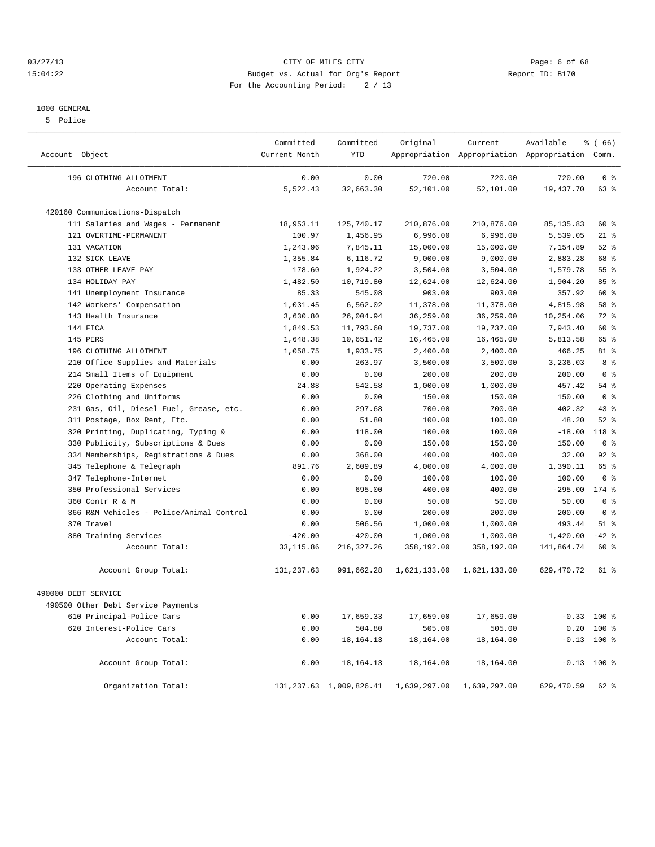#### 03/27/13 Page: 6 of 68 15:04:22 Budget vs. Actual for Org's Report Report ID: B170 For the Accounting Period: 2 / 13

#### 1000 GENERAL

5 Police

| Account Object                           | Committed<br>Current Month | Committed<br><b>YTD</b>    | Original     | Current      | Available<br>Appropriation Appropriation Appropriation Comm. | % (66)         |
|------------------------------------------|----------------------------|----------------------------|--------------|--------------|--------------------------------------------------------------|----------------|
| 196 CLOTHING ALLOTMENT                   | 0.00                       | 0.00                       | 720.00       | 720.00       | 720.00                                                       | 0 <sup>8</sup> |
| Account Total:                           | 5,522.43                   | 32,663.30                  | 52,101.00    | 52,101.00    | 19,437.70                                                    | $63$ $%$       |
| 420160 Communications-Dispatch           |                            |                            |              |              |                                                              |                |
| 111 Salaries and Wages - Permanent       | 18,953.11                  | 125,740.17                 | 210,876.00   | 210,876.00   | 85, 135.83                                                   | 60 %           |
| 121 OVERTIME-PERMANENT                   | 100.97                     | 1,456.95                   | 6,996.00     | 6,996.00     | 5,539.05                                                     | $21$ %         |
| 131 VACATION                             | 1,243.96                   | 7,845.11                   | 15,000.00    | 15,000.00    | 7,154.89                                                     | $52$ $%$       |
| 132 SICK LEAVE                           | 1,355.84                   | 6,116.72                   | 9,000.00     | 9,000.00     | 2,883.28                                                     | 68 %           |
| 133 OTHER LEAVE PAY                      | 178.60                     | 1,924.22                   | 3,504.00     | 3,504.00     | 1,579.78                                                     | 55%            |
| 134 HOLIDAY PAY                          | 1,482.50                   | 10,719.80                  | 12,624.00    | 12,624.00    | 1,904.20                                                     | 85%            |
| 141 Unemployment Insurance               | 85.33                      | 545.08                     | 903.00       | 903.00       | 357.92                                                       | 60 %           |
| 142 Workers' Compensation                | 1,031.45                   | 6,562.02                   | 11,378.00    | 11,378.00    | 4,815.98                                                     | 58 %           |
| 143 Health Insurance                     | 3,630.80                   | 26,004.94                  | 36,259.00    | 36,259.00    | 10,254.06                                                    | 72 %           |
| 144 FICA                                 | 1,849.53                   | 11,793.60                  | 19,737.00    | 19,737.00    | 7,943.40                                                     | 60 %           |
| 145 PERS                                 | 1,648.38                   | 10,651.42                  | 16,465.00    | 16,465.00    | 5,813.58                                                     | 65 %           |
| 196 CLOTHING ALLOTMENT                   | 1,058.75                   | 1,933.75                   | 2,400.00     | 2,400.00     | 466.25                                                       | $81$ %         |
| 210 Office Supplies and Materials        | 0.00                       | 263.97                     | 3,500.00     | 3,500.00     | 3,236.03                                                     | 8 %            |
| 214 Small Items of Equipment             | 0.00                       | 0.00                       | 200.00       | 200.00       | 200.00                                                       | 0 <sup>8</sup> |
| 220<br>Operating Expenses                | 24.88                      | 542.58                     | 1,000.00     | 1,000.00     | 457.42                                                       | $54$ %         |
| Clothing and Uniforms<br>226             | 0.00                       | 0.00                       | 150.00       | 150.00       | 150.00                                                       | 0 <sup>8</sup> |
| 231 Gas, Oil, Diesel Fuel, Grease, etc.  | 0.00                       | 297.68                     | 700.00       | 700.00       | 402.32                                                       | 43.8           |
| 311 Postage, Box Rent, Etc.              | 0.00                       | 51.80                      | 100.00       | 100.00       | 48.20                                                        | $52$ $%$       |
| 320 Printing, Duplicating, Typing &      | 0.00                       | 118.00                     | 100.00       | 100.00       | $-18.00$                                                     | $118*$         |
| Publicity, Subscriptions & Dues<br>330   | 0.00                       | 0.00                       | 150.00       | 150.00       | 150.00                                                       | 0 <sup>8</sup> |
| Memberships, Registrations & Dues<br>334 | 0.00                       | 368.00                     | 400.00       | 400.00       | 32.00                                                        | $92$ $%$       |
| Telephone & Telegraph<br>345             | 891.76                     | 2,609.89                   | 4,000.00     | 4,000.00     | 1,390.11                                                     | 65 %           |
| 347 Telephone-Internet                   | 0.00                       | 0.00                       | 100.00       | 100.00       | 100.00                                                       | 0 <sup>8</sup> |
| 350 Professional Services                | 0.00                       | 695.00                     | 400.00       | 400.00       | $-295.00$                                                    | $174$ $%$      |
| 360 Contr R & M                          | 0.00                       | 0.00                       | 50.00        | 50.00        | 50.00                                                        | 0 <sup>8</sup> |
| 366 R&M Vehicles - Police/Animal Control | 0.00                       | 0.00                       | 200.00       | 200.00       | 200.00                                                       | 0 <sup>8</sup> |
| 370 Travel                               | 0.00                       | 506.56                     | 1,000.00     | 1,000.00     | 493.44                                                       | $51$ %         |
| 380 Training Services                    | $-420.00$                  | $-420.00$                  | 1,000.00     | 1,000.00     | 1,420.00                                                     | $-42$ %        |
| Account Total:                           | 33, 115.86                 | 216, 327.26                | 358,192.00   | 358,192.00   | 141,864.74                                                   | 60 %           |
| Account Group Total:                     | 131, 237.63                | 991,662.28                 | 1,621,133.00 | 1,621,133.00 | 629,470.72                                                   | 61 %           |
| 490000 DEBT SERVICE                      |                            |                            |              |              |                                                              |                |
| 490500 Other Debt Service Payments       |                            |                            |              |              |                                                              |                |
| 610 Principal-Police Cars                | 0.00                       | 17,659.33                  | 17,659.00    | 17,659.00    |                                                              | $-0.33$ 100 %  |
| 620 Interest-Police Cars                 | 0.00                       | 504.80                     | 505.00       | 505.00       |                                                              | $0.20$ 100 %   |
| Account Total:                           | 0.00                       | 18, 164. 13                | 18,164.00    | 18,164.00    |                                                              | $-0.13$ 100 %  |
| Account Group Total:                     | 0.00                       | 18, 164. 13                | 18,164.00    | 18,164.00    |                                                              | $-0.13$ 100 %  |
| Organization Total:                      |                            | 131, 237.63 1, 009, 826.41 | 1,639,297.00 | 1,639,297.00 | 629, 470.59                                                  | 62 %           |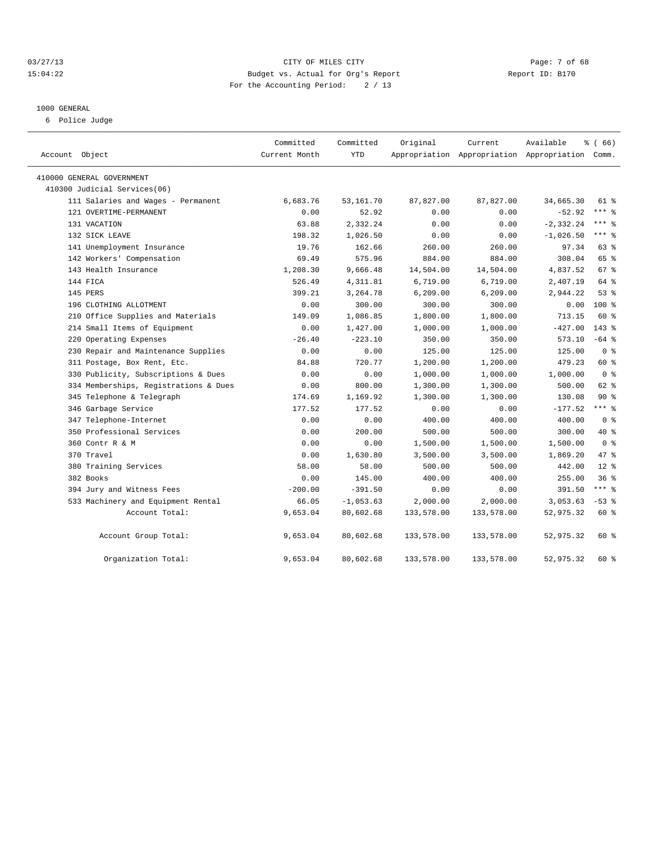#### 03/27/13 Page: 7 of 68 15:04:22 Budget vs. Actual for Org's Report Report ID: B170 For the Accounting Period: 2 / 13

#### 1000 GENERAL

6 Police Judge

| Account Object                        | Committed<br>Current Month | Committed<br><b>YTD</b> | Original   | Current<br>Appropriation Appropriation Appropriation Comm. | Available    | % (66)         |
|---------------------------------------|----------------------------|-------------------------|------------|------------------------------------------------------------|--------------|----------------|
| 410000 GENERAL GOVERNMENT             |                            |                         |            |                                                            |              |                |
| 410300 Judicial Services(06)          |                            |                         |            |                                                            |              |                |
| 111 Salaries and Wages - Permanent    | 6,683.76                   | 53,161.70               | 87,827.00  | 87,827.00                                                  | 34,665.30    | $61*$          |
| 121 OVERTIME-PERMANENT                | 0.00                       | 52.92                   | 0.00       | 0.00                                                       | $-52.92$     | $***$ 8        |
| 131 VACATION                          | 63.88                      | 2,332.24                | 0.00       | 0.00                                                       | $-2, 332.24$ | $***$ 8        |
| 132 SICK LEAVE                        | 198.32                     | 1,026.50                | 0.00       | 0.00                                                       | $-1,026.50$  | $***$ 8        |
| 141 Unemployment Insurance            | 19.76                      | 162.66                  | 260.00     | 260.00                                                     | 97.34        | 63 %           |
| 142 Workers' Compensation             | 69.49                      | 575.96                  | 884.00     | 884.00                                                     | 308.04       | 65 %           |
| 143 Health Insurance                  | 1,208.30                   | 9,666.48                | 14,504.00  | 14,504.00                                                  | 4,837.52     | 67 %           |
| 144 FICA                              | 526.49                     | 4,311.81                | 6,719.00   | 6,719.00                                                   | 2,407.19     | 64 %           |
| 145 PERS                              | 399.21                     | 3,264.78                | 6, 209.00  | 6, 209.00                                                  | 2,944.22     | 53%            |
| 196 CLOTHING ALLOTMENT                | 0.00                       | 300.00                  | 300.00     | 300.00                                                     | 0.00         | 100 %          |
| 210 Office Supplies and Materials     | 149.09                     | 1,086.85                | 1,800.00   | 1,800.00                                                   | 713.15       | 60 %           |
| 214 Small Items of Equipment          | 0.00                       | 1,427.00                | 1,000.00   | 1,000.00                                                   | $-427.00$    | $143*$         |
| 220 Operating Expenses                | $-26.40$                   | $-223.10$               | 350.00     | 350.00                                                     | 573.10       | $-64$ %        |
| 230 Repair and Maintenance Supplies   | 0.00                       | 0.00                    | 125.00     | 125.00                                                     | 125.00       | 0 <sup>8</sup> |
| 311 Postage, Box Rent, Etc.           | 84.88                      | 720.77                  | 1,200.00   | 1,200.00                                                   | 479.23       | 60 %           |
| 330 Publicity, Subscriptions & Dues   | 0.00                       | 0.00                    | 1,000.00   | 1,000.00                                                   | 1,000.00     | 0 <sup>8</sup> |
| 334 Memberships, Registrations & Dues | 0.00                       | 800.00                  | 1,300.00   | 1,300.00                                                   | 500.00       | 62 %           |
| 345 Telephone & Telegraph             | 174.69                     | 1,169.92                | 1,300.00   | 1,300.00                                                   | 130.08       | $90*$          |
| 346 Garbage Service                   | 177.52                     | 177.52                  | 0.00       | 0.00                                                       | $-177.52$    | $***$ 8        |
| 347 Telephone-Internet                | 0.00                       | 0.00                    | 400.00     | 400.00                                                     | 400.00       | 0 <sup>8</sup> |
| 350 Professional Services             | 0.00                       | 200.00                  | 500.00     | 500.00                                                     | 300.00       | $40*$          |
| 360 Contr R & M                       | 0.00                       | 0.00                    | 1,500.00   | 1,500.00                                                   | 1,500.00     | 0 <sup>8</sup> |
| 370 Travel                            | 0.00                       | 1,630.80                | 3,500.00   | 3,500.00                                                   | 1,869.20     | 47 %           |
| 380 Training Services                 | 58.00                      | 58.00                   | 500.00     | 500.00                                                     | 442.00       | $12*$          |
| 382 Books                             | 0.00                       | 145.00                  | 400.00     | 400.00                                                     | 255.00       | 36%            |
| 394 Jury and Witness Fees             | $-200.00$                  | $-391.50$               | 0.00       | 0.00                                                       | 391.50       | $***$ $=$      |
| 533 Machinery and Equipment Rental    | 66.05                      | $-1,053.63$             | 2,000.00   | 2,000.00                                                   | 3,053.63     | $-53$ $%$      |
| Account Total:                        | 9,653.04                   | 80,602.68               | 133,578.00 | 133,578.00                                                 | 52,975.32    | 60 %           |
| Account Group Total:                  | 9,653.04                   | 80,602.68               | 133,578.00 | 133,578.00                                                 | 52,975.32    | 60 %           |
| Organization Total:                   | 9,653.04                   | 80,602.68               | 133,578.00 | 133,578.00                                                 | 52,975.32    | 60 %           |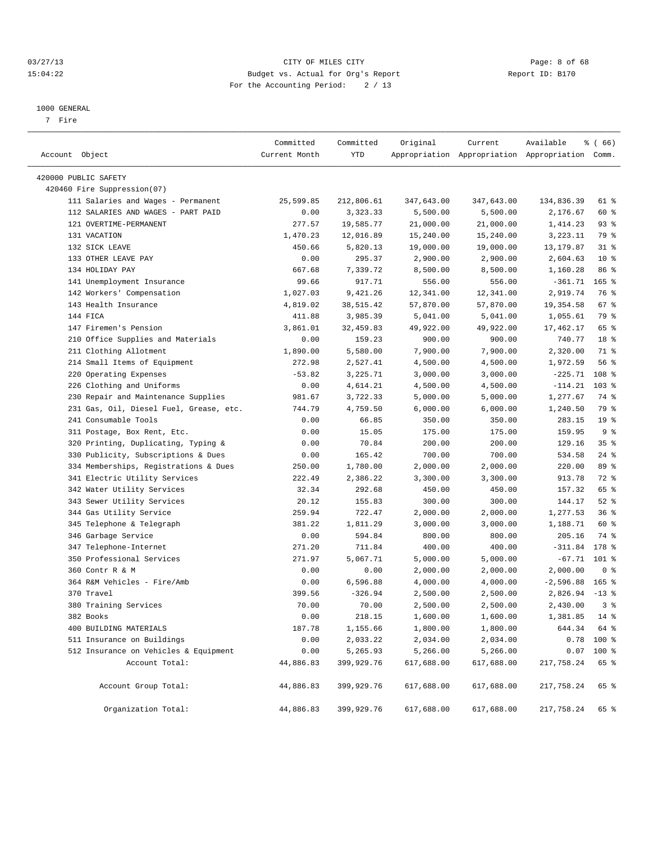#### 03/27/13 Page: 8 of 68 15:04:22 Budget vs. Actual for Org's Report Report ID: B170 For the Accounting Period: 2 / 13

————————————————————————————————————————————————————————————————————————————————————————————————————————————————————————————————————

#### 1000 GENERAL

7 Fire

|                                         | Committed     | Committed  | Original   | Current           | Available                                       | <sub>है</sub> (66) |  |
|-----------------------------------------|---------------|------------|------------|-------------------|-------------------------------------------------|--------------------|--|
| Account Object                          | Current Month | YTD        |            |                   | Appropriation Appropriation Appropriation Comm. |                    |  |
| 420000 PUBLIC SAFETY                    |               |            |            |                   |                                                 |                    |  |
| 420460 Fire Suppression(07)             |               |            |            |                   |                                                 |                    |  |
| 111 Salaries and Wages - Permanent      | 25,599.85     | 212,806.61 | 347,643.00 | 347,643.00        | 134,836.39                                      | 61 %               |  |
| 112 SALARIES AND WAGES - PART PAID      | 0.00          | 3,323.33   | 5,500.00   | 5,500.00          | 2,176.67                                        | 60 %               |  |
| 121 OVERTIME-PERMANENT                  | 277.57        | 19,585.77  | 21,000.00  | 21,000.00         | 1,414.23                                        | 93%                |  |
| 131 VACATION                            | 1,470.23      | 12,016.89  | 15,240.00  | 15,240.00         | 3,223.11                                        | 79 %               |  |
| 132 SICK LEAVE                          | 450.66        | 5,820.13   | 19,000.00  | 19,000.00         | 13,179.87                                       | $31$ %             |  |
| 133 OTHER LEAVE PAY                     | 0.00          | 295.37     | 2,900.00   | 2,900.00          | 2,604.63                                        | $10*$              |  |
| 134 HOLIDAY PAY                         | 667.68        | 7,339.72   | 8,500.00   | 8,500.00          | 1,160.28                                        | 86 %               |  |
| 141 Unemployment Insurance              | 99.66         | 917.71     | 556.00     | 556.00            | $-361.71$                                       | $165$ %            |  |
| 142 Workers' Compensation               | 1,027.03      | 9,421.26   | 12,341.00  | 12,341.00         | 2,919.74                                        | 76 %               |  |
| 143 Health Insurance                    | 4,819.02      | 38,515.42  | 57,870.00  | 57,870.00         | 19,354.58                                       | 67 %               |  |
| 144 FICA                                | 411.88        | 3,985.39   | 5,041.00   | 5,041.00          | 1,055.61                                        | 79 %               |  |
| 147 Firemen's Pension                   | 3,861.01      | 32,459.83  | 49,922.00  | 49,922.00         | 17,462.17                                       | 65 %               |  |
| 210 Office Supplies and Materials       | 0.00          | 159.23     | 900.00     | 900.00            | 740.77                                          | 18 %               |  |
| 211 Clothing Allotment                  | 1,890.00      | 5,580.00   | 7,900.00   | 7,900.00          | 2,320.00                                        | 71 %               |  |
| 214 Small Items of Equipment            | 272.98        | 2,527.41   | 4,500.00   | 4,500.00          | 1,972.59                                        | 56%                |  |
| 220 Operating Expenses                  | $-53.82$      | 3,225.71   | 3,000.00   | 3,000.00          | $-225.71$                                       | 108 %              |  |
| 226 Clothing and Uniforms               | 0.00          | 4,614.21   | 4,500.00   | 4,500.00          | $-114.21$                                       | $103$ %            |  |
| 230 Repair and Maintenance Supplies     | 981.67        | 3,722.33   | 5,000.00   | 5,000.00          | 1,277.67                                        | 74 %               |  |
| 231 Gas, Oil, Diesel Fuel, Grease, etc. | 744.79        | 4,759.50   | 6,000.00   | 6,000.00          | 1,240.50                                        | 79 %               |  |
| 241 Consumable Tools                    | 0.00          | 66.85      | 350.00     | 350.00            | 283.15                                          | 19 <sup>°</sup>    |  |
| 311 Postage, Box Rent, Etc.             | 0.00          | 15.05      | 175.00     | 175.00            | 159.95                                          | 9%                 |  |
| 320 Printing, Duplicating, Typing &     | 0.00          | 70.84      | 200.00     | 200.00            | 129.16                                          | 35%                |  |
| 330 Publicity, Subscriptions & Dues     | 0.00          | 165.42     | 700.00     | 700.00            | 534.58                                          | $24$ %             |  |
| 334 Memberships, Registrations & Dues   | 250.00        | 1,780.00   | 2,000.00   | 2,000.00          | 220.00                                          | 89 %               |  |
| 341 Electric Utility Services           | 222.49        | 2,386.22   | 3,300.00   | 3,300.00          | 913.78                                          | 72 %               |  |
| 342 Water Utility Services              | 32.34         | 292.68     | 450.00     | 450.00            | 157.32                                          | 65 %               |  |
| 343 Sewer Utility Services              | 20.12         | 155.83     | 300.00     | 300.00            | 144.17                                          | $52$ $%$           |  |
| 344 Gas Utility Service                 | 259.94        | 722.47     | 2,000.00   | 2,000.00          | 1,277.53                                        | 36%                |  |
| 345 Telephone & Telegraph               | 381.22        | 1,811.29   | 3,000.00   | 3,000.00          | 1,188.71                                        | 60 %               |  |
| 346 Garbage Service                     | 0.00          | 594.84     | 800.00     | 800.00            | 205.16                                          | 74 %               |  |
| 347 Telephone-Internet                  | 271.20        | 711.84     | 400.00     | 400.00            | $-311.84$                                       | 178 %              |  |
| 350 Professional Services               | 271.97        | 5,067.71   | 5,000.00   | 5,000.00          | $-67.71$ 101 %                                  |                    |  |
| 360 Contr R & M                         | 0.00          | 0.00       | 2,000.00   | 2,000.00          | 2,000.00                                        | 0 <sup>8</sup>     |  |
| 364 R&M Vehicles - Fire/Amb             | 0.00          | 6,596.88   | 4,000.00   | 4,000.00          | $-2,596.88$                                     | $165$ %            |  |
| 370 Travel                              | 399.56        | $-326.94$  | 2,500.00   | 2,500.00          | $2,826.94$ -13 %                                |                    |  |
| 380 Training Services                   | 70.00         | 70.00      | 2,500.00   | 2,500.00          | 2,430.00                                        | 3%                 |  |
| 382 Books                               | 0.00          | 218.15     | 1,600.00   | $1\,,\,600\,.$ 00 | $1.381.85$ 14 %                                 |                    |  |
| 400 BUILDING MATERIALS                  | 187.78        | 1,155.66   | 1,800.00   | 1,800.00          | 644.34                                          | 64 %               |  |
| 511 Insurance on Buildings              | 0.00          | 2,033.22   | 2,034.00   | 2,034.00          | 0.78                                            | 100 %              |  |
| 512 Insurance on Vehicles & Equipment   | 0.00          | 5,265.93   | 5,266.00   | 5,266.00          | 0.07                                            | 100 %              |  |
| Account Total:                          | 44,886.83     | 399,929.76 | 617,688.00 | 617,688.00        | 217,758.24                                      | 65 %               |  |
| Account Group Total:                    | 44,886.83     | 399,929.76 | 617,688.00 | 617,688.00        | 217,758.24                                      | 65 %               |  |
| Organization Total:                     | 44,886.83     | 399,929.76 | 617,688.00 | 617,688.00        | 217,758.24                                      | 65 %               |  |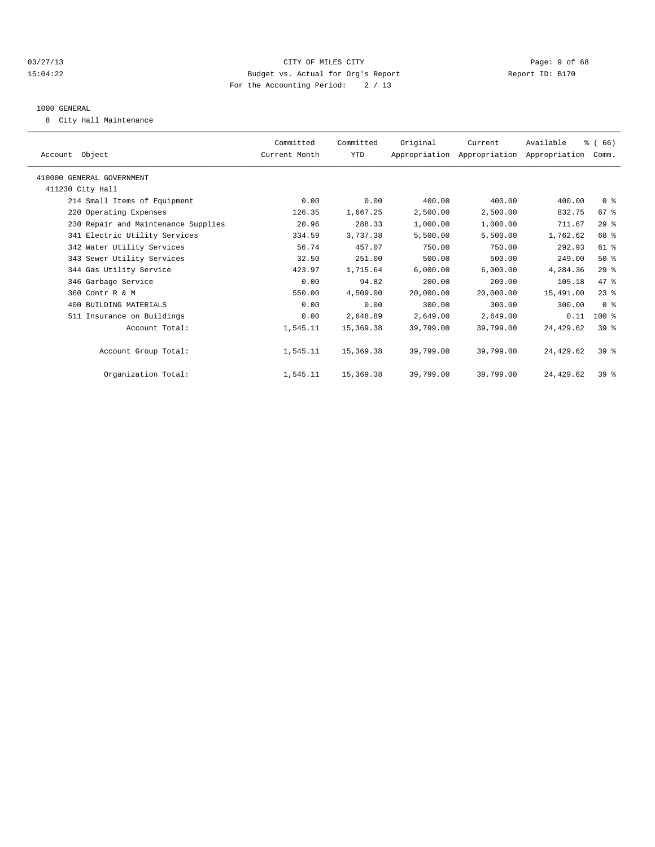#### 03/27/13 Page: 9 of 68 15:04:22 Budget vs. Actual for Org's Report Report ID: B170 For the Accounting Period: 2 / 13

#### 1000 GENERAL

8 City Hall Maintenance

| Account Object            |                                     | Committed<br>Current Month | Committed<br>YTD | Original  | Current<br>Appropriation Appropriation Appropriation | Available  | % (66)<br>Comm. |  |
|---------------------------|-------------------------------------|----------------------------|------------------|-----------|------------------------------------------------------|------------|-----------------|--|
| 410000 GENERAL GOVERNMENT |                                     |                            |                  |           |                                                      |            |                 |  |
| 411230 City Hall          |                                     |                            |                  |           |                                                      |            |                 |  |
|                           | 214 Small Items of Equipment        | 0.00                       | 0.00             | 400.00    | 400.00                                               | 400.00     | 0 <sup>8</sup>  |  |
|                           | 220 Operating Expenses              | 126.35                     | 1,667.25         | 2,500.00  | 2,500.00                                             | 832.75     | $67*$           |  |
|                           | 230 Repair and Maintenance Supplies | 20.96                      | 288.33           | 1,000.00  | 1,000.00                                             | 711.67     | 29%             |  |
|                           | 341 Electric Utility Services       | 334.59                     | 3,737.38         | 5,500.00  | 5,500.00                                             | 1,762.62   | 68 %            |  |
|                           | 342 Water Utility Services          | 56.74                      | 457.07           | 750.00    | 750.00                                               | 292.93     | 61 %            |  |
|                           | 343 Sewer Utility Services          | 32.50                      | 251.00           | 500.00    | 500.00                                               | 249.00     | $50*$           |  |
|                           | 344 Gas Utility Service             | 423.97                     | 1,715.64         | 6,000.00  | 6,000.00                                             | 4,284.36   | $29$ %          |  |
|                           | 346 Garbage Service                 | 0.00                       | 94.82            | 200.00    | 200.00                                               | 105.18     | 47 %            |  |
|                           | 360 Contr R & M                     | 550.00                     | 4,509.00         | 20,000.00 | 20,000.00                                            | 15,491.00  | $23*$           |  |
|                           | 400 BUILDING MATERIALS              | 0.00                       | 0.00             | 300.00    | 300.00                                               | 300.00     | 0 <sup>8</sup>  |  |
|                           | 511 Insurance on Buildings          | 0.00                       | 2,648.89         | 2,649.00  | 2,649.00                                             | 0.11       | $100$ %         |  |
|                           | Account Total:                      | 1,545.11                   | 15,369.38        | 39,799.00 | 39,799.00                                            | 24, 429.62 | 39 <sup>8</sup> |  |
|                           | Account Group Total:                | 1,545.11                   | 15,369.38        | 39,799.00 | 39,799.00                                            | 24, 429.62 | $39*$           |  |
|                           | Organization Total:                 | 1,545.11                   | 15,369.38        | 39,799.00 | 39,799.00                                            | 24, 429.62 | $39*$           |  |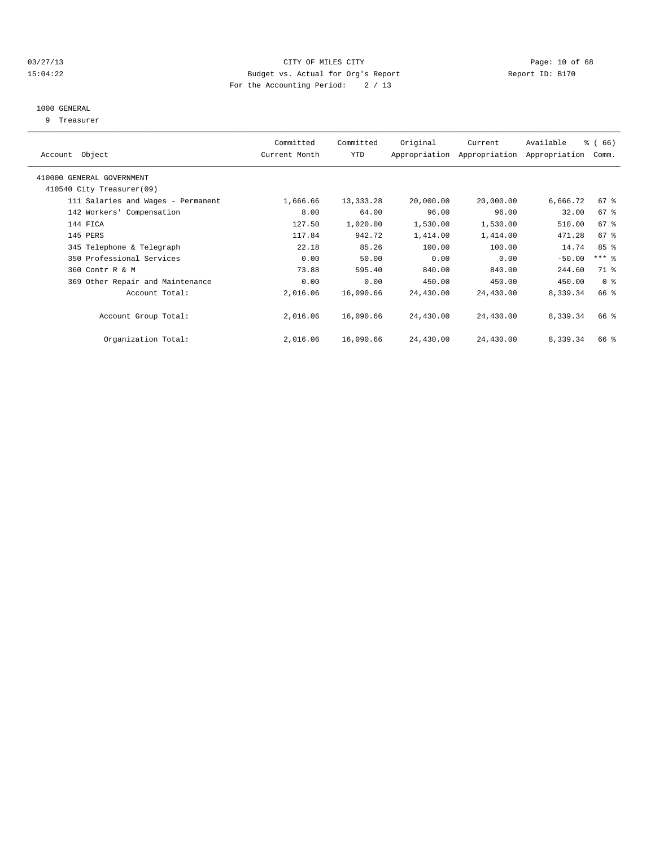#### 03/27/13 Page: 10 of 68 15:04:22 Budget vs. Actual for Org's Report Report ID: B170 For the Accounting Period: 2 / 13

#### 1000 GENERAL

9 Treasurer

| Account Object                     | Committed<br>Current Month | Committed<br>YTD | Original  | Current<br>Appropriation Appropriation | Available<br>Appropriation | % (66)<br>Comm. |  |
|------------------------------------|----------------------------|------------------|-----------|----------------------------------------|----------------------------|-----------------|--|
|                                    |                            |                  |           |                                        |                            |                 |  |
| 410000 GENERAL GOVERNMENT          |                            |                  |           |                                        |                            |                 |  |
| 410540 City Treasurer(09)          |                            |                  |           |                                        |                            |                 |  |
| 111 Salaries and Wages - Permanent | 1,666.66                   | 13, 333. 28      | 20,000.00 | 20,000.00                              | 6,666.72                   | 67 %            |  |
| 142 Workers' Compensation          | 8.00                       | 64.00            | 96.00     | 96.00                                  | 32.00                      | 67 %            |  |
| 144 FICA                           | 127.50                     | 1,020.00         | 1,530.00  | 1,530.00                               | 510.00                     | 67 <sup>8</sup> |  |
| 145 PERS                           | 117.84                     | 942.72           | 1,414.00  | 1,414.00                               | 471.28                     | $67$ $%$        |  |
| 345 Telephone & Telegraph          | 22.18                      | 85.26            | 100.00    | 100.00                                 | 14.74                      | 85%             |  |
| 350 Professional Services          | 0.00                       | 50.00            | 0.00      | 0.00                                   | $-50.00$                   | $***$ $-$       |  |
| 360 Contr R & M                    | 73.88                      | 595.40           | 840.00    | 840.00                                 | 244.60                     | 71 %            |  |
| 369 Other Repair and Maintenance   | 0.00                       | 0.00             | 450.00    | 450.00                                 | 450.00                     | 0 <sup>8</sup>  |  |
| Account Total:                     | 2,016.06                   | 16,090.66        | 24,430.00 | 24,430.00                              | 8,339.34                   | 66 %            |  |
| Account Group Total:               | 2,016.06                   | 16,090.66        | 24,430.00 | 24,430.00                              | 8,339.34                   | 66 %            |  |
| Organization Total:                | 2,016.06                   | 16,090.66        | 24,430.00 | 24,430.00                              | 8,339.34                   | 66 %            |  |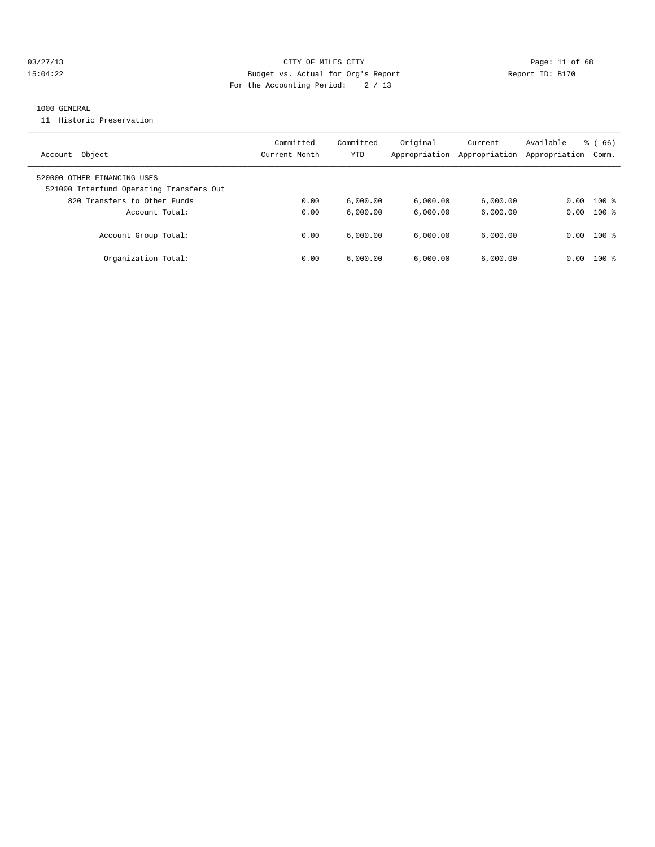#### 03/27/13 Page: 11 of 68 15:04:22 Budget vs. Actual for Org's Report Report ID: B170 For the Accounting Period: 2 / 13

#### 1000 GENERAL

11 Historic Preservation

| Object<br>Account                                                       | Committed<br>Current Month | Committed<br>YTD | Original<br>Appropriation | Current<br>Appropriation | Available<br>Appropriation | $\frac{6}{6}$ (66)<br>Comm. |
|-------------------------------------------------------------------------|----------------------------|------------------|---------------------------|--------------------------|----------------------------|-----------------------------|
| 520000 OTHER FINANCING USES<br>521000 Interfund Operating Transfers Out |                            |                  |                           |                          |                            |                             |
| 820 Transfers to Other Funds                                            | 0.00                       | 6,000.00         | 6,000.00                  | 6,000.00                 | 0.00                       | $100$ %                     |
| Account Total:                                                          | 0.00                       | 6.000.00         | 6.000.00                  | 6.000.00                 | 0.00                       | $100*$                      |
| Account Group Total:                                                    | 0.00                       | 6.000.00         | 6.000.00                  | 6.000.00                 | 0.00                       | $100*$                      |
| Organization Total:                                                     | 0.00                       | 6,000.00         | 6.000.00                  | 6.000.00                 | 0.00                       | $100$ $\approx$             |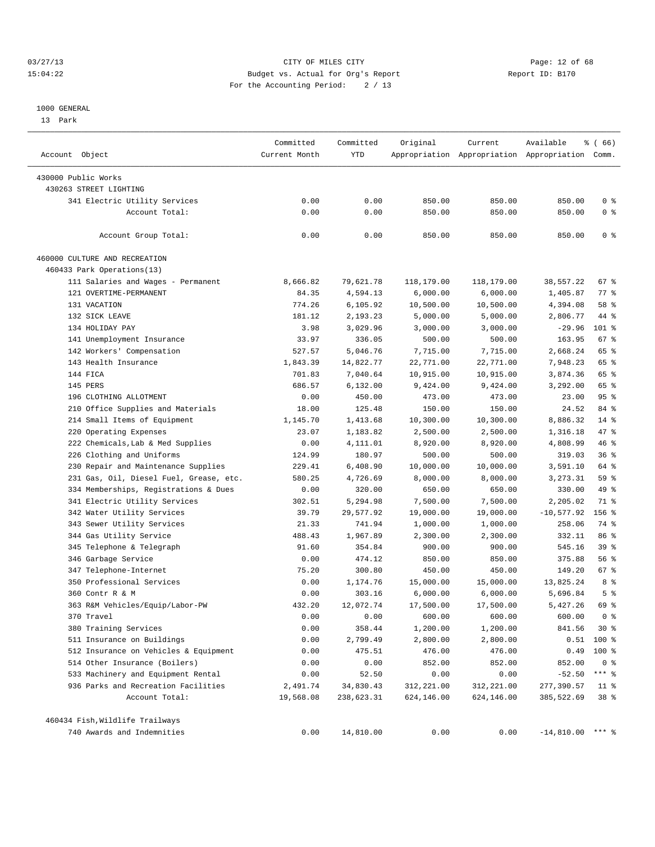#### 03/27/13 Page: 12 of 68 15:04:22 Budget vs. Actual for Org's Report Report ID: B170 For the Accounting Period: 2 / 13

#### 1000 GENERAL

13 Park

| Account Object                          | Committed<br>Current Month | Committed<br>YTD | Original   | Current    | Available<br>Appropriation Appropriation Appropriation Comm. | % (66)          |
|-----------------------------------------|----------------------------|------------------|------------|------------|--------------------------------------------------------------|-----------------|
| 430000 Public Works                     |                            |                  |            |            |                                                              |                 |
| 430263 STREET LIGHTING                  |                            |                  |            |            |                                                              |                 |
| 341 Electric Utility Services           | 0.00                       | 0.00             | 850.00     | 850.00     | 850.00                                                       | 0 <sup>8</sup>  |
| Account Total:                          | 0.00                       | 0.00             | 850.00     | 850.00     | 850.00                                                       | 0 <sup>8</sup>  |
|                                         |                            |                  |            |            |                                                              |                 |
| Account Group Total:                    | 0.00                       | 0.00             | 850.00     | 850.00     | 850.00                                                       | 0 <sup>8</sup>  |
| 460000 CULTURE AND RECREATION           |                            |                  |            |            |                                                              |                 |
| 460433 Park Operations(13)              |                            |                  |            |            |                                                              |                 |
| 111 Salaries and Wages - Permanent      | 8,666.82                   | 79,621.78        | 118,179.00 | 118,179.00 | 38,557.22                                                    | 67 %            |
| 121 OVERTIME-PERMANENT                  | 84.35                      | 4,594.13         | 6,000.00   | 6,000.00   | 1,405.87                                                     | 77 %            |
| 131 VACATION                            | 774.26                     | 6,105.92         | 10,500.00  | 10,500.00  | 4,394.08                                                     | 58 %            |
| 132 SICK LEAVE                          | 181.12                     | 2,193.23         | 5,000.00   | 5,000.00   | 2,806.77                                                     | 44 %            |
| 134 HOLIDAY PAY                         | 3.98                       | 3,029.96         | 3,000.00   | 3,000.00   | $-29.96$                                                     | 101 %           |
| 141 Unemployment Insurance              | 33.97                      | 336.05           | 500.00     | 500.00     | 163.95                                                       | 67 %            |
| 142 Workers' Compensation               | 527.57                     | 5,046.76         | 7,715.00   | 7,715.00   | 2,668.24                                                     | 65 %            |
| 143 Health Insurance                    | 1,843.39                   | 14,822.77        | 22,771.00  | 22,771.00  | 7,948.23                                                     | 65 %            |
| 144 FICA                                | 701.83                     | 7,040.64         | 10,915.00  | 10,915.00  | 3,874.36                                                     | 65 %            |
| 145 PERS                                | 686.57                     | 6,132.00         | 9,424.00   | 9,424.00   | 3,292.00                                                     | 65 %            |
| 196 CLOTHING ALLOTMENT                  | 0.00                       | 450.00           | 473.00     | 473.00     | 23.00                                                        | 95%             |
| 210 Office Supplies and Materials       | 18.00                      | 125.48           | 150.00     | 150.00     | 24.52                                                        | 84 %            |
| 214 Small Items of Equipment            | 1,145.70                   | 1,413.68         | 10,300.00  | 10,300.00  | 8,886.32                                                     | $14$ %          |
| 220 Operating Expenses                  | 23.07                      | 1,183.82         | 2,500.00   | 2,500.00   | 1,316.18                                                     | 47 %            |
| 222 Chemicals, Lab & Med Supplies       | 0.00                       | 4,111.01         | 8,920.00   | 8,920.00   | 4,808.99                                                     | 46 %            |
| 226 Clothing and Uniforms               | 124.99                     | 180.97           | 500.00     | 500.00     | 319.03                                                       | 36%             |
| 230 Repair and Maintenance Supplies     | 229.41                     | 6,408.90         | 10,000.00  | 10,000.00  | 3,591.10                                                     | 64 %            |
| 231 Gas, Oil, Diesel Fuel, Grease, etc. | 580.25                     | 4,726.69         | 8,000.00   | 8,000.00   | 3, 273. 31                                                   | 59 %            |
| 334 Memberships, Registrations & Dues   | 0.00                       | 320.00           | 650.00     | 650.00     | 330.00                                                       | 49 %            |
| 341 Electric Utility Services           | 302.51                     | 5,294.98         | 7,500.00   | 7,500.00   | 2,205.02                                                     | 71 %            |
| 342 Water Utility Services              | 39.79                      | 29,577.92        | 19,000.00  | 19,000.00  | $-10,577.92$                                                 | $156$ %         |
| 343 Sewer Utility Services              | 21.33                      | 741.94           | 1,000.00   | 1,000.00   | 258.06                                                       | 74 %            |
| 344 Gas Utility Service                 | 488.43                     | 1,967.89         | 2,300.00   | 2,300.00   | 332.11                                                       | 86 %            |
| 345 Telephone & Telegraph               | 91.60                      | 354.84           | 900.00     | 900.00     | 545.16                                                       | 39 %            |
| 346 Garbage Service                     | 0.00                       | 474.12           | 850.00     | 850.00     | 375.88                                                       | 56%             |
| 347 Telephone-Internet                  | 75.20                      | 300.80           | 450.00     | 450.00     | 149.20                                                       | 67 %            |
| 350 Professional Services               | 0.00                       | 1,174.76         | 15,000.00  | 15,000.00  | 13,825.24                                                    | 8 %             |
| 360 Contr R & M                         | 0.00                       | 303.16           | 6,000.00   | 6,000.00   | 5,696.84                                                     | 5 <sup>°</sup>  |
| 363 R&M Vehicles/Equip/Labor-PW         | 432.20                     | 12,072.74        | 17,500.00  | 17,500.00  | 5,427.26                                                     | 69 %            |
| 370 Travel                              | 0.00                       | 0.00             | 600.00     | 600.00     | 600.00                                                       | 0 <sup>8</sup>  |
| 380 Training Services                   |                            |                  |            |            | 841.56                                                       | $30*$           |
|                                         | 0.00                       | 358.44           | 1,200.00   | 1,200.00   |                                                              |                 |
| 511 Insurance on Buildings              | 0.00                       | 2,799.49         | 2,800.00   | 2,800.00   | 0.51                                                         | 100 %           |
| 512 Insurance on Vehicles & Equipment   | 0.00                       | 475.51           | 476.00     | 476.00     | 0.49                                                         | $100$ %         |
| 514 Other Insurance (Boilers)           | 0.00                       | 0.00             | 852.00     | 852.00     | 852.00                                                       | 0 <sup>8</sup>  |
| 533 Machinery and Equipment Rental      | 0.00                       | 52.50            | 0.00       | 0.00       | $-52.50$                                                     | $***$ $-$       |
| 936 Parks and Recreation Facilities     | 2,491.74                   | 34,830.43        | 312,221.00 | 312,221.00 | 277,390.57                                                   | $11$ %          |
| Account Total:                          | 19,568.08                  | 238,623.31       | 624,146.00 | 624,146.00 | 385,522.69                                                   | 38 <sup>8</sup> |
| 460434 Fish, Wildlife Trailways         |                            |                  |            |            |                                                              |                 |
| 740 Awards and Indemnities              | 0.00                       | 14,810.00        | 0.00       | 0.00       | $-14,810.00$ *** %                                           |                 |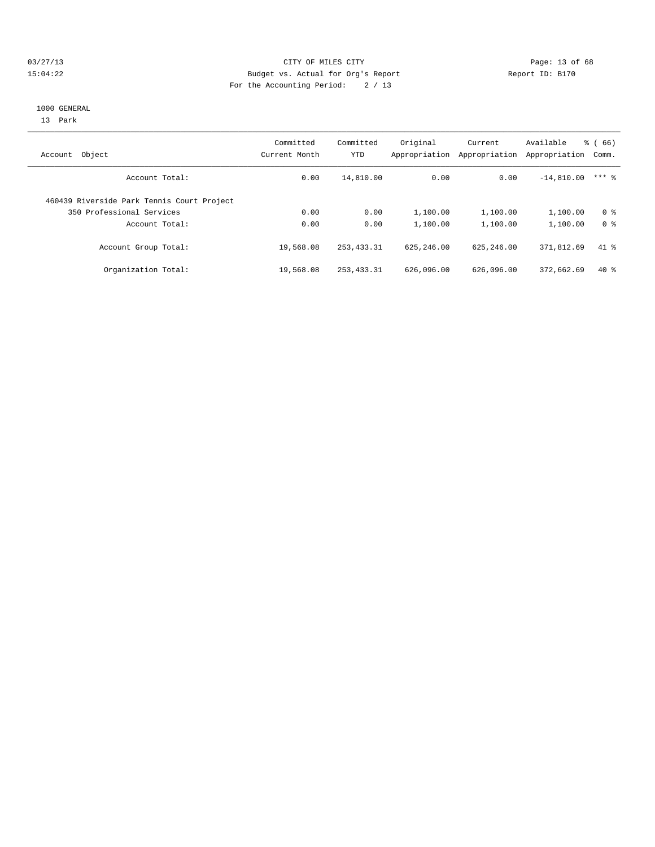#### 03/27/13 Page: 13 of 68 15:04:22 Budget vs. Actual for Org's Report Report ID: B170 For the Accounting Period: 2 / 13

#### 1000 GENERAL

13 Park

| Object<br>Account                          | Committed<br>Current Month | Committed<br><b>YTD</b> | Original<br>Appropriation | Current<br>Appropriation | Available<br>Appropriation | $\frac{6}{6}$ (66)<br>Comm. |
|--------------------------------------------|----------------------------|-------------------------|---------------------------|--------------------------|----------------------------|-----------------------------|
| Account Total:                             | 0.00                       | 14,810.00               | 0.00                      | 0.00                     | $-14,810.00$               | $***$ 2                     |
| 460439 Riverside Park Tennis Court Project |                            |                         |                           |                          |                            |                             |
| 350 Professional Services                  | 0.00                       | 0.00                    | 1,100.00                  | 1,100.00                 | 1,100.00                   | 0 <sup>8</sup>              |
| Account Total:                             | 0.00                       | 0.00                    | 1,100.00                  | 1,100.00                 | 1,100.00                   | 0 <sup>8</sup>              |
| Account Group Total:                       | 19,568.08                  | 253, 433.31             | 625, 246, 00              | 625, 246, 00             | 371,812.69                 | 41.8                        |
| Organization Total:                        | 19,568.08                  | 253, 433.31             | 626,096.00                | 626,096.00               | 372,662.69                 | $40*$                       |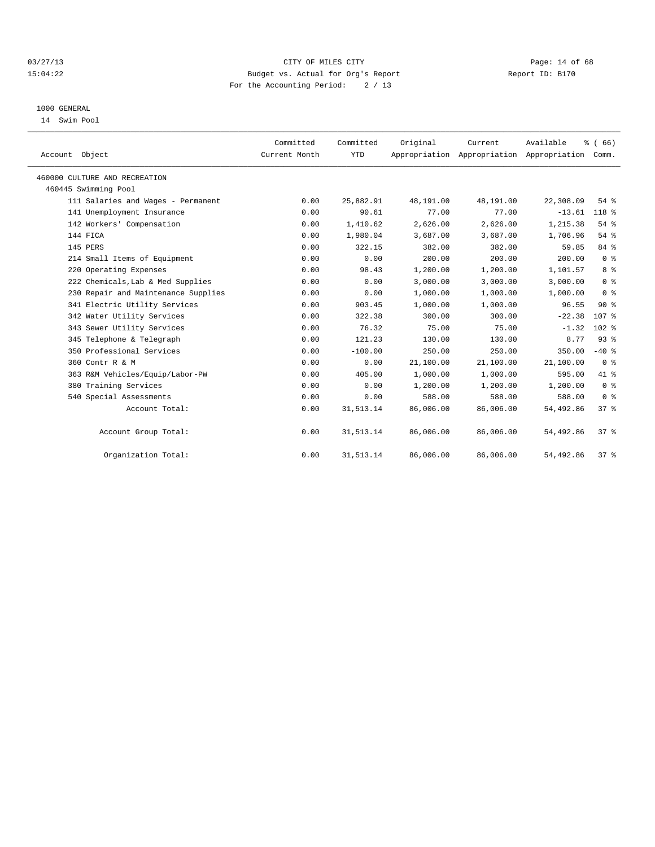#### 03/27/13 Page: 14 of 68 15:04:22 Budget vs. Actual for Org's Report Report ID: B170 For the Accounting Period: 2 / 13

#### 1000 GENERAL

14 Swim Pool

| Account Object                      | Committed<br>Current Month | Committed<br><b>YTD</b> | Original  | Current<br>Appropriation Appropriation Appropriation | Available | % (66)<br>Comm.  |
|-------------------------------------|----------------------------|-------------------------|-----------|------------------------------------------------------|-----------|------------------|
| 460000 CULTURE AND RECREATION       |                            |                         |           |                                                      |           |                  |
| 460445 Swimming Pool                |                            |                         |           |                                                      |           |                  |
| 111 Salaries and Wages - Permanent  | 0.00                       | 25,882.91               | 48,191.00 | 48,191.00                                            | 22,308.09 | 54%              |
| 141 Unemployment Insurance          | 0.00                       | 90.61                   | 77.00     | 77.00                                                | $-13.61$  | 118 %            |
| 142 Workers' Compensation           | 0.00                       | 1,410.62                | 2,626.00  | 2,626.00                                             | 1,215.38  | 54%              |
| 144 FICA                            | 0.00                       | 1,980.04                | 3,687.00  | 3,687.00                                             | 1,706.96  | 54 %             |
| 145 PERS                            | 0.00                       | 322.15                  | 382.00    | 382.00                                               | 59.85     | 84 %             |
| 214 Small Items of Equipment        | 0.00                       | 0.00                    | 200.00    | 200.00                                               | 200.00    | 0 <sup>8</sup>   |
| 220 Operating Expenses              | 0.00                       | 98.43                   | 1,200.00  | 1,200.00                                             | 1,101.57  | 8 <sup>8</sup>   |
| 222 Chemicals, Lab & Med Supplies   | 0.00                       | 0.00                    | 3,000.00  | 3,000.00                                             | 3,000.00  | 0 <sup>8</sup>   |
| 230 Repair and Maintenance Supplies | 0.00                       | 0.00                    | 1,000.00  | 1,000.00                                             | 1,000.00  | 0 <sup>8</sup>   |
| 341 Electric Utility Services       | 0.00                       | 903.45                  | 1,000.00  | 1,000.00                                             | 96.55     | 90%              |
| 342 Water Utility Services          | 0.00                       | 322.38                  | 300.00    | 300.00                                               | $-22.38$  | 107 <sub>8</sub> |
| 343 Sewer Utility Services          | 0.00                       | 76.32                   | 75.00     | 75.00                                                | $-1.32$   | $102$ %          |
| 345 Telephone & Telegraph           | 0.00                       | 121.23                  | 130.00    | 130.00                                               | 8.77      | 93%              |
| 350 Professional Services           | 0.00                       | $-100.00$               | 250.00    | 250.00                                               | 350.00    | $-40$ %          |
| 360 Contr R & M                     | 0.00                       | 0.00                    | 21,100.00 | 21,100.00                                            | 21,100.00 | 0 <sup>8</sup>   |
| 363 R&M Vehicles/Equip/Labor-PW     | 0.00                       | 405.00                  | 1,000.00  | 1,000.00                                             | 595.00    | 41.8             |
| Training Services<br>380            | 0.00                       | 0.00                    | 1,200.00  | 1,200.00                                             | 1,200.00  | 0 <sup>8</sup>   |
| 540 Special Assessments             | 0.00                       | 0.00                    | 588.00    | 588.00                                               | 588.00    | 0 <sup>8</sup>   |
| Account Total:                      | 0.00                       | 31, 513.14              | 86,006.00 | 86,006.00                                            | 54,492.86 | 37%              |
| Account Group Total:                | 0.00                       | 31, 513.14              | 86,006.00 | 86,006.00                                            | 54,492.86 | 37%              |
| Organization Total:                 | 0.00                       | 31, 513.14              | 86,006.00 | 86,006.00                                            | 54,492.86 | 37%              |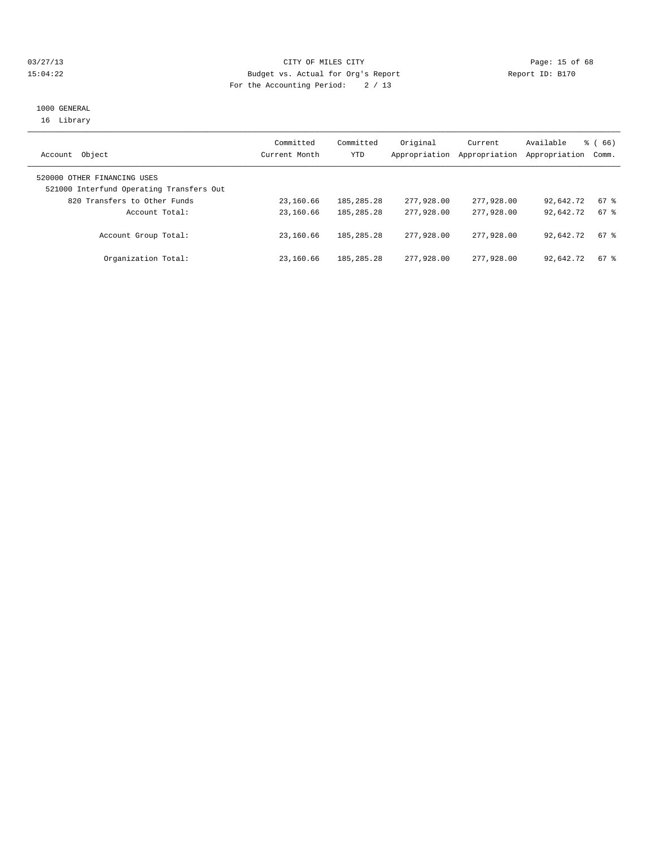#### 03/27/13 Page: 15 of 68 15:04:22 Budget vs. Actual for Org's Report Report ID: B170 For the Accounting Period: 2 / 13

#### 1000 GENERAL 16 Library

| Object<br>Account                                                       | Committed<br>Current Month | Committed<br>YTD | Original<br>Appropriation | Current<br>Appropriation | Available<br>Appropriation | <sub>ර</sub> ි (66)<br>Comm. |
|-------------------------------------------------------------------------|----------------------------|------------------|---------------------------|--------------------------|----------------------------|------------------------------|
| 520000 OTHER FINANCING USES<br>521000 Interfund Operating Transfers Out |                            |                  |                           |                          |                            |                              |
| 820 Transfers to Other Funds                                            | 23,160.66                  | 185, 285, 28     | 277,928.00                | 277,928,00               | 92,642.72                  | 67 %                         |
| Account Total:                                                          | 23,160.66                  | 185, 285, 28     | 277,928,00                | 277,928,00               | 92,642.72                  | 67 %                         |
| Account Group Total:                                                    | 23,160.66                  | 185, 285. 28     | 277,928,00                | 277,928,00               | 92,642.72                  | 67 %                         |
| Organization Total:                                                     | 23,160.66                  | 185, 285, 28     | 277,928,00                | 277,928,00               | 92,642.72                  | 67 %                         |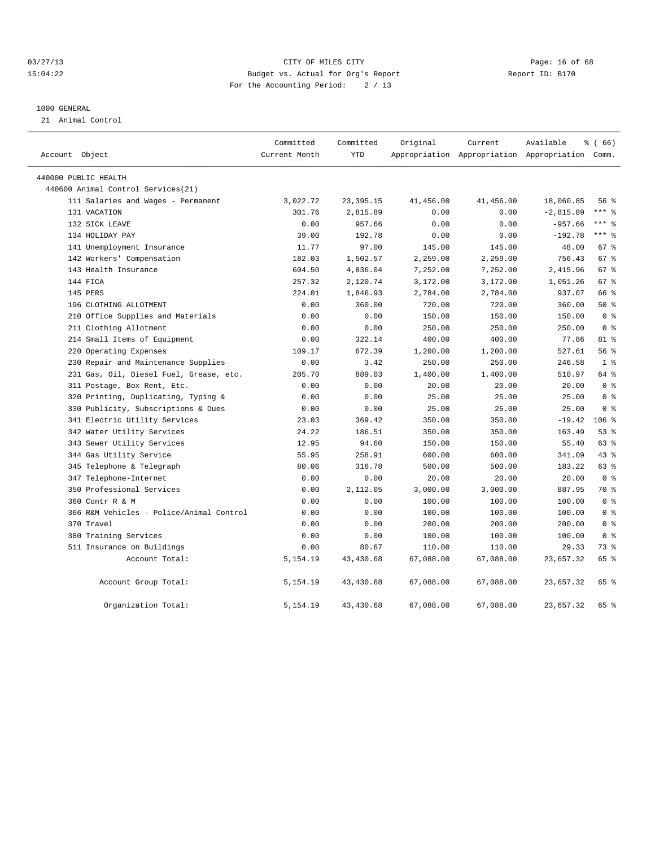#### 03/27/13 Page: 16 of 68 15:04:22 Budget vs. Actual for Org's Report Report ID: B170 For the Accounting Period: 2 / 13

#### 1000 GENERAL

21 Animal Control

| Account Object                           | Committed<br>Current Month | Committed<br><b>YTD</b> | Original  | Current<br>Appropriation Appropriation Appropriation Comm. | Available   | % (66)         |
|------------------------------------------|----------------------------|-------------------------|-----------|------------------------------------------------------------|-------------|----------------|
| 440000 PUBLIC HEALTH                     |                            |                         |           |                                                            |             |                |
| 440600 Animal Control Services (21)      |                            |                         |           |                                                            |             |                |
| 111 Salaries and Wages - Permanent       | 3,022.72                   | 23, 395. 15             | 41,456.00 | 41,456.00                                                  | 18,060.85   | 56%            |
| 131 VACATION                             | 301.76                     | 2,815.89                | 0.00      | 0.00                                                       | $-2,815.89$ | $***$ $%$      |
| 132 SICK LEAVE                           | 0.00                       | 957.66                  | 0.00      | 0.00                                                       | $-957.66$   | $***$ $%$      |
| 134 HOLIDAY PAY                          | 39.00                      | 192.78                  | 0.00      | 0.00                                                       | $-192.78$   | $***$ 8        |
| 141 Unemployment Insurance               | 11.77                      | 97.00                   | 145.00    | 145.00                                                     | 48.00       | 67 %           |
| 142 Workers' Compensation                | 182.03                     | 1,502.57                | 2,259.00  | 2,259.00                                                   | 756.43      | 67 %           |
| 143 Health Insurance                     | 604.50                     | 4,836.04                | 7,252.00  | 7,252.00                                                   | 2,415.96    | 67 %           |
| 144 FICA                                 | 257.32                     | 2,120.74                | 3,172.00  | 3,172.00                                                   | 1,051.26    | 67 %           |
| 145 PERS                                 | 224.01                     | 1,846.93                | 2,784.00  | 2,784.00                                                   | 937.07      | 66 %           |
| 196 CLOTHING ALLOTMENT                   | 0.00                       | 360.00                  | 720.00    | 720.00                                                     | 360.00      | 50%            |
| 210 Office Supplies and Materials        | 0.00                       | 0.00                    | 150.00    | 150.00                                                     | 150.00      | 0 <sup>8</sup> |
| 211 Clothing Allotment                   | 0.00                       | 0.00                    | 250.00    | 250.00                                                     | 250.00      | 0 <sup>8</sup> |
| 214 Small Items of Equipment             | 0.00                       | 322.14                  | 400.00    | 400.00                                                     | 77.86       | 81 %           |
| 220 Operating Expenses                   | 109.17                     | 672.39                  | 1,200.00  | 1,200.00                                                   | 527.61      | 56%            |
| 230 Repair and Maintenance Supplies      | 0.00                       | 3.42                    | 250.00    | 250.00                                                     | 246.58      | 1 <sup>8</sup> |
| 231 Gas, Oil, Diesel Fuel, Grease, etc.  | 205.70                     | 889.03                  | 1,400.00  | 1,400.00                                                   | 510.97      | 64 %           |
| 311 Postage, Box Rent, Etc.              | 0.00                       | 0.00                    | 20.00     | 20.00                                                      | 20.00       | 0 <sup>8</sup> |
| 320 Printing, Duplicating, Typing &      | 0.00                       | 0.00                    | 25.00     | 25.00                                                      | 25.00       | 0 <sup>8</sup> |
| 330 Publicity, Subscriptions & Dues      | 0.00                       | 0.00                    | 25.00     | 25.00                                                      | 25.00       | 0 <sup>8</sup> |
| 341 Electric Utility Services            | 23.03                      | 369.42                  | 350.00    | 350.00                                                     | $-19.42$    | $106$ %        |
| 342 Water Utility Services               | 24.22                      | 186.51                  | 350.00    | 350.00                                                     | 163.49      | 53%            |
| 343 Sewer Utility Services               | 12.95                      | 94.60                   | 150.00    | 150.00                                                     | 55.40       | 63 %           |
| 344 Gas Utility Service                  | 55.95                      | 258.91                  | 600.00    | 600.00                                                     | 341.09      | 43.8           |
| 345 Telephone & Telegraph                | 80.06                      | 316.78                  | 500.00    | 500.00                                                     | 183.22      | 63 %           |
| 347 Telephone-Internet                   | 0.00                       | 0.00                    | 20.00     | 20.00                                                      | 20.00       | 0 <sup>8</sup> |
| 350 Professional Services                | 0.00                       | 2,112.05                | 3,000.00  | 3,000.00                                                   | 887.95      | 70 %           |
| 360 Contr R & M                          | 0.00                       | 0.00                    | 100.00    | 100.00                                                     | 100.00      | 0 <sup>8</sup> |
| 366 R&M Vehicles - Police/Animal Control | 0.00                       | 0.00                    | 100.00    | 100.00                                                     | 100.00      | 0 <sup>8</sup> |
| 370 Travel                               | 0.00                       | 0.00                    | 200.00    | 200.00                                                     | 200.00      | 0 <sup>8</sup> |
| 380 Training Services                    | 0.00                       | 0.00                    | 100.00    | 100.00                                                     | 100.00      | 0 <sup>8</sup> |
| 511 Insurance on Buildings               | 0.00                       | 80.67                   | 110.00    | 110.00                                                     | 29.33       | 73 %           |
| Account Total:                           | 5, 154. 19                 | 43, 430.68              | 67,088.00 | 67,088.00                                                  | 23,657.32   | 65 %           |
| Account Group Total:                     | 5,154.19                   | 43, 430.68              | 67,088.00 | 67,088.00                                                  | 23,657.32   | 65 %           |
| Organization Total:                      | 5,154.19                   | 43, 430.68              | 67,088.00 | 67,088.00                                                  | 23,657.32   | 65 %           |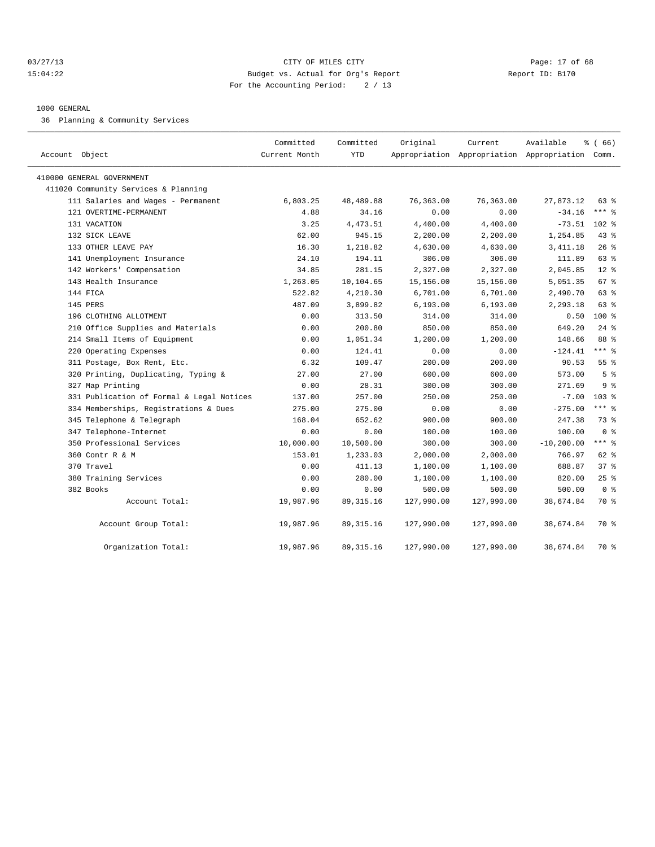#### 03/27/13 Page: 17 of 68 15:04:22 Budget vs. Actual for Org's Report Report ID: B170 For the Accounting Period: 2 / 13

#### 1000 GENERAL

36 Planning & Community Services

| Account Object                            | Committed<br>Current Month | Committed<br><b>YTD</b> | Original   | Current    | Available<br>Appropriation Appropriation Appropriation Comm. | % (66)         |
|-------------------------------------------|----------------------------|-------------------------|------------|------------|--------------------------------------------------------------|----------------|
| 410000 GENERAL GOVERNMENT                 |                            |                         |            |            |                                                              |                |
| 411020 Community Services & Planning      |                            |                         |            |            |                                                              |                |
| 111 Salaries and Wages - Permanent        | 6,803.25                   | 48, 489.88              | 76,363.00  | 76,363.00  | 27,873.12                                                    | 63 %           |
| 121 OVERTIME-PERMANENT                    | 4.88                       | 34.16                   | 0.00       | 0.00       | $-34.16$                                                     | *** 응          |
| 131 VACATION                              | 3.25                       | 4, 473.51               | 4,400.00   | 4,400.00   | $-73.51$                                                     | $102$ %        |
| 132 SICK LEAVE                            | 62.00                      | 945.15                  | 2,200.00   | 2,200.00   | 1,254.85                                                     | 43 %           |
| 133 OTHER LEAVE PAY                       | 16.30                      | 1,218.82                | 4,630.00   | 4,630.00   | 3, 411.18                                                    | 26%            |
| 141 Unemployment Insurance                | 24.10                      | 194.11                  | 306.00     | 306.00     | 111.89                                                       | 63 %           |
| 142 Workers' Compensation                 | 34.85                      | 281.15                  | 2,327.00   | 2,327.00   | 2,045.85                                                     | $12*$          |
| 143 Health Insurance                      | 1,263.05                   | 10,104.65               | 15,156.00  | 15,156.00  | 5,051.35                                                     | 67 %           |
| 144 FICA                                  | 522.82                     | 4,210.30                | 6,701.00   | 6,701.00   | 2,490.70                                                     | 63 %           |
| 145 PERS                                  | 487.09                     | 3,899.82                | 6, 193.00  | 6, 193.00  | 2,293.18                                                     | 63 %           |
| 196 CLOTHING ALLOTMENT                    | 0.00                       | 313.50                  | 314.00     | 314.00     | 0.50                                                         | $100*$         |
| 210 Office Supplies and Materials         | 0.00                       | 200.80                  | 850.00     | 850.00     | 649.20                                                       | $24$ $%$       |
| 214 Small Items of Equipment              | 0.00                       | 1,051.34                | 1,200.00   | 1,200.00   | 148.66                                                       | 88 %           |
| 220 Operating Expenses                    | 0.00                       | 124.41                  | 0.00       | 0.00       | $-124.41$                                                    | $***$ $=$      |
| 311 Postage, Box Rent, Etc.               | 6.32                       | 109.47                  | 200.00     | 200.00     | 90.53                                                        | 55%            |
| 320 Printing, Duplicating, Typing &       | 27.00                      | 27.00                   | 600.00     | 600.00     | 573.00                                                       | 5 <sup>8</sup> |
| 327 Map Printing                          | 0.00                       | 28.31                   | 300.00     | 300.00     | 271.69                                                       | 9%             |
| 331 Publication of Formal & Legal Notices | 137.00                     | 257.00                  | 250.00     | 250.00     | $-7.00$                                                      | 103 %          |
| 334 Memberships, Registrations & Dues     | 275.00                     | 275.00                  | 0.00       | 0.00       | $-275.00$                                                    | $***$ 8        |
| 345 Telephone & Telegraph                 | 168.04                     | 652.62                  | 900.00     | 900.00     | 247.38                                                       | 73 %           |
| 347 Telephone-Internet                    | 0.00                       | 0.00                    | 100.00     | 100.00     | 100.00                                                       | 0 <sup>8</sup> |
| 350 Professional Services                 | 10,000.00                  | 10,500.00               | 300.00     | 300.00     | $-10, 200.00$                                                | $***$ 8        |
| 360 Contr R & M                           | 153.01                     | 1,233.03                | 2,000.00   | 2,000.00   | 766.97                                                       | $62$ $%$       |
| 370 Travel                                | 0.00                       | 411.13                  | 1,100.00   | 1,100.00   | 688.87                                                       | 37%            |
| 380 Training Services                     | 0.00                       | 280.00                  | 1,100.00   | 1,100.00   | 820.00                                                       | 25%            |
| 382 Books                                 | 0.00                       | 0.00                    | 500.00     | 500.00     | 500.00                                                       | 0 <sup>8</sup> |
| Account Total:                            | 19,987.96                  | 89, 315.16              | 127,990.00 | 127,990.00 | 38,674.84                                                    | 70 %           |
| Account Group Total:                      | 19,987.96                  | 89, 315.16              | 127,990.00 | 127,990.00 | 38,674.84                                                    | 70 %           |
| Organization Total:                       | 19,987.96                  | 89, 315.16              | 127,990.00 | 127,990.00 | 38,674.84                                                    | 70 %           |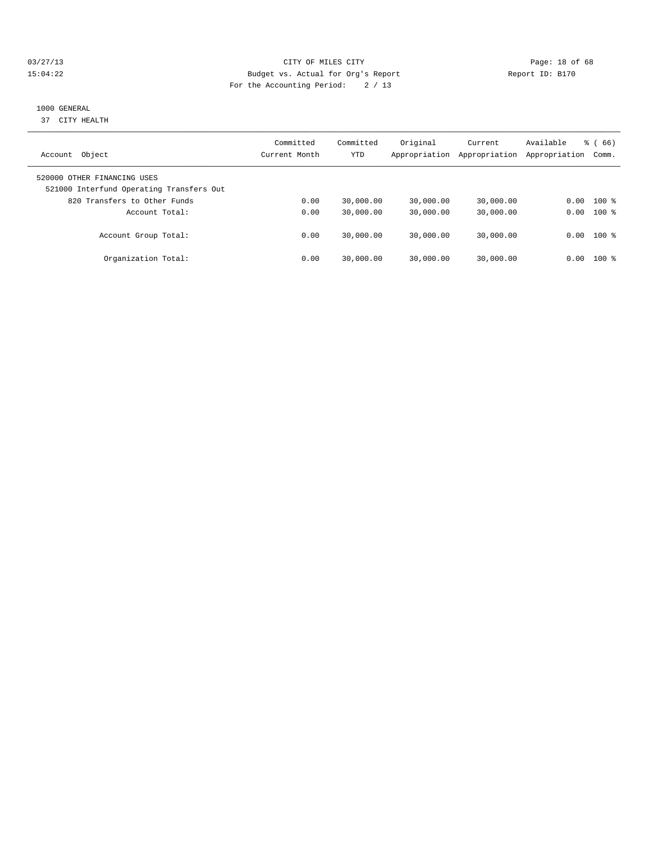#### 03/27/13 Page: 18 of 68 15:04:22 Budget vs. Actual for Org's Report Report ID: B170 For the Accounting Period: 2 / 13

#### 1000 GENERAL

37 CITY HEALTH

| Object<br>Account                                                       | Committed<br>Current Month | Committed<br><b>YTD</b> | Original<br>Appropriation | Current<br>Appropriation | Available<br>Appropriation | 66)<br>ී (<br>Comm. |
|-------------------------------------------------------------------------|----------------------------|-------------------------|---------------------------|--------------------------|----------------------------|---------------------|
| 520000 OTHER FINANCING USES<br>521000 Interfund Operating Transfers Out |                            |                         |                           |                          |                            |                     |
| 820 Transfers to Other Funds                                            | 0.00                       | 30,000.00               | 30,000.00                 | 30,000.00                | 0.00                       | $100*$              |
| Account Total:                                                          | 0.00                       | 30,000.00               | 30,000.00                 | 30,000.00                | 0.00                       | $100*$              |
| Account Group Total:                                                    | 0.00                       | 30,000.00               | 30,000.00                 | 30,000.00                |                            | $0.00$ 100 %        |
| Organization Total:                                                     | 0.00                       | 30,000.00               | 30,000.00                 | 30,000.00                | 0.00                       | $100*$              |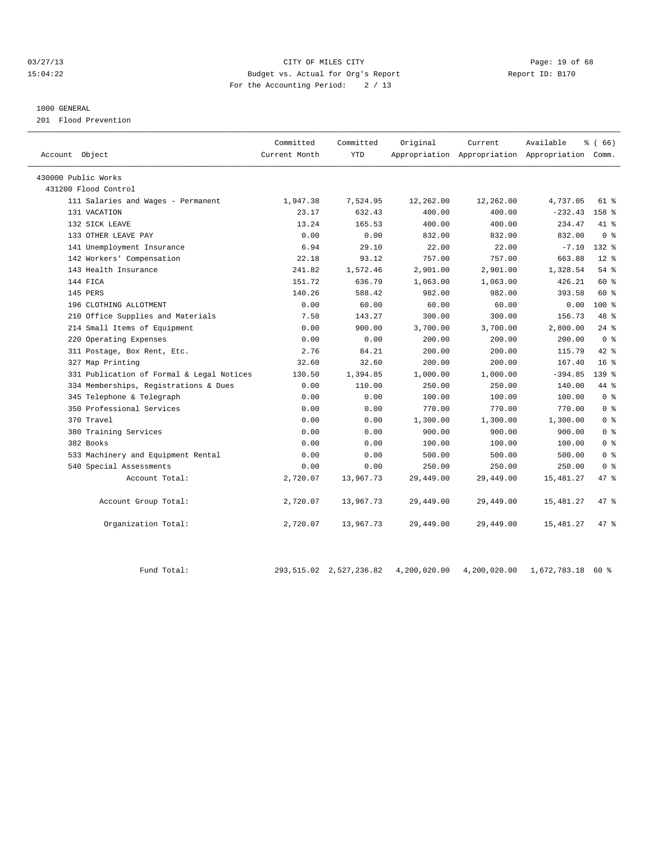#### 03/27/13 Page: 19 of 68 15:04:22 Budget vs. Actual for Org's Report Report ID: B170 For the Accounting Period: 2 / 13

#### 1000 GENERAL

201 Flood Prevention

| Account Object                            | Committed<br>Current Month | Committed<br><b>YTD</b> | Original  | Current<br>Appropriation Appropriation Appropriation Comm. | Available  | ී ( 66 )         |
|-------------------------------------------|----------------------------|-------------------------|-----------|------------------------------------------------------------|------------|------------------|
| 430000 Public Works                       |                            |                         |           |                                                            |            |                  |
| 431200 Flood Control                      |                            |                         |           |                                                            |            |                  |
| 111 Salaries and Wages - Permanent        | 1,947.38                   | 7,524.95                | 12,262.00 | 12,262.00                                                  | 4,737.05   | $61*$            |
| 131 VACATION                              | 23.17                      | 632.43                  | 400.00    | 400.00                                                     | $-232.43$  | 158 <sup>8</sup> |
| 132 SICK LEAVE                            | 13.24                      | 165.53                  | 400.00    | 400.00                                                     | 234.47     | $41*$            |
| 133 OTHER LEAVE PAY                       | 0.00                       | 0.00                    | 832.00    | 832.00                                                     | 832.00     | 0 <sup>8</sup>   |
| 141 Unemployment Insurance                | 6.94                       | 29.10                   | 22.00     | 22.00                                                      | $-7.10$    | 132 %            |
| 142 Workers' Compensation                 | 22.18                      | 93.12                   | 757.00    | 757.00                                                     | 663.88     | $12*$            |
| 143 Health Insurance                      | 241.82                     | 1,572.46                | 2,901.00  | 2,901.00                                                   | 1,328.54   | $54$ $%$         |
| 144 FICA                                  | 151.72                     | 636.79                  | 1,063.00  | 1,063.00                                                   | 426.21     | 60 %             |
| 145 PERS                                  | 140.26                     | 588.42                  | 982.00    | 982.00                                                     | 393.58     | 60 %             |
| 196 CLOTHING ALLOTMENT                    | 0.00                       | 60.00                   | 60.00     | 60.00                                                      | 0.00       | $100$ %          |
| 210 Office Supplies and Materials         | 7.50                       | 143.27                  | 300.00    | 300.00                                                     | 156.73     | 48 %             |
| 214 Small Items of Equipment              | 0.00                       | 900.00                  | 3,700.00  | 3,700.00                                                   | 2,800.00   | $24$ $%$         |
| 220 Operating Expenses                    | 0.00                       | 0.00                    | 200.00    | 200.00                                                     | 200.00     | 0 <sup>8</sup>   |
| 311 Postage, Box Rent, Etc.               | 2.76                       | 84.21                   | 200.00    | 200.00                                                     | 115.79     | $42*$            |
| 327 Map Printing                          | 32.60                      | 32.60                   | 200.00    | 200.00                                                     | 167.40     | 16 <sup>°</sup>  |
| 331 Publication of Formal & Legal Notices | 130.50                     | 1,394.85                | 1,000.00  | 1,000.00                                                   | $-394.85$  | 139 <sub>8</sub> |
| 334 Memberships, Registrations & Dues     | 0.00                       | 110.00                  | 250.00    | 250.00                                                     | 140.00     | 44 %             |
| 345 Telephone & Telegraph                 | 0.00                       | 0.00                    | 100.00    | 100.00                                                     | 100.00     | 0 <sup>8</sup>   |
| 350 Professional Services                 | 0.00                       | 0.00                    | 770.00    | 770.00                                                     | 770.00     | 0 <sup>8</sup>   |
| 370 Travel                                | 0.00                       | 0.00                    | 1,300.00  | 1,300.00                                                   | 1,300.00   | 0 <sup>°</sup>   |
| 380 Training Services                     | 0.00                       | 0.00                    | 900.00    | 900.00                                                     | 900.00     | 0 <sup>8</sup>   |
| 382 Books                                 | 0.00                       | 0.00                    | 100.00    | 100.00                                                     | 100.00     | 0 <sup>°</sup>   |
| 533 Machinery and Equipment Rental        | 0.00                       | 0.00                    | 500.00    | 500.00                                                     | 500.00     | 0 <sup>8</sup>   |
| 540 Special Assessments                   | 0.00                       | 0.00                    | 250.00    | 250.00                                                     | 250.00     | 0 <sup>8</sup>   |
| Account Total:                            | 2,720.07                   | 13,967.73               | 29,449.00 | 29,449.00                                                  | 15,481.27  | 47.8             |
| Account Group Total:                      | 2,720.07                   | 13,967.73               | 29,449.00 | 29,449.00                                                  | 15,481.27  | 47 %             |
| Organization Total:                       | 2,720.07                   | 13,967.73               | 29,449.00 | 29,449.00                                                  | 15, 481.27 | 47 %             |

Fund Total: 293,515.02 2,527,236.82 4,200,020.00 4,200,020.00 1,672,783.18 60 %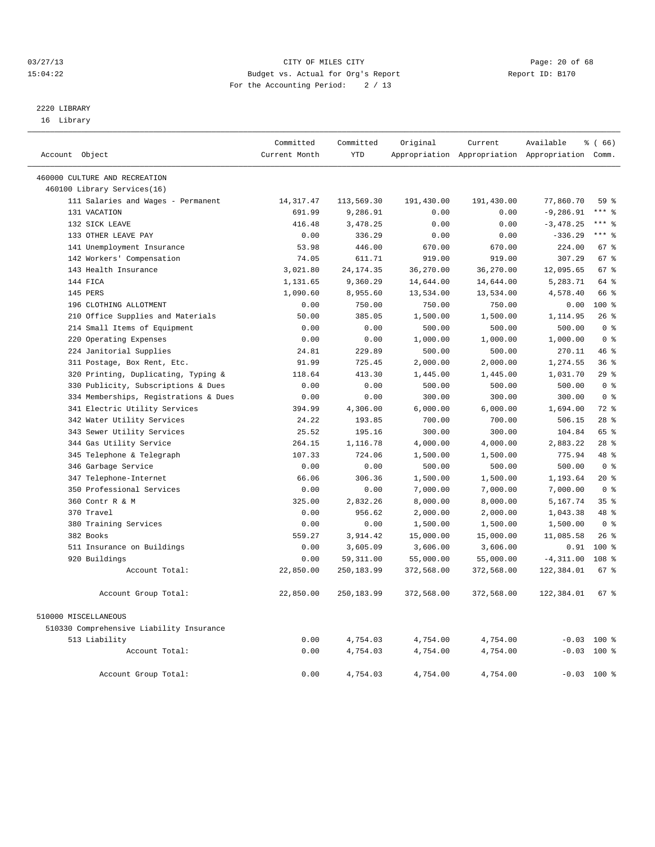#### 03/27/13 Page: 20 of 68 15:04:22 Budget vs. Actual for Org's Report Report ID: B170 For the Accounting Period: 2 / 13

## 2220 LIBRARY

16 Library

|                                          | Committed     | Committed   | Original   | Current                                         | Available    | $\frac{3}{6}$ (66) |
|------------------------------------------|---------------|-------------|------------|-------------------------------------------------|--------------|--------------------|
| Account Object                           | Current Month | <b>YTD</b>  |            | Appropriation Appropriation Appropriation Comm. |              |                    |
| 460000 CULTURE AND RECREATION            |               |             |            |                                                 |              |                    |
| 460100 Library Services(16)              |               |             |            |                                                 |              |                    |
| 111 Salaries and Wages - Permanent       | 14, 317.47    | 113,569.30  | 191,430.00 | 191,430.00                                      | 77,860.70    | 59 %               |
| 131 VACATION                             | 691.99        | 9,286.91    | 0.00       | 0.00                                            | $-9, 286.91$ | $***$ 8            |
| 132 SICK LEAVE                           | 416.48        | 3,478.25    | 0.00       | 0.00                                            | $-3,478.25$  | $***$ 8            |
| 133 OTHER LEAVE PAY                      | 0.00          | 336.29      | 0.00       | 0.00                                            | $-336.29$    | $***$ 8            |
| 141 Unemployment Insurance               | 53.98         | 446.00      | 670.00     | 670.00                                          | 224.00       | 67 <sup>8</sup>    |
| 142 Workers' Compensation                | 74.05         | 611.71      | 919.00     | 919.00                                          | 307.29       | 67 %               |
| 143 Health Insurance                     | 3,021.80      | 24, 174.35  | 36,270.00  | 36,270.00                                       | 12,095.65    | 67 %               |
| 144 FICA                                 | 1,131.65      | 9,360.29    | 14,644.00  | 14,644.00                                       | 5,283.71     | 64 %               |
| 145 PERS                                 | 1,090.60      | 8,955.60    | 13,534.00  | 13,534.00                                       | 4,578.40     | 66 %               |
| 196 CLOTHING ALLOTMENT                   | 0.00          | 750.00      | 750.00     | 750.00                                          | 0.00         | 100 %              |
| 210 Office Supplies and Materials        | 50.00         | 385.05      | 1,500.00   | 1,500.00                                        | 1,114.95     | 26%                |
| 214 Small Items of Equipment             | 0.00          | 0.00        | 500.00     | 500.00                                          | 500.00       | 0 <sup>8</sup>     |
| 220 Operating Expenses                   | 0.00          | 0.00        | 1,000.00   | 1,000.00                                        | 1,000.00     | 0 <sup>8</sup>     |
| 224 Janitorial Supplies                  | 24.81         | 229.89      | 500.00     | 500.00                                          | 270.11       | 46%                |
| 311 Postage, Box Rent, Etc.              | 91.99         | 725.45      | 2,000.00   | 2,000.00                                        | 1,274.55     | 36%                |
| 320 Printing, Duplicating, Typing &      | 118.64        | 413.30      | 1,445.00   | 1,445.00                                        | 1,031.70     | 29%                |
| 330 Publicity, Subscriptions & Dues      | 0.00          | 0.00        | 500.00     | 500.00                                          | 500.00       | 0 <sup>8</sup>     |
| 334 Memberships, Registrations & Dues    | 0.00          | 0.00        | 300.00     | 300.00                                          | 300.00       | 0 <sup>8</sup>     |
| 341 Electric Utility Services            | 394.99        | 4,306.00    | 6,000.00   | 6,000.00                                        | 1,694.00     | $72$ $%$           |
| 342 Water Utility Services               | 24.22         | 193.85      | 700.00     | 700.00                                          | 506.15       | $28$ $%$           |
| 343 Sewer Utility Services               | 25.52         | 195.16      | 300.00     | 300.00                                          | 104.84       | 65 %               |
| 344 Gas Utility Service                  | 264.15        | 1,116.78    | 4,000.00   | 4,000.00                                        | 2,883.22     | $28$ $%$           |
| 345 Telephone & Telegraph                | 107.33        | 724.06      | 1,500.00   | 1,500.00                                        | 775.94       | 48 %               |
| 346 Garbage Service                      | 0.00          | 0.00        | 500.00     | 500.00                                          | 500.00       | 0 <sup>8</sup>     |
| 347 Telephone-Internet                   | 66.06         | 306.36      | 1,500.00   | 1,500.00                                        | 1,193.64     | $20*$              |
| 350 Professional Services                | 0.00          | 0.00        | 7,000.00   | 7,000.00                                        | 7,000.00     | 0 <sup>8</sup>     |
| 360 Contr R & M                          | 325.00        | 2,832.26    | 8,000.00   | 8,000.00                                        | 5,167.74     | 35 <sup>8</sup>    |
| 370 Travel                               | 0.00          | 956.62      | 2,000.00   | 2,000.00                                        | 1,043.38     | 48 %               |
| 380 Training Services                    | 0.00          | 0.00        | 1,500.00   | 1,500.00                                        | 1,500.00     | 0 <sup>8</sup>     |
| 382 Books                                | 559.27        | 3,914.42    | 15,000.00  | 15,000.00                                       | 11,085.58    | 26%                |
| 511 Insurance on Buildings               | 0.00          | 3,605.09    | 3,606.00   | 3,606.00                                        | 0.91         | $100*$             |
| 920 Buildings                            | 0.00          | 59, 311.00  | 55,000.00  | 55,000.00                                       | $-4, 311.00$ | 108 %              |
| Account Total:                           | 22,850.00     | 250, 183.99 | 372,568.00 | 372,568.00                                      | 122,384.01   | 67 %               |
| Account Group Total:                     | 22,850.00     | 250,183.99  | 372,568.00 | 372,568.00                                      | 122,384.01   | 67 %               |
| 510000 MISCELLANEOUS                     |               |             |            |                                                 |              |                    |
| 510330 Comprehensive Liability Insurance |               |             |            |                                                 |              |                    |
| 513 Liability                            | 0.00          | 4,754.03    | 4,754.00   | 4,754.00                                        |              | $-0.03$ 100 %      |
| Account Total:                           | 0.00          | 4,754.03    | 4,754.00   | 4,754.00                                        |              | $-0.03$ 100 %      |
| Account Group Total:                     | 0.00          | 4,754.03    | 4,754.00   | 4,754.00                                        |              | $-0.03$ 100 %      |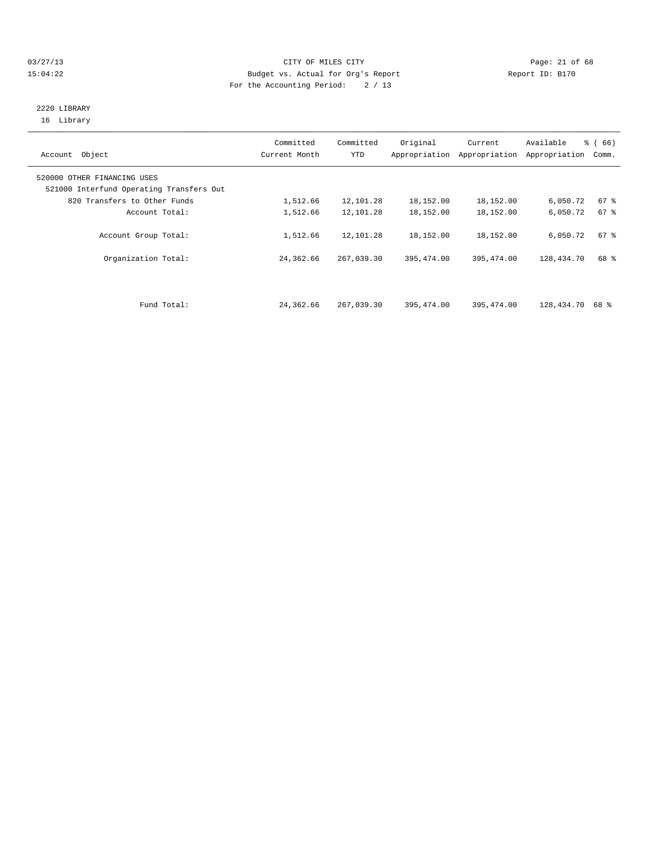#### 03/27/13 Page: 21 of 68 15:04:22 Budget vs. Actual for Org's Report Report ID: B170 For the Accounting Period: 2 / 13

#### 2220 LIBRARY 16 Library

| Account Object                                                          | Committed<br>Current Month | Committed<br>YTD | Original   | Current<br>Appropriation Appropriation | Available<br>Appropriation | % (66)<br>Comm. |
|-------------------------------------------------------------------------|----------------------------|------------------|------------|----------------------------------------|----------------------------|-----------------|
| 520000 OTHER FINANCING USES<br>521000 Interfund Operating Transfers Out |                            |                  |            |                                        |                            |                 |
| 820 Transfers to Other Funds                                            | 1,512.66                   | 12,101.28        | 18,152.00  | 18,152.00                              | 6,050.72                   | 67 %            |
| Account Total:                                                          | 1,512.66                   | 12,101.28        | 18,152.00  | 18,152.00                              | 6,050.72                   | $67$ $%$        |
| Account Group Total:                                                    | 1,512.66                   | 12,101.28        | 18,152.00  | 18,152.00                              | 6,050.72                   | 67 %            |
| Organization Total:                                                     | 24,362.66                  | 267,039.30       | 395,474.00 | 395, 474.00                            | 128,434.70                 | 68 %            |
|                                                                         |                            |                  |            |                                        |                            |                 |
| Fund Total:                                                             | 24,362.66                  | 267,039.30       | 395,474.00 | 395, 474, 00                           | 128,434.70                 | 68 %            |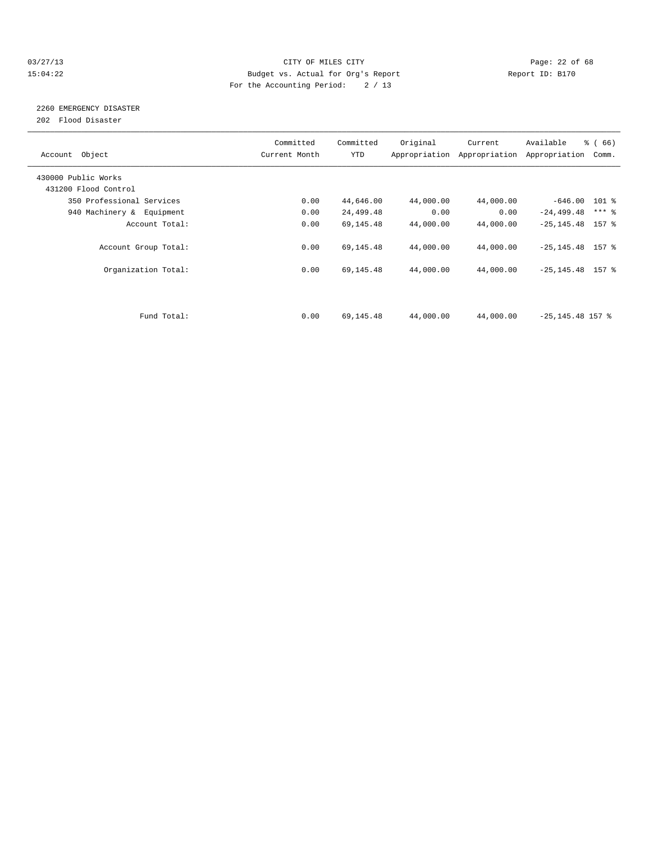#### 03/27/13 Page: 22 of 68 15:04:22 Budget vs. Actual for Org's Report Report ID: B170 For the Accounting Period: 2 / 13

## 2260 EMERGENCY DISASTER

202 Flood Disaster

| Account Object            | Committed<br>Current Month | Committed<br><b>YTD</b> | Original  | Current<br>Appropriation Appropriation | Available<br>Appropriation | $\frac{3}{6}$ (66)<br>Comm. |
|---------------------------|----------------------------|-------------------------|-----------|----------------------------------------|----------------------------|-----------------------------|
| 430000 Public Works       |                            |                         |           |                                        |                            |                             |
| 431200 Flood Control      |                            |                         |           |                                        |                            |                             |
| 350 Professional Services | 0.00                       | 44,646.00               | 44,000.00 | 44,000.00                              | $-646.00$ 101 %            |                             |
| 940 Machinery & Equipment | 0.00                       | 24,499.48               | 0.00      | 0.00                                   | $-24, 499.48$              | $***$ $-$                   |
| Account Total:            | 0.00                       | 69,145.48               | 44,000.00 | 44,000.00                              | $-25, 145.48$ 157 %        |                             |
| Account Group Total:      | 0.00                       | 69,145.48               | 44,000.00 | 44,000.00                              | $-25, 145.48$ 157 %        |                             |
| Organization Total:       | 0.00                       | 69,145.48               | 44,000.00 | 44,000.00                              | $-25, 145.48$ 157 %        |                             |
|                           |                            |                         |           |                                        |                            |                             |
| Fund Total:               | 0.00                       | 69,145.48               | 44,000.00 | 44,000.00                              | $-25, 145.48$ 157 %        |                             |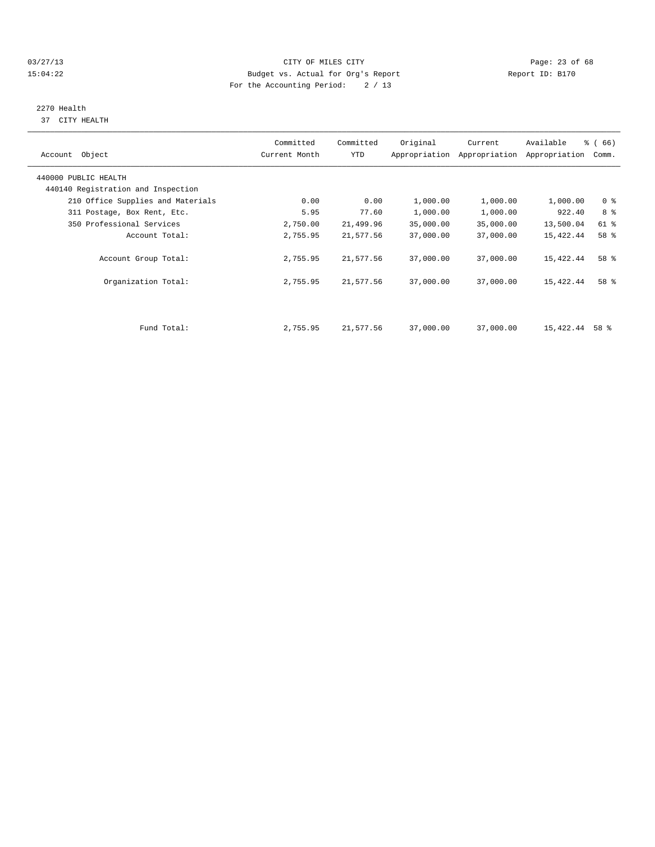#### 03/27/13 Page: 23 of 68 15:04:22 Budget vs. Actual for Org's Report Report ID: B170 For the Accounting Period: 2 / 13

# 2270 Health

37 CITY HEALTH

| Account Object                                             | Committed<br>Current Month | Committed<br>YTD | Original  | Current<br>Appropriation Appropriation | Available<br>Appropriation | % (66)<br>Comm. |
|------------------------------------------------------------|----------------------------|------------------|-----------|----------------------------------------|----------------------------|-----------------|
| 440000 PUBLIC HEALTH<br>440140 Registration and Inspection |                            |                  |           |                                        |                            |                 |
| 210 Office Supplies and Materials                          | 0.00                       | 0.00             | 1,000.00  | 1,000.00                               | 1,000.00                   | 0 <sup>8</sup>  |
| 311 Postage, Box Rent, Etc.                                | 5.95                       | 77.60            | 1,000.00  | 1,000.00                               | 922.40                     | 8 %             |
| 350 Professional Services                                  | 2,750.00                   | 21,499.96        | 35,000.00 | 35,000.00                              | 13,500.04                  | 61 %            |
| Account Total:                                             | 2,755.95                   | 21,577.56        | 37,000.00 | 37,000.00                              | 15,422.44                  | 58 %            |
| Account Group Total:                                       | 2,755.95                   | 21,577.56        | 37,000.00 | 37,000.00                              | 15,422.44                  | 58 %            |
| Organization Total:                                        | 2,755.95                   | 21,577.56        | 37,000.00 | 37,000.00                              | 15,422.44                  | 58 %            |
|                                                            |                            |                  |           |                                        |                            |                 |
| Fund Total:                                                | 2,755.95                   | 21,577.56        | 37,000.00 | 37,000.00                              | 15,422.44                  | 58 %            |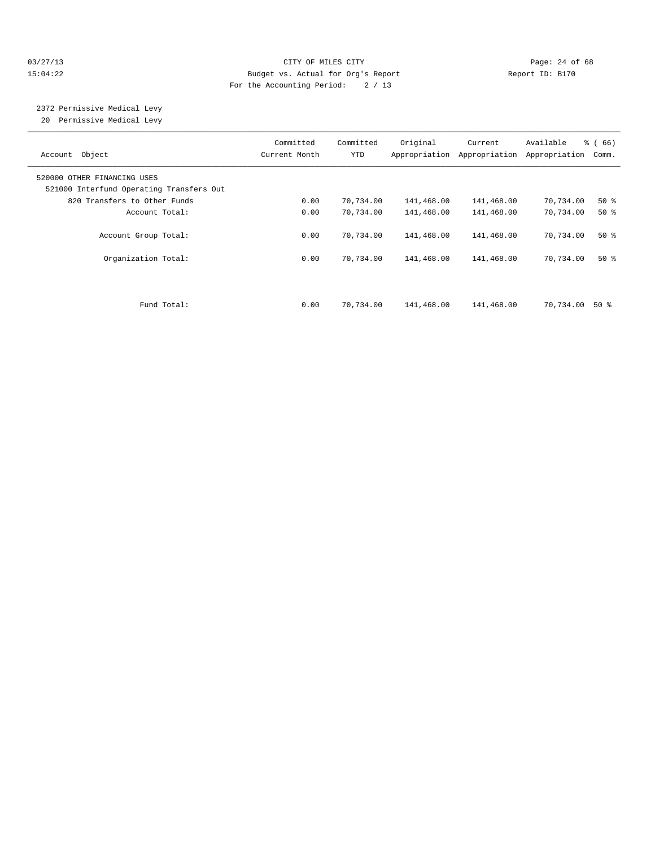#### 03/27/13 Page: 24 of 68 15:04:22 Budget vs. Actual for Org's Report Report ID: B170 For the Accounting Period: 2 / 13

 2372 Permissive Medical Levy 20 Permissive Medical Levy

| Account Object                                                          | Committed<br>Current Month | Committed<br>YTD | Original   | Current<br>Appropriation Appropriation | Available<br>Appropriation | % (66)<br>Comm. |
|-------------------------------------------------------------------------|----------------------------|------------------|------------|----------------------------------------|----------------------------|-----------------|
| 520000 OTHER FINANCING USES<br>521000 Interfund Operating Transfers Out |                            |                  |            |                                        |                            |                 |
| 820 Transfers to Other Funds                                            | 0.00                       | 70,734.00        | 141,468.00 | 141,468.00                             | 70,734.00                  | $50*$           |
| Account Total:                                                          | 0.00                       | 70,734.00        | 141,468.00 | 141,468.00                             | 70,734.00                  | $50*$           |
| Account Group Total:                                                    | 0.00                       | 70,734.00        | 141,468.00 | 141,468.00                             | 70,734.00                  | $50*$           |
| Organization Total:                                                     | 0.00                       | 70,734.00        | 141,468.00 | 141,468.00                             | 70,734.00                  | $50*$           |
| Fund Total:                                                             | 0.00                       | 70,734.00        | 141,468.00 | 141,468.00                             | 70,734.00                  | 50 %            |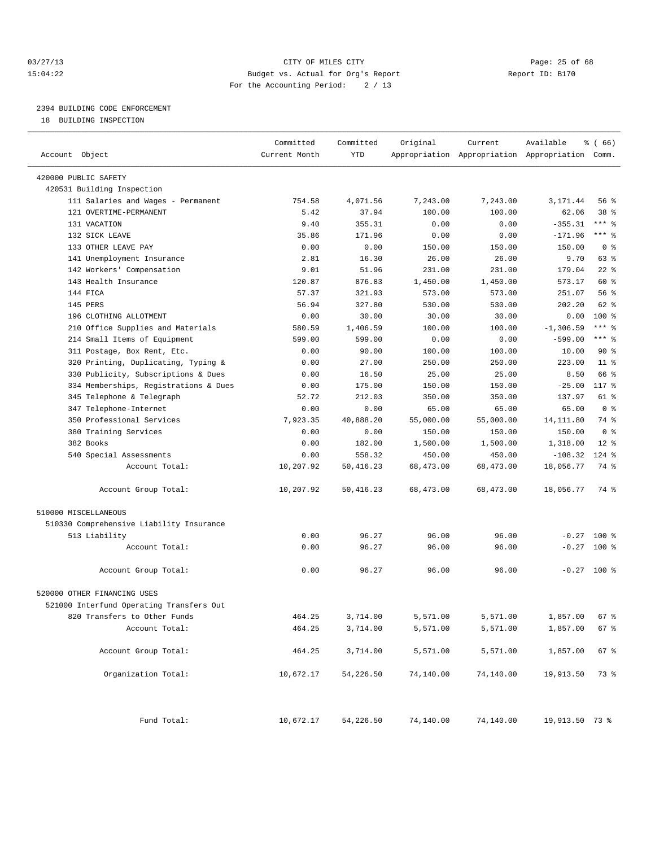#### 03/27/13 Page: 25 of 68 15:04:22 Budget vs. Actual for Org's Report Report ID: B170 For the Accounting Period: 2 / 13

————————————————————————————————————————————————————————————————————————————————————————————————————————————————————————————————————

## 2394 BUILDING CODE ENFORCEMENT

18 BUILDING INSPECTION

|                                          | Committed     | Committed | Original  | Current                                         | Available      | % (66)         |
|------------------------------------------|---------------|-----------|-----------|-------------------------------------------------|----------------|----------------|
| Account Object                           | Current Month | YTD       |           | Appropriation Appropriation Appropriation Comm. |                |                |
| 420000 PUBLIC SAFETY                     |               |           |           |                                                 |                |                |
| 420531 Building Inspection               |               |           |           |                                                 |                |                |
| 111 Salaries and Wages - Permanent       | 754.58        | 4,071.56  | 7,243.00  | 7,243.00                                        | 3,171.44       | 56 %           |
| 121 OVERTIME-PERMANENT                   | 5.42          | 37.94     | 100.00    | 100.00                                          | 62.06          | 38 %           |
| 131 VACATION                             | 9.40          | 355.31    | 0.00      | 0.00                                            | $-355.31$      | *** %          |
| 132 SICK LEAVE                           | 35.86         | 171.96    | 0.00      | 0.00                                            | $-171.96$      | *** 응          |
| 133 OTHER LEAVE PAY                      | 0.00          | 0.00      | 150.00    | 150.00                                          | 150.00         | 0 <sup>8</sup> |
| 141 Unemployment Insurance               | 2.81          | 16.30     | 26.00     | 26.00                                           | 9.70           | 63 %           |
| 142 Workers' Compensation                | 9.01          | 51.96     | 231.00    | 231.00                                          | 179.04         | $22$ %         |
| 143 Health Insurance                     | 120.87        | 876.83    | 1,450.00  | 1,450.00                                        | 573.17         | 60 %           |
| 144 FICA                                 | 57.37         | 321.93    | 573.00    | 573.00                                          | 251.07         | 56%            |
| 145 PERS                                 | 56.94         | 327.80    | 530.00    | 530.00                                          | 202.20         | 62 %           |
| 196 CLOTHING ALLOTMENT                   | 0.00          | 30.00     | 30.00     | 30.00                                           | 0.00           | $100*$         |
| 210 Office Supplies and Materials        | 580.59        | 1,406.59  | 100.00    | 100.00                                          | $-1, 306.59$   | $***$ $_{8}$   |
| 214 Small Items of Equipment             | 599.00        | 599.00    | 0.00      | 0.00                                            | $-599.00$      | *** %          |
| 311 Postage, Box Rent, Etc.              | 0.00          | 90.00     | 100.00    | 100.00                                          | 10.00          | 90%            |
| 320 Printing, Duplicating, Typing &      | 0.00          | 27.00     | 250.00    | 250.00                                          | 223.00         | $11*$          |
| 330 Publicity, Subscriptions & Dues      | 0.00          | 16.50     | 25.00     | 25.00                                           | 8.50           | 66 %           |
| 334 Memberships, Registrations & Dues    | 0.00          | 175.00    | 150.00    | 150.00                                          | $-25.00$       | 117 %          |
| 345 Telephone & Telegraph                | 52.72         | 212.03    | 350.00    | 350.00                                          | 137.97         | 61 %           |
| 347 Telephone-Internet                   | 0.00          | 0.00      | 65.00     | 65.00                                           | 65.00          | 0 <sup>8</sup> |
| 350 Professional Services                | 7,923.35      | 40,888.20 | 55,000.00 | 55,000.00                                       | 14, 111.80     | 74 %           |
| 380 Training Services                    | 0.00          | 0.00      | 150.00    | 150.00                                          | 150.00         | 0 <sup>8</sup> |
| 382 Books                                | 0.00          | 182.00    | 1,500.00  | 1,500.00                                        | 1,318.00       | $12$ %         |
| 540 Special Assessments                  | 0.00          | 558.32    | 450.00    | 450.00                                          | $-108.32$      | $124$ %        |
| Account Total:                           | 10,207.92     | 50,416.23 | 68,473.00 | 68,473.00                                       | 18,056.77      | 74 %           |
| Account Group Total:                     | 10,207.92     | 50,416.23 | 68,473.00 | 68,473.00                                       | 18,056.77      | 74 %           |
| 510000 MISCELLANEOUS                     |               |           |           |                                                 |                |                |
| 510330 Comprehensive Liability Insurance |               |           |           |                                                 |                |                |
| 513 Liability                            | 0.00          | 96.27     | 96.00     | 96.00                                           | $-0.27$        | $100$ %        |
| Account Total:                           | 0.00          | 96.27     | 96.00     | 96.00                                           | $-0.27$        | 100 %          |
|                                          |               |           |           |                                                 |                |                |
| Account Group Total:                     | 0.00          | 96.27     | 96.00     | 96.00                                           |                | $-0.27$ 100 %  |
| 520000 OTHER FINANCING USES              |               |           |           |                                                 |                |                |
| 521000 Interfund Operating Transfers Out |               |           |           |                                                 |                |                |
| 820 Transfers to Other Funds             | 464.25        | 3,714.00  | 5,571.00  | 5,571.00                                        | 1,857.00       | 67 %           |
| Account Total:                           | 464.25        | 3,714.00  | 5,571.00  | 5,571.00                                        | 1,857.00       | 67 %           |
|                                          |               |           |           |                                                 |                |                |
| Account Group Total:                     | 464.25        | 3,714.00  | 5,571.00  | 5,571.00                                        | 1,857.00       | 67 %           |
| Organization Total:                      | 10,672.17     | 54,226.50 | 74,140.00 | 74,140.00                                       | 19,913.50      | 73 %           |
| Fund Total:                              | 10,672.17     | 54,226.50 | 74,140.00 | 74,140.00                                       | 19,913.50 73 % |                |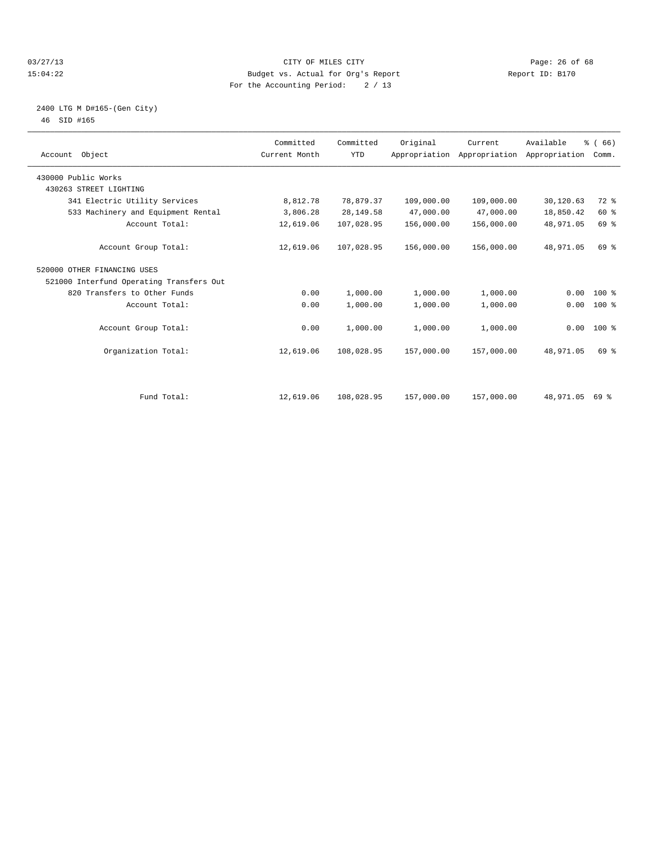#### 03/27/13 Page: 26 of 68 15:04:22 Budget vs. Actual for Org's Report Report ID: B170 For the Accounting Period: 2 / 13

#### 2400 LTG M D#165-(Gen City) 46 SID #165

| Account Object                           | Committed<br>Current Month | Committed<br><b>YTD</b> | Original   | Current<br>Appropriation Appropriation Appropriation | Available | % (66)<br>Comm. |  |
|------------------------------------------|----------------------------|-------------------------|------------|------------------------------------------------------|-----------|-----------------|--|
| 430000 Public Works                      |                            |                         |            |                                                      |           |                 |  |
| 430263 STREET LIGHTING                   |                            |                         |            |                                                      |           |                 |  |
| 341 Electric Utility Services            | 8,812.78                   | 78,879.37               | 109,000.00 | 109,000.00                                           | 30,120.63 | $72$ $%$        |  |
| 533 Machinery and Equipment Rental       | 3,806.28                   | 28,149.58               | 47,000.00  | 47,000.00                                            | 18,850.42 | 60 %            |  |
| Account Total:                           | 12,619.06                  | 107,028.95              | 156,000.00 | 156,000.00                                           | 48,971.05 | 69 %            |  |
| Account Group Total:                     | 12,619.06                  | 107,028.95              | 156,000.00 | 156,000.00                                           | 48,971.05 | 69 %            |  |
| 520000 OTHER FINANCING USES              |                            |                         |            |                                                      |           |                 |  |
| 521000 Interfund Operating Transfers Out |                            |                         |            |                                                      |           |                 |  |
| 820 Transfers to Other Funds             | 0.00                       | 1,000.00                | 1,000.00   | 1,000.00                                             | 0.00      | $100*$          |  |
| Account Total:                           | 0.00                       | 1,000.00                | 1,000.00   | 1,000.00                                             | 0.00      | $100*$          |  |
| Account Group Total:                     | 0.00                       | 1,000.00                | 1,000.00   | 1,000.00                                             |           | $0.00$ 100 %    |  |
| Organization Total:                      | 12,619.06                  | 108,028.95              | 157,000.00 | 157,000.00                                           | 48,971.05 | 69 %            |  |
|                                          |                            |                         |            |                                                      |           |                 |  |
| Fund Total:                              | 12,619.06                  | 108,028.95              | 157,000.00 | 157,000.00                                           | 48,971.05 | 69 %            |  |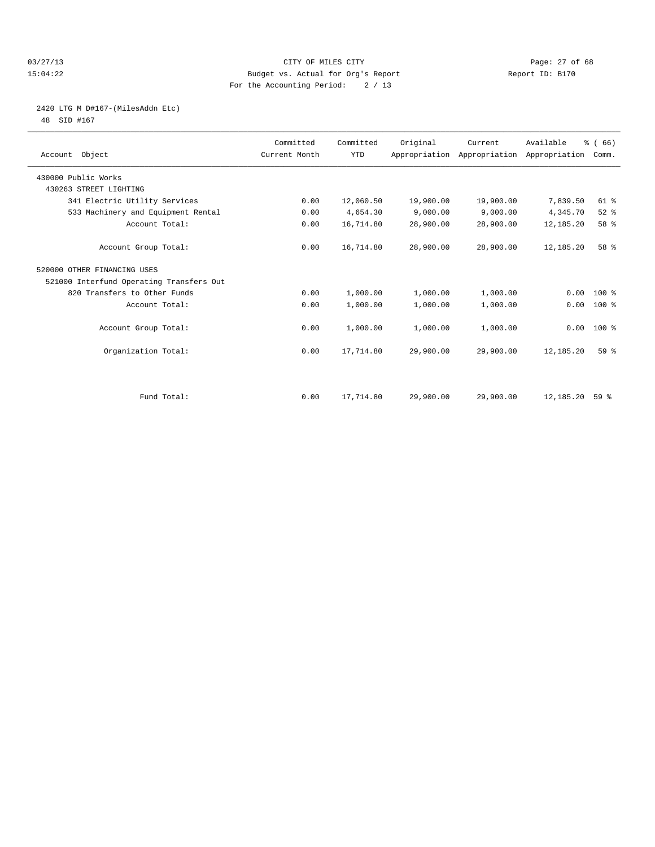#### 03/27/13 Page: 27 of 68 15:04:22 Budget vs. Actual for Org's Report Report ID: B170 For the Accounting Period: 2 / 13

## 2420 LTG M D#167-(MilesAddn Etc)

48 SID #167

| Account Object                           | Committed<br>Current Month | Committed<br><b>YTD</b> | Original  | Current<br>Appropriation Appropriation Appropriation | Available | % (66)<br>Comm. |  |
|------------------------------------------|----------------------------|-------------------------|-----------|------------------------------------------------------|-----------|-----------------|--|
| 430000 Public Works                      |                            |                         |           |                                                      |           |                 |  |
| 430263 STREET LIGHTING                   |                            |                         |           |                                                      |           |                 |  |
| 341 Electric Utility Services            | 0.00                       | 12,060.50               | 19,900.00 | 19,900.00                                            | 7,839.50  | 61 %            |  |
| 533 Machinery and Equipment Rental       | 0.00                       | 4,654.30                | 9,000.00  | 9,000.00                                             | 4,345.70  | $52$ $%$        |  |
| Account Total:                           | 0.00                       | 16,714.80               | 28,900.00 | 28,900.00                                            | 12,185.20 | 58 %            |  |
| Account Group Total:                     | 0.00                       | 16,714.80               | 28,900.00 | 28,900.00                                            | 12,185.20 | 58 %            |  |
| 520000 OTHER FINANCING USES              |                            |                         |           |                                                      |           |                 |  |
| 521000 Interfund Operating Transfers Out |                            |                         |           |                                                      |           |                 |  |
| 820 Transfers to Other Funds             | 0.00                       | 1,000.00                | 1,000.00  | 1,000.00                                             | 0.00      | 100 %           |  |
| Account Total:                           | 0.00                       | 1,000.00                | 1,000.00  | 1,000.00                                             | 0.00      | 100 %           |  |
| Account Group Total:                     | 0.00                       | 1,000.00                | 1,000.00  | 1,000.00                                             |           | $0.00$ 100 %    |  |
| Organization Total:                      | 0.00                       | 17,714.80               | 29,900.00 | 29,900.00                                            | 12,185.20 | 59 <sup>8</sup> |  |
|                                          |                            |                         |           |                                                      |           |                 |  |
| Fund Total:                              | 0.00                       | 17,714.80               | 29,900.00 | 29,900.00                                            | 12,185.20 | 59%             |  |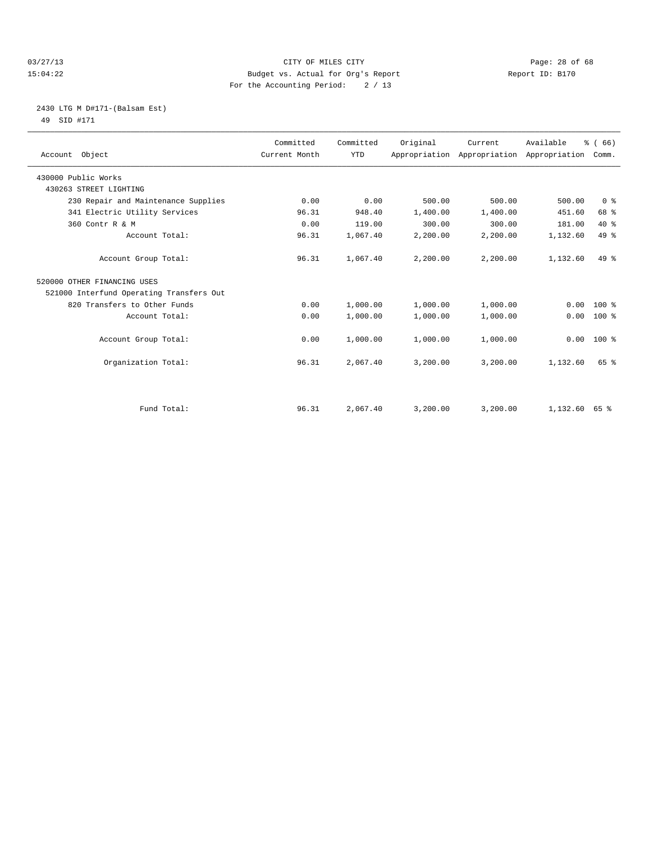#### 03/27/13 Page: 28 of 68 15:04:22 Budget vs. Actual for Org's Report Report ID: B170 For the Accounting Period: 2 / 13

#### 2430 LTG M D#171-(Balsam Est) 49 SID #171

| Account Object                           | Committed<br>Current Month | Committed<br><b>YTD</b> | Original | Current<br>Appropriation Appropriation Appropriation | Available | % (66)<br>Comm. |  |
|------------------------------------------|----------------------------|-------------------------|----------|------------------------------------------------------|-----------|-----------------|--|
| 430000 Public Works                      |                            |                         |          |                                                      |           |                 |  |
| 430263 STREET LIGHTING                   |                            |                         |          |                                                      |           |                 |  |
| 230 Repair and Maintenance Supplies      | 0.00                       | 0.00                    | 500.00   | 500.00                                               | 500.00    | 0 <sup>8</sup>  |  |
| 341 Electric Utility Services            | 96.31                      | 948.40                  | 1,400.00 | 1,400.00                                             | 451.60    | 68 %            |  |
| 360 Contr R & M                          | 0.00                       | 119.00                  | 300.00   | 300.00                                               | 181.00    | $40*$           |  |
| Account Total:                           | 96.31                      | 1,067.40                | 2,200.00 | 2,200.00                                             | 1,132.60  | 49 %            |  |
| Account Group Total:                     | 96.31                      | 1,067.40                | 2,200.00 | 2,200.00                                             | 1,132.60  | $49*$           |  |
| 520000 OTHER FINANCING USES              |                            |                         |          |                                                      |           |                 |  |
| 521000 Interfund Operating Transfers Out |                            |                         |          |                                                      |           |                 |  |
| 820 Transfers to Other Funds             | 0.00                       | 1,000.00                | 1,000.00 | 1,000.00                                             | 0.00      | $100*$          |  |
| Account Total:                           | 0.00                       | 1,000.00                | 1,000.00 | 1,000.00                                             | 0.00      | $100*$          |  |
| Account Group Total:                     | 0.00                       | 1,000.00                | 1,000.00 | 1,000.00                                             | 0.00      | $100*$          |  |
| Organization Total:                      | 96.31                      | 2,067.40                | 3,200.00 | 3,200.00                                             | 1,132.60  | 65 %            |  |
|                                          |                            |                         |          |                                                      |           |                 |  |
| Fund Total:                              | 96.31                      | 2,067.40                | 3,200.00 | 3,200.00                                             | 1,132.60  | 65 %            |  |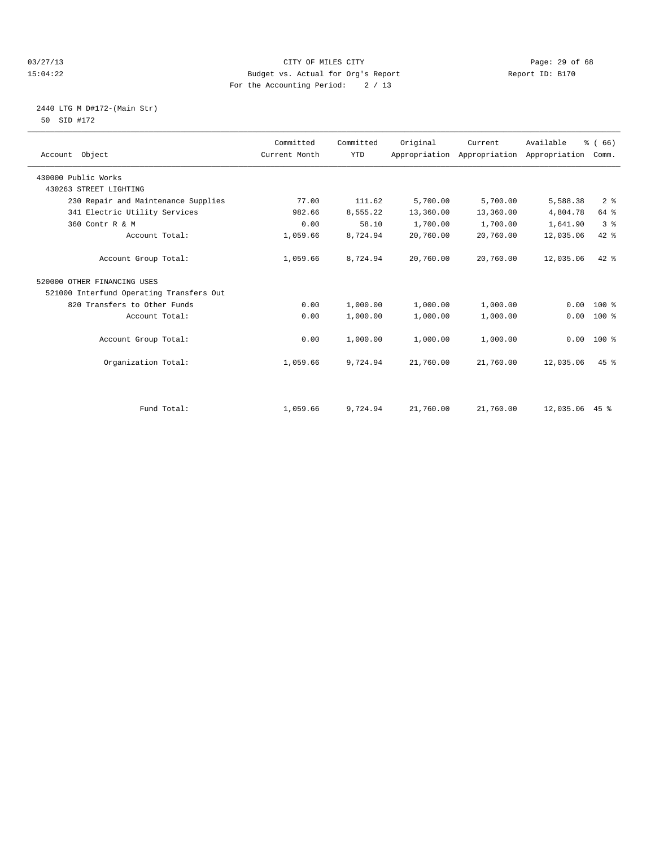#### 03/27/13 Page: 29 of 68 15:04:22 Budget vs. Actual for Org's Report Report ID: B170 For the Accounting Period: 2 / 13

#### 2440 LTG M D#172-(Main Str) 50 SID #172

| Account Object                           | Committed<br>Current Month | Committed<br><b>YTD</b> | Original  | Current<br>Appropriation Appropriation | Available<br>Appropriation | % (66)<br>Comm. |  |
|------------------------------------------|----------------------------|-------------------------|-----------|----------------------------------------|----------------------------|-----------------|--|
| 430000 Public Works                      |                            |                         |           |                                        |                            |                 |  |
| 430263 STREET LIGHTING                   |                            |                         |           |                                        |                            |                 |  |
| 230 Repair and Maintenance Supplies      | 77.00                      | 111.62                  | 5,700.00  | 5,700.00                               | 5,588.38                   | 2 <sup>8</sup>  |  |
| 341 Electric Utility Services            | 982.66                     | 8,555.22                | 13,360.00 | 13,360.00                              | 4,804.78                   | 64 %            |  |
| 360 Contr R & M                          | 0.00                       | 58.10                   | 1,700.00  | 1,700.00                               | 1,641.90                   | 3 <sup>8</sup>  |  |
| Account Total:                           | 1,059.66                   | 8,724.94                | 20,760.00 | 20,760.00                              | 12,035.06                  | 42 %            |  |
| Account Group Total:                     | 1,059.66                   | 8,724.94                | 20,760.00 | 20,760.00                              | 12,035.06                  | $42*$           |  |
| 520000 OTHER FINANCING USES              |                            |                         |           |                                        |                            |                 |  |
| 521000 Interfund Operating Transfers Out |                            |                         |           |                                        |                            |                 |  |
| 820 Transfers to Other Funds             | 0.00                       | 1,000.00                | 1,000.00  | 1,000.00                               | 0.00                       | $100*$          |  |
| Account Total:                           | 0.00                       | 1,000.00                | 1,000.00  | 1,000.00                               | 0.00                       | $100*$          |  |
| Account Group Total:                     | 0.00                       | 1,000.00                | 1,000.00  | 1,000.00                               | 0.00                       | $100*$          |  |
| Organization Total:                      | 1,059.66                   | 9,724.94                | 21,760.00 | 21,760.00                              | 12,035.06                  | $45$ $%$        |  |
|                                          |                            |                         |           |                                        |                            |                 |  |
| Fund Total:                              | 1,059.66                   | 9,724.94                | 21,760.00 | 21,760.00                              | 12,035.06 45 %             |                 |  |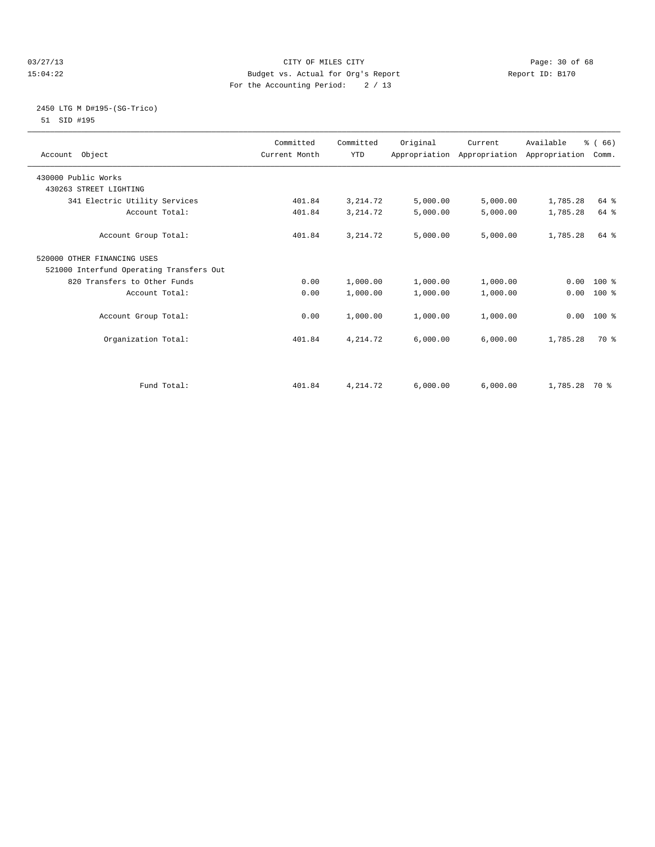#### 03/27/13 Page: 30 of 68 15:04:22 Budget vs. Actual for Org's Report Report ID: B170 For the Accounting Period: 2 / 13

#### 2450 LTG M D#195-(SG-Trico) 51 SID #195

| Account Object                           | Committed<br>Current Month | Committed<br><b>YTD</b> | Original | Current<br>Appropriation Appropriation Appropriation | Available     | % (66)<br>Comm. |  |
|------------------------------------------|----------------------------|-------------------------|----------|------------------------------------------------------|---------------|-----------------|--|
| 430000 Public Works                      |                            |                         |          |                                                      |               |                 |  |
| 430263 STREET LIGHTING                   |                            |                         |          |                                                      |               |                 |  |
| 341 Electric Utility Services            | 401.84                     | 3, 214.72               | 5,000.00 | 5,000.00                                             | 1,785.28      | 64 %            |  |
| Account Total:                           | 401.84                     | 3, 214.72               | 5,000.00 | 5,000.00                                             | 1,785.28      | 64 %            |  |
| Account Group Total:                     | 401.84                     | 3, 214.72               | 5,000.00 | 5,000.00                                             | 1,785.28      | 64 %            |  |
| 520000 OTHER FINANCING USES              |                            |                         |          |                                                      |               |                 |  |
| 521000 Interfund Operating Transfers Out |                            |                         |          |                                                      |               |                 |  |
| 820 Transfers to Other Funds             | 0.00                       | 1,000.00                | 1,000.00 | 1,000.00                                             |               | $0.00 100$ %    |  |
| Account Total:                           | 0.00                       | 1,000.00                | 1,000.00 | 1,000.00                                             | 0.00          | 100 %           |  |
| Account Group Total:                     | 0.00                       | 1,000.00                | 1,000.00 | 1,000.00                                             |               | $0.00$ 100 %    |  |
| Organization Total:                      | 401.84                     | 4, 214.72               | 6,000.00 | 6,000.00                                             | 1,785.28      | 70 %            |  |
|                                          |                            |                         |          |                                                      |               |                 |  |
| Fund Total:                              | 401.84                     | 4, 214.72               | 6,000.00 | 6,000.00                                             | 1,785.28 70 % |                 |  |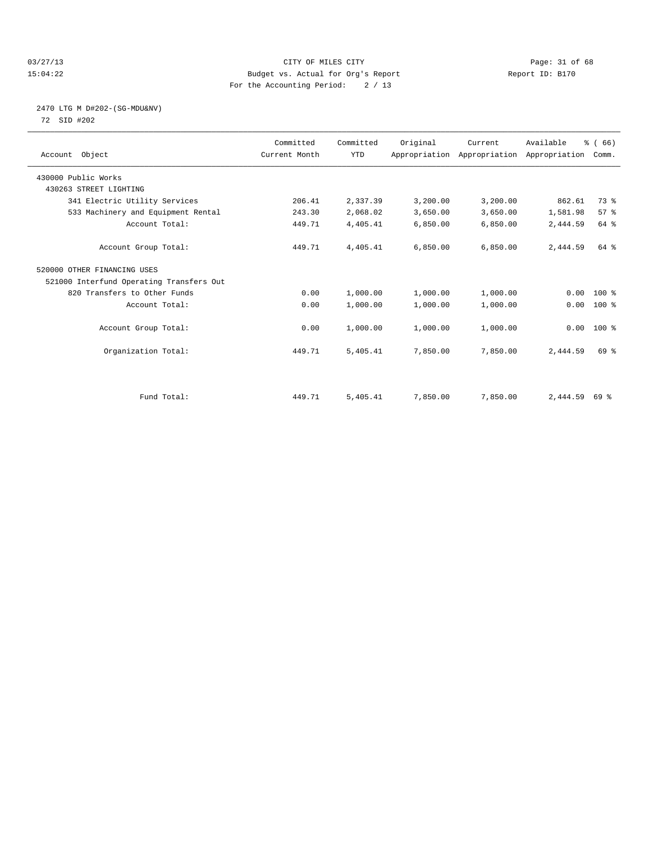#### 03/27/13 Page: 31 of 68 15:04:22 Budget vs. Actual for Org's Report Report ID: B170 For the Accounting Period: 2 / 13

#### 2470 LTG M D#202-(SG-MDU&NV) 72 SID #202

| Account Object                           | Committed<br>Current Month | Committed<br><b>YTD</b> | Original | Current<br>Appropriation Appropriation Appropriation | Available | % (66)<br>Comm. |  |
|------------------------------------------|----------------------------|-------------------------|----------|------------------------------------------------------|-----------|-----------------|--|
| 430000 Public Works                      |                            |                         |          |                                                      |           |                 |  |
| 430263 STREET LIGHTING                   |                            |                         |          |                                                      |           |                 |  |
| 341 Electric Utility Services            | 206.41                     | 2,337.39                | 3,200.00 | 3,200.00                                             | 862.61    | 73 %            |  |
| 533 Machinery and Equipment Rental       | 243.30                     | 2,068.02                | 3,650.00 | 3,650.00                                             | 1,581.98  | 57%             |  |
| Account Total:                           | 449.71                     | 4,405.41                | 6,850.00 | 6,850.00                                             | 2,444.59  | 64 %            |  |
| Account Group Total:                     | 449.71                     | 4,405.41                | 6.850.00 | 6,850.00                                             | 2,444.59  | 64 %            |  |
| 520000 OTHER FINANCING USES              |                            |                         |          |                                                      |           |                 |  |
| 521000 Interfund Operating Transfers Out |                            |                         |          |                                                      |           |                 |  |
| 820 Transfers to Other Funds             | 0.00                       | 1,000.00                | 1,000.00 | 1,000.00                                             | 0.00      | 100 %           |  |
| Account Total:                           | 0.00                       | 1,000.00                | 1,000.00 | 1,000.00                                             | 0.00      | 100 %           |  |
| Account Group Total:                     | 0.00                       | 1,000.00                | 1,000.00 | 1,000.00                                             | 0.00      | 100 %           |  |
| Organization Total:                      | 449.71                     | 5,405.41                | 7,850.00 | 7,850.00                                             | 2,444.59  | 69 %            |  |
|                                          |                            |                         |          |                                                      |           |                 |  |
| Fund Total:                              | 449.71                     | 5,405.41                | 7,850.00 | 7,850.00                                             | 2,444.59  | 69 %            |  |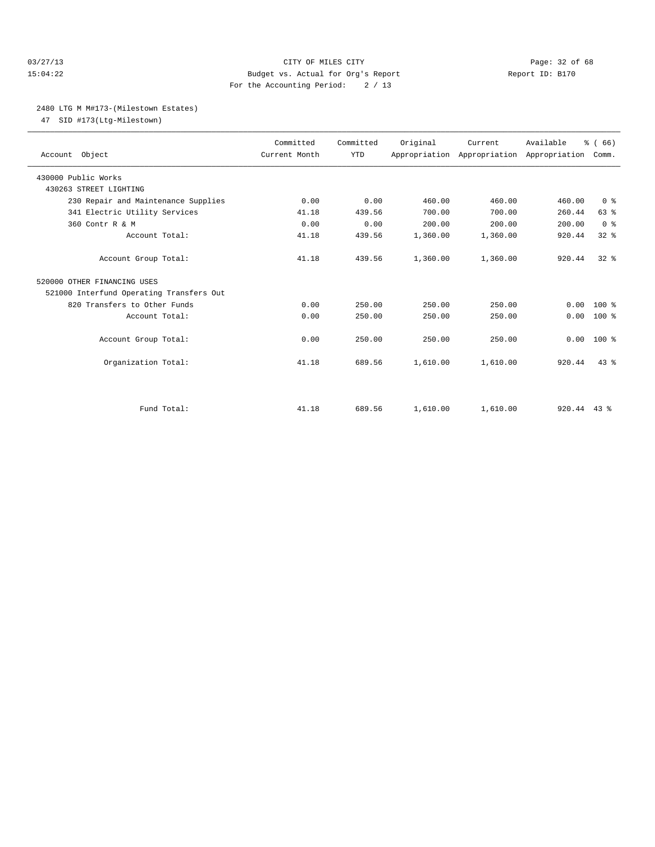#### 03/27/13 Page: 32 of 68 15:04:22 Budget vs. Actual for Org's Report Report ID: B170 For the Accounting Period: 2 / 13

#### 2480 LTG M M#173-(Milestown Estates)

47 SID #173(Ltg-Milestown)

| Account Object                           | Committed<br>Current Month | Committed<br><b>YTD</b> | Original | Current<br>Appropriation Appropriation Appropriation | Available     | % (66)<br>Comm. |  |
|------------------------------------------|----------------------------|-------------------------|----------|------------------------------------------------------|---------------|-----------------|--|
| 430000 Public Works                      |                            |                         |          |                                                      |               |                 |  |
| 430263 STREET LIGHTING                   |                            |                         |          |                                                      |               |                 |  |
| 230 Repair and Maintenance Supplies      | 0.00                       | 0.00                    | 460.00   | 460.00                                               | 460.00        | 0 <sup>8</sup>  |  |
| 341 Electric Utility Services            | 41.18                      | 439.56                  | 700.00   | 700.00                                               | 260.44        | 63%             |  |
| 360 Contr R & M                          | 0.00                       | 0.00                    | 200.00   | 200.00                                               | 200.00        | 0 <sup>8</sup>  |  |
| Account Total:                           | 41.18                      | 439.56                  | 1,360.00 | 1,360.00                                             | 920.44        | $32$ $%$        |  |
| Account Group Total:                     | 41.18                      | 439.56                  | 1,360.00 | 1,360.00                                             | 920.44        | $32*$           |  |
| 520000 OTHER FINANCING USES              |                            |                         |          |                                                      |               |                 |  |
| 521000 Interfund Operating Transfers Out |                            |                         |          |                                                      |               |                 |  |
| 820 Transfers to Other Funds             | 0.00                       | 250.00                  | 250.00   | 250.00                                               | 0.00          | $100*$          |  |
| Account Total:                           | 0.00                       | 250.00                  | 250.00   | 250.00                                               | 0.00          | $100*$          |  |
| Account Group Total:                     | 0.00                       | 250.00                  | 250.00   | 250.00                                               | 0.00          | $100*$          |  |
| Organization Total:                      | 41.18                      | 689.56                  | 1,610.00 | 1,610.00                                             | 920.44        | 43.8            |  |
|                                          |                            |                         |          |                                                      |               |                 |  |
| Fund Total:                              | 41.18                      | 689.56                  | 1,610.00 | 1,610.00                                             | $920.44$ 43 % |                 |  |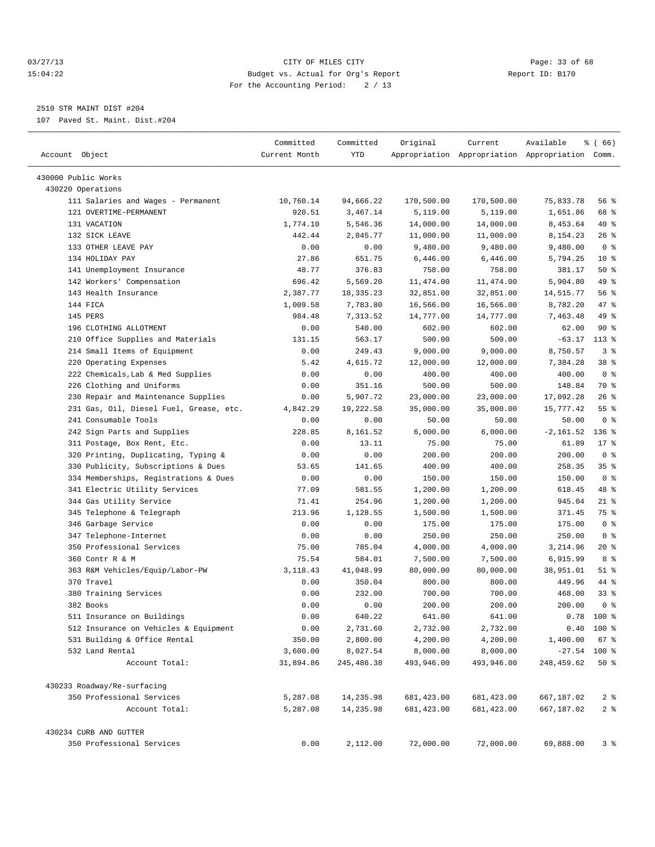#### 03/27/13 Page: 33 of 68 15:04:22 Budget vs. Actual for Org's Report Report ID: B170 For the Accounting Period: 2 / 13

————————————————————————————————————————————————————————————————————————————————————————————————————————————————————————————————————

## 2510 STR MAINT DIST #204

107 Paved St. Maint. Dist.#204

| Account Object                                  | Committed<br>Current Month | Committed<br>YTD       | Original               | Current                | Available<br>Appropriation Appropriation Appropriation Comm. | ៖ ( 66)         |
|-------------------------------------------------|----------------------------|------------------------|------------------------|------------------------|--------------------------------------------------------------|-----------------|
| 430000 Public Works                             |                            |                        |                        |                        |                                                              |                 |
| 430220 Operations                               |                            |                        |                        |                        |                                                              |                 |
| 111 Salaries and Wages - Permanent              | 10,760.14                  | 94,666.22              | 170,500.00             | 170,500.00             | 75,833.78                                                    | 56 %            |
| 121 OVERTIME-PERMANENT                          | 920.51                     | 3,467.14               | 5,119.00               | 5,119.00               | 1,651.86                                                     | 68 %            |
| 131 VACATION                                    | 1,774.10                   | 5,546.36               | 14,000.00              | 14,000.00              | 8,453.64                                                     | 40 %            |
| 132 SICK LEAVE                                  | 442.44                     | 2,845.77               | 11,000.00              | 11,000.00              | 8,154.23                                                     | $26$ %          |
| 133 OTHER LEAVE PAY                             | 0.00                       | 0.00                   | 9,480.00               | 9,480.00               | 9,480.00                                                     | 0 <sup>8</sup>  |
| 134 HOLIDAY PAY                                 | 27.86                      | 651.75                 | 6,446.00               | 6,446.00               | 5,794.25                                                     | $10*$           |
| 141 Unemployment Insurance                      | 48.77                      | 376.83                 | 758.00                 | 758.00                 | 381.17                                                       | 50%             |
| 142 Workers' Compensation                       | 696.42                     | 5,569.20               | 11,474.00              | 11, 474.00             | 5,904.80                                                     | 49 %            |
| 143 Health Insurance                            | 2,387.77                   | 18, 335. 23            | 32,851.00              | 32,851.00              | 14,515.77                                                    | 56 %            |
| 144 FICA                                        | 1,009.58                   | 7,783.80               | 16,566.00              | 16,566.00              | 8,782.20                                                     | 47 %            |
| 145 PERS                                        | 984.48                     | 7,313.52               | 14,777.00              | 14,777.00              | 7,463.48                                                     | 49 %            |
| 196 CLOTHING ALLOTMENT                          | 0.00                       | 540.00                 | 602.00                 | 602.00                 | 62.00                                                        | 90%             |
| 210 Office Supplies and Materials               | 131.15                     | 563.17                 | 500.00                 | 500.00                 | $-63.17$                                                     | $113*$          |
| 214 Small Items of Equipment                    | 0.00                       | 249.43                 | 9,000.00               | 9,000.00               | 8,750.57                                                     | 3%              |
| 220 Operating Expenses                          | 5.42                       | 4,615.72               | 12,000.00              | 12,000.00              | 7,384.28                                                     | 38 <sup>8</sup> |
| 222 Chemicals, Lab & Med Supplies               | 0.00                       | 0.00                   | 400.00                 | 400.00                 | 400.00                                                       | 0 <sup>8</sup>  |
| 226 Clothing and Uniforms                       | 0.00                       | 351.16                 | 500.00                 | 500.00                 | 148.84                                                       | 70 %            |
| 230 Repair and Maintenance Supplies             | 0.00                       | 5,907.72               | 23,000.00              | 23,000.00              | 17,092.28                                                    | $26$ %          |
| 231 Gas, Oil, Diesel Fuel, Grease, etc.         | 4,842.29                   | 19,222.58              | 35,000.00              | 35,000.00              | 15,777.42                                                    | 55 <sup>8</sup> |
| 241 Consumable Tools                            | 0.00                       | 0.00                   | 50.00                  | 50.00                  | 50.00                                                        | 0 <sup>8</sup>  |
| 242 Sign Parts and Supplies                     | 228.85                     | 8,161.52               | 6,000.00               | 6,000.00               | $-2,161.52$                                                  | $136$ %         |
| 311 Postage, Box Rent, Etc.                     | 0.00                       | 13.11                  | 75.00                  | 75.00                  | 61.89                                                        | $17*$           |
| 320 Printing, Duplicating, Typing &             | 0.00                       | 0.00                   | 200.00                 | 200.00                 | 200.00                                                       | 0 <sup>8</sup>  |
| 330 Publicity, Subscriptions & Dues             | 53.65                      | 141.65                 | 400.00                 | 400.00                 | 258.35                                                       | 35%             |
| 334 Memberships, Registrations & Dues           | 0.00                       | 0.00                   | 150.00                 | 150.00                 | 150.00                                                       | 0 <sup>8</sup>  |
| 341 Electric Utility Services                   | 77.09                      | 581.55                 | 1,200.00               | 1,200.00               | 618.45                                                       | 48 %            |
| 344 Gas Utility Service                         | 71.41                      | 254.96                 | 1,200.00               | 1,200.00               | 945.04                                                       | 21 %            |
| 345 Telephone & Telegraph                       | 213.96                     | 1,128.55               | 1,500.00               | 1,500.00               | 371.45                                                       | 75 %            |
| 346 Garbage Service                             | 0.00                       | 0.00                   | 175.00                 | 175.00                 | 175.00                                                       | 0 <sup>8</sup>  |
| 347 Telephone-Internet                          | 0.00                       | 0.00                   | 250.00                 | 250.00                 | 250.00                                                       | 0 <sup>8</sup>  |
| 350 Professional Services                       | 75.00                      | 785.04                 | 4,000.00               | 4,000.00               | 3,214.96                                                     | $20*$           |
| 360 Contr R & M                                 | 75.54                      | 584.01                 | 7,500.00               | 7,500.00               | 6,915.99                                                     | 8 %             |
| 363 R&M Vehicles/Equip/Labor-PW                 | 3, 118.43                  | 41,048.99              | 80,000.00              | 80,000.00              | 38,951.01                                                    | $51$ %          |
| 370 Travel                                      | 0.00                       | 350.04                 | 800.00                 | 800.00                 | 449.96                                                       | 44 %            |
| 380 Training Services                           | 0.00                       | 232.00                 | 700.00                 | 700.00                 | 468.00                                                       | 338             |
| 382 Books                                       | 0.00                       | 0.00                   | 200.00                 | 200.00                 | 200.00                                                       | 0 <sup>8</sup>  |
| 511 Insurance on Buildings                      | 0.00                       | 640.22                 |                        |                        | 0.78                                                         | 100 %           |
|                                                 |                            |                        | 641.00<br>2,732.00     | 641.00                 |                                                              |                 |
| 512 Insurance on Vehicles & Equipment           | 0.00                       | 2,731.60<br>2,800.00   |                        | 2,732.00               |                                                              | $0.40$ 100 %    |
| 531 Building & Office Rental<br>532 Land Rental | 350.00                     |                        | 4,200.00               | 4,200.00               | 1,400.00                                                     | 67%             |
| Account Total:                                  | 3,600.00<br>31,894.86      | 8,027.54<br>245,486.38 | 8,000.00<br>493,946.00 | 8,000.00<br>493,946.00 | $-27.54$ 100 %<br>248,459.62                                 | 50%             |
| 430233 Roadway/Re-surfacing                     |                            |                        |                        |                        |                                                              |                 |
| 350 Professional Services                       | 5,287.08                   | 14,235.98              | 681, 423.00            | 681, 423.00            | 667,187.02                                                   | 2 <sup>8</sup>  |
| Account Total:                                  | 5,287.08                   | 14,235.98              | 681, 423.00            | 681, 423.00            | 667,187.02                                                   | 2 <sub>8</sub>  |
| 430234 CURB AND GUTTER                          |                            |                        |                        |                        |                                                              |                 |
| 350 Professional Services                       | 0.00                       | 2,112.00               | 72,000.00              | 72,000.00              | 69,888.00                                                    | 3%              |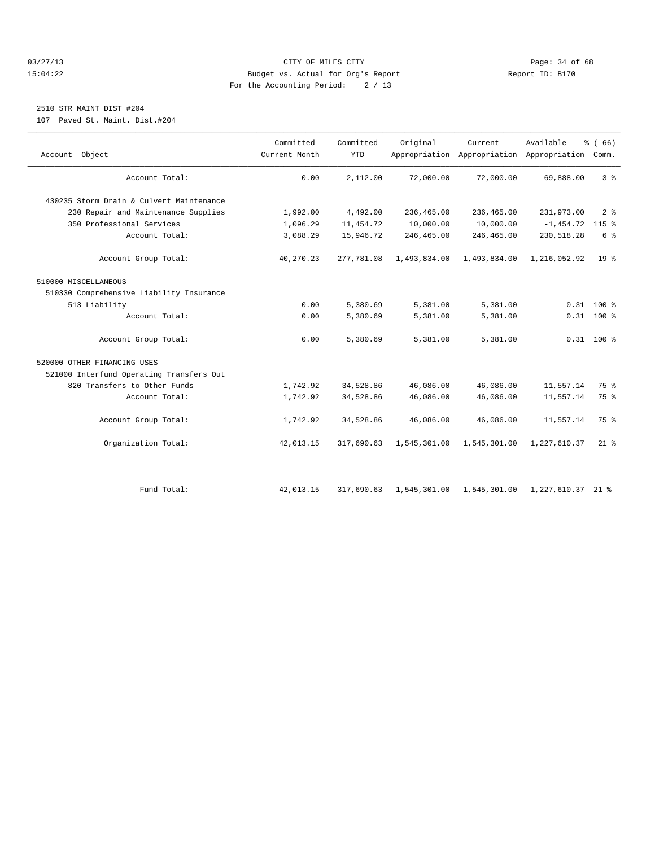#### 03/27/13 Page: 34 of 68 15:04:22 Budget vs. Actual for Org's Report Report ID: B170 For the Accounting Period: 2 / 13

## 2510 STR MAINT DIST #204

107 Paved St. Maint. Dist.#204

| Account Object                           | Committed<br>Current Month | Committed<br><b>YTD</b> | Original     | Current      | Available<br>Appropriation Appropriation Appropriation Comm. | % (66)          |
|------------------------------------------|----------------------------|-------------------------|--------------|--------------|--------------------------------------------------------------|-----------------|
| Account Total:                           | 0.00                       | 2,112.00                | 72,000.00    | 72,000.00    | 69,888.00                                                    | 3 <sup>8</sup>  |
| 430235 Storm Drain & Culvert Maintenance |                            |                         |              |              |                                                              |                 |
| 230 Repair and Maintenance Supplies      | 1,992.00                   | 4,492.00                | 236,465.00   | 236,465.00   | 231,973.00                                                   | 2 <sup>8</sup>  |
| 350 Professional Services                | 1,096.29                   | 11, 454.72              | 10,000.00    | 10,000.00    | $-1,454.72$                                                  | $115$ %         |
| Account Total:                           | 3,088.29                   | 15,946.72               | 246,465.00   | 246,465.00   | 230,518.28                                                   | 6 %             |
| Account Group Total:                     | 40,270.23                  | 277,781.08              | 1,493,834.00 | 1,493,834.00 | 1,216,052.92                                                 | 19 <sup>8</sup> |
| 510000 MISCELLANEOUS                     |                            |                         |              |              |                                                              |                 |
| 510330 Comprehensive Liability Insurance |                            |                         |              |              |                                                              |                 |
| 513 Liability                            | 0.00                       | 5,380.69                | 5,381.00     | 5,381.00     |                                                              | $0.31$ 100 %    |
| Account Total:                           | 0.00                       | 5,380.69                | 5,381.00     | 5,381.00     |                                                              | $0.31$ 100 %    |
| Account Group Total:                     | 0.00                       | 5,380.69                | 5,381.00     | 5,381.00     |                                                              | $0.31$ 100 %    |
| 520000 OTHER FINANCING USES              |                            |                         |              |              |                                                              |                 |
| 521000 Interfund Operating Transfers Out |                            |                         |              |              |                                                              |                 |
| 820 Transfers to Other Funds             | 1,742.92                   | 34,528.86               | 46,086.00    | 46,086.00    | 11,557.14                                                    | 75 %            |
| Account Total:                           | 1,742.92                   | 34,528.86               | 46,086.00    | 46,086.00    | 11,557.14                                                    | 75 %            |
| Account Group Total:                     | 1,742.92                   | 34,528.86               | 46,086.00    | 46,086.00    | 11,557.14                                                    | $75*$           |
| Organization Total:                      | 42,013.15                  | 317,690.63              | 1,545,301.00 | 1,545,301.00 | 1,227,610.37                                                 | $21*$           |
|                                          |                            |                         |              |              |                                                              |                 |
| Fund Total:                              | 42,013.15                  | 317,690.63              | 1,545,301.00 | 1,545,301.00 | 1,227,610.37 21 %                                            |                 |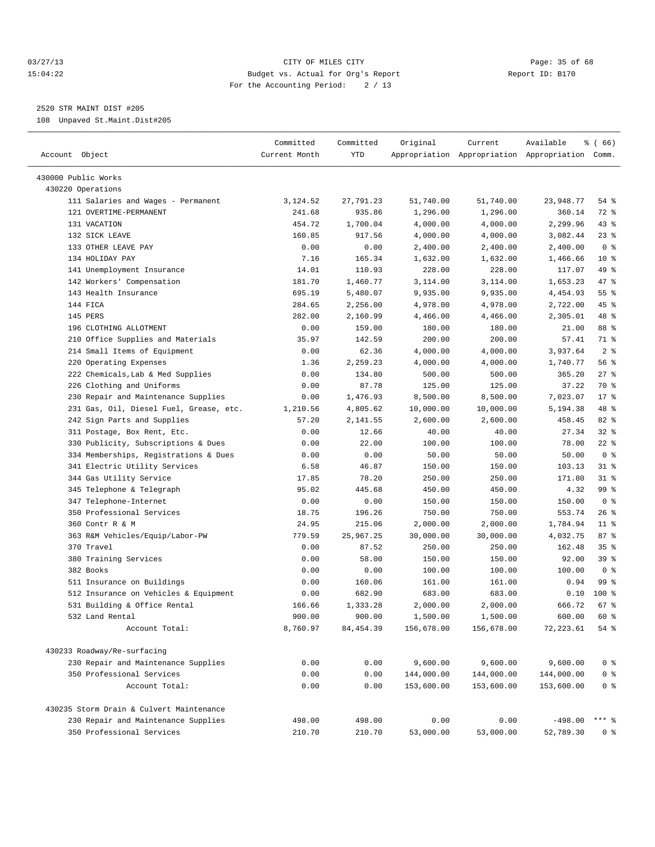#### 03/27/13 Page: 35 of 68 15:04:22 Budget vs. Actual for Org's Report Report ID: B170 For the Accounting Period: 2 / 13

————————————————————————————————————————————————————————————————————————————————————————————————————————————————————————————————————

2520 STR MAINT DIST #205

108 Unpaved St.Maint.Dist#205

|                                          | Committed     | Committed  | Original   | Current    | Available                                       | <sub>है</sub> (66) |
|------------------------------------------|---------------|------------|------------|------------|-------------------------------------------------|--------------------|
| Account Object                           | Current Month | YTD        |            |            | Appropriation Appropriation Appropriation Comm. |                    |
| 430000 Public Works                      |               |            |            |            |                                                 |                    |
| 430220 Operations                        |               |            |            |            |                                                 |                    |
| 111 Salaries and Wages - Permanent       | 3,124.52      | 27,791.23  | 51,740.00  | 51,740.00  | 23,948.77                                       | 54 %               |
| 121 OVERTIME-PERMANENT                   | 241.68        | 935.86     | 1,296.00   | 1,296.00   | 360.14                                          | 72 %               |
| 131 VACATION                             | 454.72        | 1,700.04   | 4,000.00   | 4,000.00   | 2,299.96                                        | $43$ %             |
| 132 SICK LEAVE                           | 160.85        | 917.56     | 4,000.00   | 4,000.00   | 3,082.44                                        | $23$ $%$           |
| 133 OTHER LEAVE PAY                      | 0.00          | 0.00       | 2,400.00   | 2,400.00   | 2,400.00                                        | 0 <sup>8</sup>     |
| 134 HOLIDAY PAY                          | 7.16          | 165.34     | 1,632.00   | 1,632.00   | 1,466.66                                        | $10*$              |
| 141 Unemployment Insurance               | 14.01         | 110.93     | 228.00     | 228.00     | 117.07                                          | 49 %               |
| 142 Workers' Compensation                | 181.70        | 1,460.77   | 3,114.00   | 3,114.00   | 1,653.23                                        | 47 %               |
| 143 Health Insurance                     | 695.19        | 5,480.07   | 9,935.00   | 9,935.00   | 4,454.93                                        | 55 <sup>8</sup>    |
| 144 FICA                                 | 284.65        | 2,256.00   | 4,978.00   | 4,978.00   | 2,722.00                                        | 45 %               |
| 145 PERS                                 | 282.00        | 2,160.99   | 4,466.00   | 4,466.00   | 2,305.01                                        | 48 %               |
| 196 CLOTHING ALLOTMENT                   | 0.00          | 159.00     | 180.00     | 180.00     | 21.00                                           | 88 %               |
| 210 Office Supplies and Materials        | 35.97         | 142.59     | 200.00     | 200.00     | 57.41                                           | 71 %               |
| 214 Small Items of Equipment             | 0.00          | 62.36      | 4,000.00   | 4,000.00   | 3,937.64                                        | 2 <sup>8</sup>     |
| 220 Operating Expenses                   | 1.36          | 2,259.23   | 4,000.00   | 4,000.00   | 1,740.77                                        | 56%                |
| 222 Chemicals, Lab & Med Supplies        | 0.00          | 134.80     | 500.00     | 500.00     | 365.20                                          | $27$ %             |
| 226 Clothing and Uniforms                | 0.00          | 87.78      | 125.00     | 125.00     | 37.22                                           | 70 %               |
| 230 Repair and Maintenance Supplies      | 0.00          | 1,476.93   | 8,500.00   | 8,500.00   | 7,023.07                                        | $17*$              |
| 231 Gas, Oil, Diesel Fuel, Grease, etc.  | 1,210.56      | 4,805.62   | 10,000.00  | 10,000.00  | 5,194.38                                        | 48 %               |
| 242 Sign Parts and Supplies              | 57.20         | 2,141.55   | 2,600.00   | 2,600.00   | 458.45                                          | $82$ $%$           |
| 311 Postage, Box Rent, Etc.              | 0.00          | 12.66      | 40.00      | 40.00      | 27.34                                           | $32$ $%$           |
| 330 Publicity, Subscriptions & Dues      | 0.00          | 22.00      | 100.00     | 100.00     | 78.00                                           | $22$ %             |
| 334 Memberships, Registrations & Dues    | 0.00          | 0.00       | 50.00      | 50.00      | 50.00                                           | 0 <sup>8</sup>     |
| 341 Electric Utility Services            | 6.58          | 46.87      | 150.00     | 150.00     | 103.13                                          | $31$ %             |
| 344 Gas Utility Service                  | 17.85         | 78.20      | 250.00     | 250.00     | 171.80                                          | $31$ %             |
| 345 Telephone & Telegraph                | 95.02         | 445.68     | 450.00     | 450.00     | 4.32                                            | 99 %               |
| 347 Telephone-Internet                   | 0.00          | 0.00       | 150.00     | 150.00     | 150.00                                          | 0 <sup>8</sup>     |
| 350 Professional Services                | 18.75         | 196.26     | 750.00     | 750.00     | 553.74                                          | 26%                |
| 360 Contr R & M                          | 24.95         | 215.06     | 2,000.00   | 2,000.00   | 1,784.94                                        | $11$ %             |
| 363 R&M Vehicles/Equip/Labor-PW          | 779.59        | 25,967.25  | 30,000.00  | 30,000.00  | 4,032.75                                        | 87%                |
| 370 Travel                               | 0.00          | 87.52      | 250.00     | 250.00     | 162.48                                          | 35%                |
| 380 Training Services                    | 0.00          | 58.00      | 150.00     | 150.00     | 92.00                                           | 39 %               |
| 382 Books                                | 0.00          | 0.00       | 100.00     | 100.00     | 100.00                                          | 0 <sup>8</sup>     |
| 511 Insurance on Buildings               | 0.00          | 160.06     | 161.00     | 161.00     | 0.94                                            | 99 %               |
| 512 Insurance on Vehicles & Equipment    | 0.00          | 682.90     | 683.00     | 683.00     | 0.10                                            | $100$ %            |
| 531 Building & Office Rental             | 166.66        | 1,333.28   | 2,000.00   | 2,000.00   | 666.72                                          | 67 %               |
| 532 Land Rental                          | 900.00        | 900.00     | 1,500.00   | 1,500.00   | 600.00                                          | 60 %               |
| Account Total:                           | 8,760.97      | 84, 454.39 | 156,678.00 | 156,678.00 | 72, 223.61                                      | 54 %               |
|                                          |               |            |            |            |                                                 |                    |
| 430233 Roadway/Re-surfacing              |               |            |            |            |                                                 |                    |
| 230 Repair and Maintenance Supplies      | 0.00          | 0.00       | 9,600.00   | 9,600.00   | 9,600.00                                        | $0$ %              |
| 350 Professional Services                | 0.00          | 0.00       | 144,000.00 | 144,000.00 | 144,000.00                                      | $0$ %              |
| Account Total:                           | 0.00          | 0.00       | 153,600.00 | 153,600.00 | 153,600.00                                      | $0$ %              |
| 430235 Storm Drain & Culvert Maintenance |               |            |            |            |                                                 |                    |
| 230 Repair and Maintenance Supplies      | 498.00        | 498.00     | 0.00       | 0.00       | $-498.00$                                       | $***$ $_{8}$       |
| 350 Professional Services                | 210.70        | 210.70     | 53,000.00  | 53,000.00  | 52,789.30                                       | 0 %                |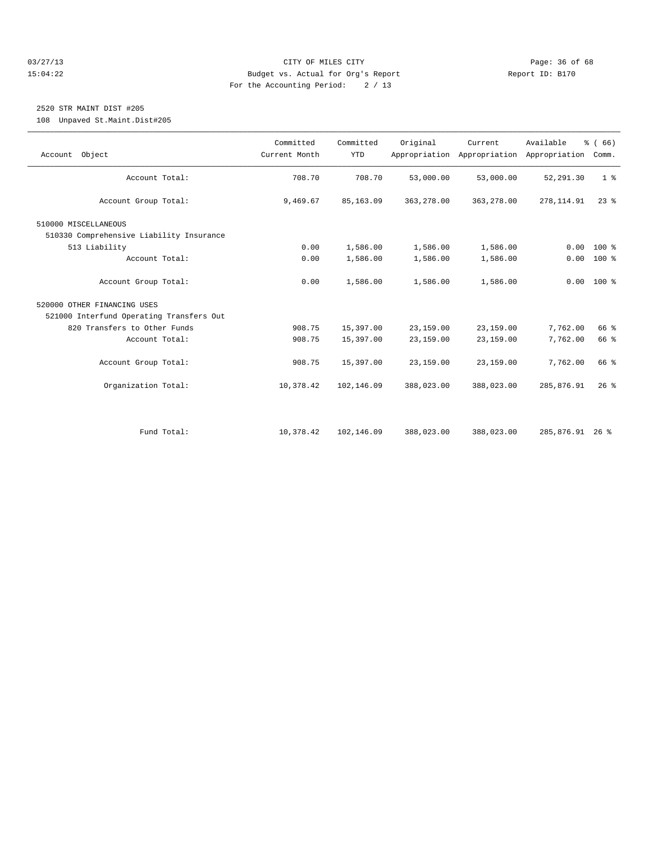#### 03/27/13 Page: 36 of 68 15:04:22 Budget vs. Actual for Org's Report Report ID: B170 For the Accounting Period: 2 / 13

## 2520 STR MAINT DIST #205

108 Unpaved St.Maint.Dist#205

| Account Object                           | Committed<br>Current Month | Committed<br><b>YTD</b> | Original   | Current<br>Appropriation Appropriation Appropriation | Available       | % (66)<br>Comm. |
|------------------------------------------|----------------------------|-------------------------|------------|------------------------------------------------------|-----------------|-----------------|
| Account Total:                           | 708.70                     | 708.70                  | 53,000.00  | 53,000.00                                            | 52, 291.30      | 1 <sup>8</sup>  |
| Account Group Total:                     | 9,469.67                   | 85, 163.09              | 363,278.00 | 363,278.00                                           | 278, 114.91     | $23$ $%$        |
| 510000 MISCELLANEOUS                     |                            |                         |            |                                                      |                 |                 |
| 510330 Comprehensive Liability Insurance |                            |                         |            |                                                      |                 |                 |
| 513 Liability                            | 0.00                       | 1,586.00                | 1,586.00   | 1,586.00                                             | 0.00            | 100 %           |
| Account Total:                           | 0.00                       | 1,586.00                | 1,586.00   | 1,586.00                                             |                 | $0.00 100$ %    |
| Account Group Total:                     | 0.00                       | 1,586.00                | 1,586.00   | 1,586.00                                             |                 | $0.00 100$ %    |
| 520000 OTHER FINANCING USES              |                            |                         |            |                                                      |                 |                 |
| 521000 Interfund Operating Transfers Out |                            |                         |            |                                                      |                 |                 |
| 820 Transfers to Other Funds             | 908.75                     | 15,397.00               | 23,159.00  | 23,159.00                                            | 7,762.00        | 66 %            |
| Account Total:                           | 908.75                     | 15,397.00               | 23,159.00  | 23,159.00                                            | 7,762.00        | 66 %            |
| Account Group Total:                     | 908.75                     | 15,397.00               | 23,159.00  | 23,159.00                                            | 7,762.00        | 66 %            |
| Organization Total:                      | 10,378.42                  | 102,146.09              | 388,023.00 | 388,023.00                                           | 285,876.91      | $26$ $%$        |
|                                          |                            |                         |            |                                                      |                 |                 |
| Fund Total:                              | 10,378.42                  | 102,146.09              | 388,023.00 | 388,023.00                                           | 285,876.91 26 % |                 |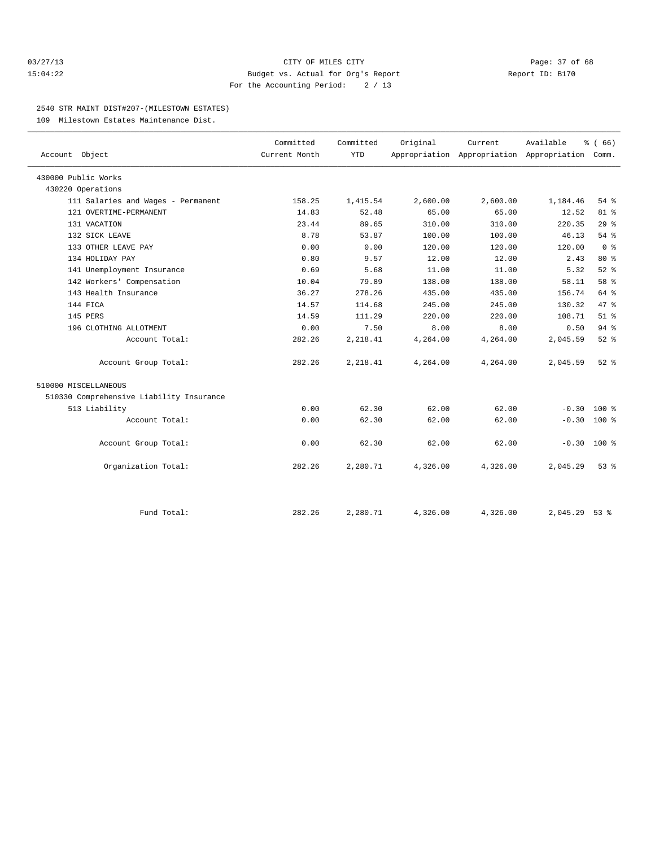#### 03/27/13 Page: 37 of 68 15:04:22 Budget vs. Actual for Org's Report Report ID: B170 For the Accounting Period: 2 / 13

#### 2540 STR MAINT DIST#207-(MILESTOWN ESTATES)

109 Milestown Estates Maintenance Dist.

| Account Object                           | Committed<br>Current Month | Committed<br><b>YTD</b> | Original | Current  | Available<br>Appropriation Appropriation Appropriation | % (66)<br>Comm. |  |
|------------------------------------------|----------------------------|-------------------------|----------|----------|--------------------------------------------------------|-----------------|--|
|                                          |                            |                         |          |          |                                                        |                 |  |
| 430000 Public Works                      |                            |                         |          |          |                                                        |                 |  |
| 430220 Operations                        |                            |                         |          |          |                                                        |                 |  |
| 111 Salaries and Wages - Permanent       | 158.25                     | 1,415.54                | 2,600.00 | 2,600.00 | 1,184.46                                               | $54$ $%$        |  |
| 121 OVERTIME-PERMANENT                   | 14.83                      | 52.48                   | 65.00    | 65.00    | 12.52                                                  | 81 %            |  |
| 131 VACATION                             | 23.44                      | 89.65                   | 310.00   | 310.00   | 220.35                                                 | 29%             |  |
| 132 SICK LEAVE                           | 8.78                       | 53.87                   | 100.00   | 100.00   | 46.13                                                  | 54 %            |  |
| 133 OTHER LEAVE PAY                      | 0.00                       | 0.00                    | 120.00   | 120.00   | 120.00                                                 | 0 <sup>8</sup>  |  |
| 134 HOLIDAY PAY                          | 0.80                       | 9.57                    | 12.00    | 12.00    | 2.43                                                   | $80*$           |  |
| 141 Unemployment Insurance               | 0.69                       | 5.68                    | 11.00    | 11.00    | 5.32                                                   | $52$ $%$        |  |
| 142 Workers' Compensation                | 10.04                      | 79.89                   | 138.00   | 138.00   | 58.11                                                  | 58 %            |  |
| 143 Health Insurance                     | 36.27                      | 278.26                  | 435.00   | 435.00   | 156.74                                                 | 64 %            |  |
| 144 FICA                                 | 14.57                      | 114.68                  | 245.00   | 245.00   | 130.32                                                 | 47.8            |  |
| 145 PERS                                 | 14.59                      | 111.29                  | 220.00   | 220.00   | 108.71                                                 | $51$ $%$        |  |
| 196 CLOTHING ALLOTMENT                   | 0.00                       | 7.50                    | 8.00     | 8.00     | 0.50                                                   | 94%             |  |
| Account Total:                           | 282.26                     | 2,218.41                | 4,264.00 | 4,264.00 | 2,045.59                                               | 52%             |  |
| Account Group Total:                     | 282.26                     | 2,218.41                | 4,264.00 | 4,264.00 | 2,045.59                                               | $52$ $%$        |  |
| 510000 MISCELLANEOUS                     |                            |                         |          |          |                                                        |                 |  |
| 510330 Comprehensive Liability Insurance |                            |                         |          |          |                                                        |                 |  |
| 513 Liability                            | 0.00                       | 62.30                   | 62.00    | 62.00    | $-0.30$                                                | $100*$          |  |
| Account Total:                           | 0.00                       | 62.30                   | 62.00    | 62.00    | $-0.30$                                                | 100 %           |  |
| Account Group Total:                     | 0.00                       | 62.30                   | 62.00    | 62.00    | $-0.30$                                                | $100*$          |  |
| Organization Total:                      | 282.26                     | 2,280.71                | 4,326.00 | 4,326.00 | 2,045.29                                               | 53%             |  |
|                                          |                            |                         |          |          |                                                        |                 |  |
| Fund Total:                              | 282.26                     | 2,280.71                | 4,326.00 | 4,326.00 | 2,045.29                                               | $53$ $%$        |  |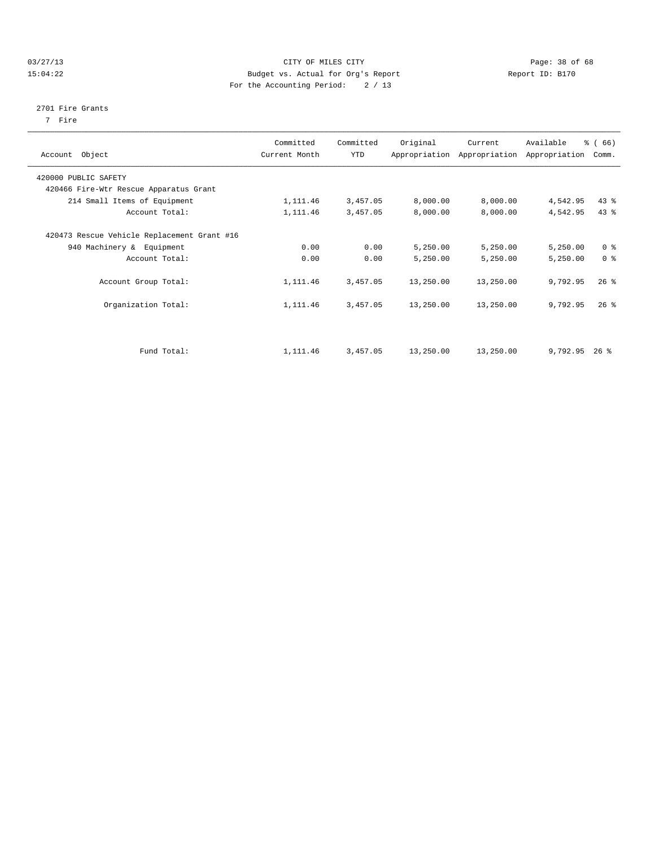#### 03/27/13 Page: 38 of 68 15:04:22 Budget vs. Actual for Org's Report Report ID: B170 For the Accounting Period: 2 / 13

#### 2701 Fire Grants

7 Fire

| Account Object                              | Committed<br>Current Month | Committed<br><b>YTD</b> | Original  | Current<br>Appropriation Appropriation | Available<br>Appropriation | % (66)<br>Comm. |
|---------------------------------------------|----------------------------|-------------------------|-----------|----------------------------------------|----------------------------|-----------------|
| 420000 PUBLIC SAFETY                        |                            |                         |           |                                        |                            |                 |
| 420466 Fire-Wtr Rescue Apparatus Grant      |                            |                         |           |                                        |                            |                 |
| 214 Small Items of Equipment                | 1,111.46                   | 3,457.05                | 8,000.00  | 8,000.00                               | 4,542.95                   | $43$ $%$        |
| Account Total:                              | 1,111.46                   | 3,457.05                | 8,000.00  | 8,000.00                               | 4,542.95                   | $43$ $%$        |
| 420473 Rescue Vehicle Replacement Grant #16 |                            |                         |           |                                        |                            |                 |
| 940 Machinery & Equipment                   | 0.00                       | 0.00                    | 5,250.00  | 5,250.00                               | 5,250.00                   | 0 <sup>8</sup>  |
| Account Total:                              | 0.00                       | 0.00                    | 5,250.00  | 5,250.00                               | 5,250.00                   | 0 <sup>8</sup>  |
| Account Group Total:                        | 1,111.46                   | 3,457.05                | 13,250.00 | 13,250.00                              | 9,792.95                   | $26$ %          |
| Organization Total:                         | 1,111.46                   | 3,457.05                | 13,250.00 | 13,250.00                              | 9,792.95                   | $26$ $%$        |
|                                             |                            |                         |           |                                        |                            |                 |
| Fund Total:                                 | 1,111.46                   | 3,457.05                | 13,250.00 | 13,250.00                              | $9,792.95$ 26 %            |                 |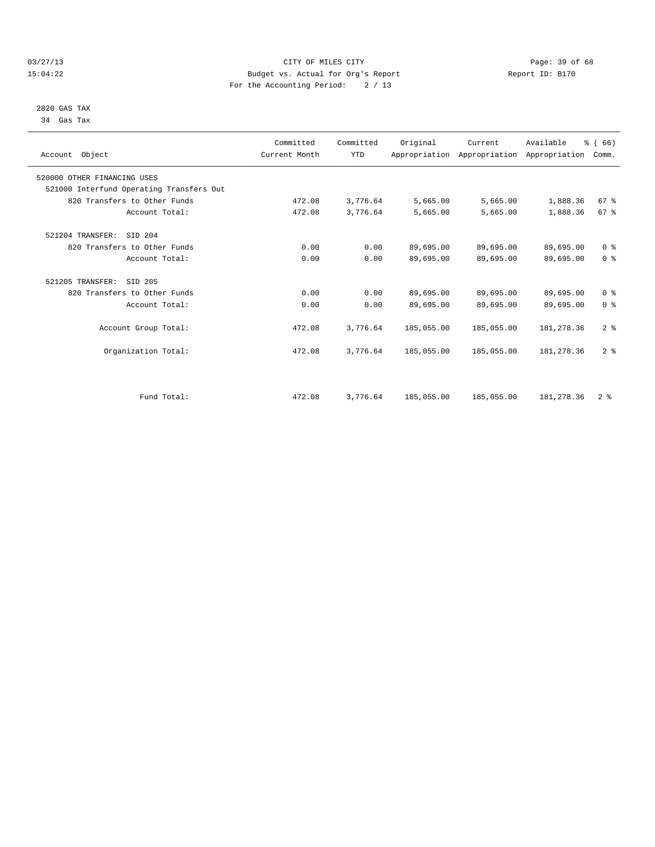#### 03/27/13 Page: 39 of 68 15:04:22 Budget vs. Actual for Org's Report Report ID: B170 For the Accounting Period: 2 / 13

## 2820 GAS TAX 34 Gas Tax

| Account Object                           | Committed<br>Current Month | Committed<br><b>YTD</b> | Original   | Current    | Available<br>Appropriation Appropriation Appropriation | % (66)<br>Comm. |  |
|------------------------------------------|----------------------------|-------------------------|------------|------------|--------------------------------------------------------|-----------------|--|
| 520000 OTHER FINANCING USES              |                            |                         |            |            |                                                        |                 |  |
| 521000 Interfund Operating Transfers Out |                            |                         |            |            |                                                        |                 |  |
| 820 Transfers to Other Funds             | 472.08                     | 3,776.64                | 5,665.00   | 5,665.00   | 1,888.36                                               | 67 %            |  |
| Account Total:                           | 472.08                     | 3,776.64                | 5,665.00   | 5,665.00   | 1,888.36                                               | 67 <sup>8</sup> |  |
| 521204 TRANSFER:<br>SID 204              |                            |                         |            |            |                                                        |                 |  |
| 820 Transfers to Other Funds             | 0.00                       | 0.00                    | 89,695.00  | 89,695.00  | 89,695.00                                              | 0 <sup>8</sup>  |  |
| Account Total:                           | 0.00                       | 0.00                    | 89,695.00  | 89,695.00  | 89,695.00                                              | 0 <sup>8</sup>  |  |
| 521205 TRANSFER:<br>SID 205              |                            |                         |            |            |                                                        |                 |  |
| 820 Transfers to Other Funds             | 0.00                       | 0.00                    | 89,695.00  | 89,695.00  | 89,695.00                                              | 0 <sup>8</sup>  |  |
| Account Total:                           | 0.00                       | 0.00                    | 89,695.00  | 89,695.00  | 89,695.00                                              | 0 <sup>8</sup>  |  |
| Account Group Total:                     | 472.08                     | 3,776.64                | 185,055.00 | 185,055.00 | 181, 278.36                                            | 2 <sup>8</sup>  |  |
| Organization Total:                      | 472.08                     | 3,776.64                | 185,055.00 | 185,055.00 | 181, 278.36                                            | 2 <sup>8</sup>  |  |
|                                          |                            |                         |            |            |                                                        |                 |  |
| Fund Total:                              | 472.08                     | 3,776.64                | 185,055.00 | 185,055.00 | 181, 278.36                                            | 2 <sup>8</sup>  |  |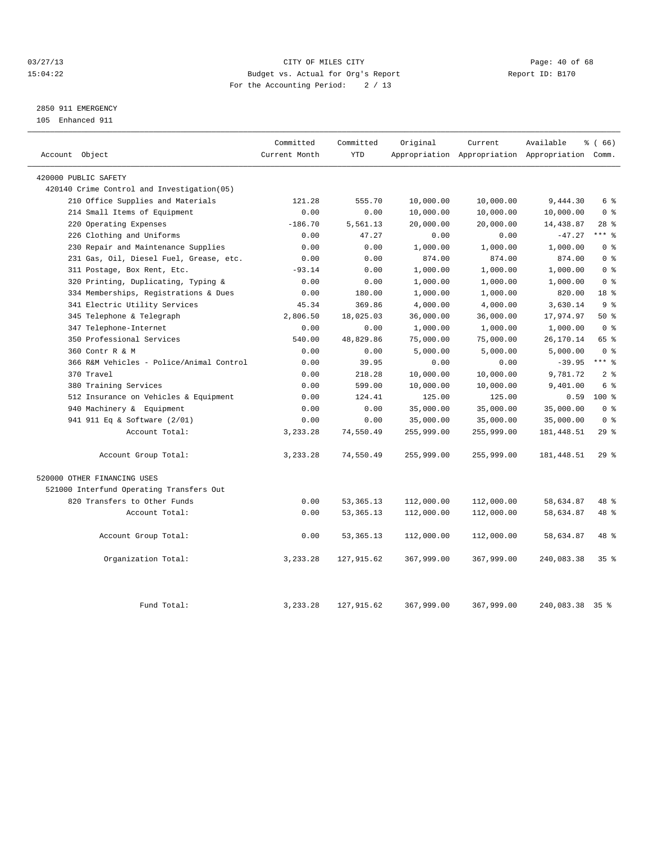#### 03/27/13 Page: 40 of 68 15:04:22 Budget vs. Actual for Org's Report Report ID: B170 For the Accounting Period: 2 / 13

## 2850 911 EMERGENCY

105 Enhanced 911

| Account Object                             | Committed<br>Current Month | Committed<br><b>YTD</b> | Original   | Current    | Available<br>Appropriation Appropriation Appropriation Comm. | % (66)          |
|--------------------------------------------|----------------------------|-------------------------|------------|------------|--------------------------------------------------------------|-----------------|
|                                            |                            |                         |            |            |                                                              |                 |
| 420000 PUBLIC SAFETY                       |                            |                         |            |            |                                                              |                 |
| 420140 Crime Control and Investigation(05) |                            |                         | 10,000.00  |            |                                                              |                 |
| 210 Office Supplies and Materials          | 121.28                     | 555.70                  |            | 10,000.00  | 9,444.30                                                     | 6 %             |
| 214 Small Items of Equipment               | 0.00                       | 0.00                    | 10,000.00  | 10,000.00  | 10,000.00                                                    | 0 <sup>8</sup>  |
| Operating Expenses<br>220                  | $-186.70$                  | 5,561.13                | 20,000.00  | 20,000.00  | 14,438.87                                                    | $28$ %          |
| 226 Clothing and Uniforms                  | 0.00                       | 47.27                   | 0.00       | 0.00       | $-47.27$                                                     | $***$ $-$       |
| 230 Repair and Maintenance Supplies        | 0.00                       | 0.00                    | 1,000.00   | 1,000.00   | 1,000.00                                                     | 0 <sup>8</sup>  |
| 231 Gas, Oil, Diesel Fuel, Grease, etc.    | 0.00                       | 0.00                    | 874.00     | 874.00     | 874.00                                                       | 0 <sup>8</sup>  |
| 311 Postage, Box Rent, Etc.                | $-93.14$                   | 0.00                    | 1,000.00   | 1,000.00   | 1,000.00                                                     | 0 <sup>8</sup>  |
| Printing, Duplicating, Typing &<br>320     | 0.00                       | 0.00                    | 1,000.00   | 1,000.00   | 1,000.00                                                     | 0 <sup>8</sup>  |
| 334 Memberships, Registrations & Dues      | 0.00                       | 180.00                  | 1,000.00   | 1,000.00   | 820.00                                                       | 18 %            |
| 341 Electric Utility Services              | 45.34                      | 369.86                  | 4,000.00   | 4,000.00   | 3,630.14                                                     | 9 <sub>8</sub>  |
| 345 Telephone & Telegraph                  | 2,806.50                   | 18,025.03               | 36,000.00  | 36,000.00  | 17,974.97                                                    | 50%             |
| 347 Telephone-Internet                     | 0.00                       | 0.00                    | 1,000.00   | 1,000.00   | 1,000.00                                                     | 0 <sup>8</sup>  |
| 350 Professional Services                  | 540.00                     | 48,829.86               | 75,000.00  | 75,000.00  | 26,170.14                                                    | 65 %            |
| 360 Contr R & M                            | 0.00                       | 0.00                    | 5,000.00   | 5,000.00   | 5,000.00                                                     | 0 <sup>8</sup>  |
| 366 R&M Vehicles - Police/Animal Control   | 0.00                       | 39.95                   | 0.00       | 0.00       | $-39.95$                                                     | $***$ $-$       |
| 370 Travel                                 | 0.00                       | 218.28                  | 10,000.00  | 10,000.00  | 9,781.72                                                     | 2 <sub>8</sub>  |
| 380 Training Services                      | 0.00                       | 599.00                  | 10,000.00  | 10,000.00  | 9,401.00                                                     | 6 %             |
| 512 Insurance on Vehicles & Equipment      | 0.00                       | 124.41                  | 125.00     | 125.00     | 0.59                                                         | $100*$          |
| 940 Machinery & Equipment                  | 0.00                       | 0.00                    | 35,000.00  | 35,000.00  | 35,000.00                                                    | 0 <sup>8</sup>  |
| 941 911 Eq & Software (2/01)               | 0.00                       | 0.00                    | 35,000.00  | 35,000.00  | 35,000.00                                                    | 0 <sup>8</sup>  |
| Account Total:                             | 3,233.28                   | 74,550.49               | 255,999.00 | 255,999.00 | 181, 448.51                                                  | 29%             |
| Account Group Total:                       | 3,233.28                   | 74,550.49               | 255,999.00 | 255,999.00 | 181, 448.51                                                  | 29%             |
| 520000 OTHER FINANCING USES                |                            |                         |            |            |                                                              |                 |
| 521000 Interfund Operating Transfers Out   |                            |                         |            |            |                                                              |                 |
| 820 Transfers to Other Funds               | 0.00                       | 53, 365. 13             | 112,000.00 | 112,000.00 | 58,634.87                                                    | 48 %            |
| Account Total:                             | 0.00                       | 53, 365. 13             | 112,000.00 | 112,000.00 | 58,634.87                                                    | 48 %            |
| Account Group Total:                       | 0.00                       | 53, 365. 13             | 112,000.00 | 112,000.00 | 58,634.87                                                    | 48 %            |
| Organization Total:                        | 3,233.28                   | 127,915.62              | 367,999.00 | 367,999.00 | 240,083.38                                                   | 35%             |
| Fund Total:                                | 3, 233. 28                 | 127,915.62              | 367,999.00 | 367,999.00 | 240,083.38                                                   | 35 <sup>8</sup> |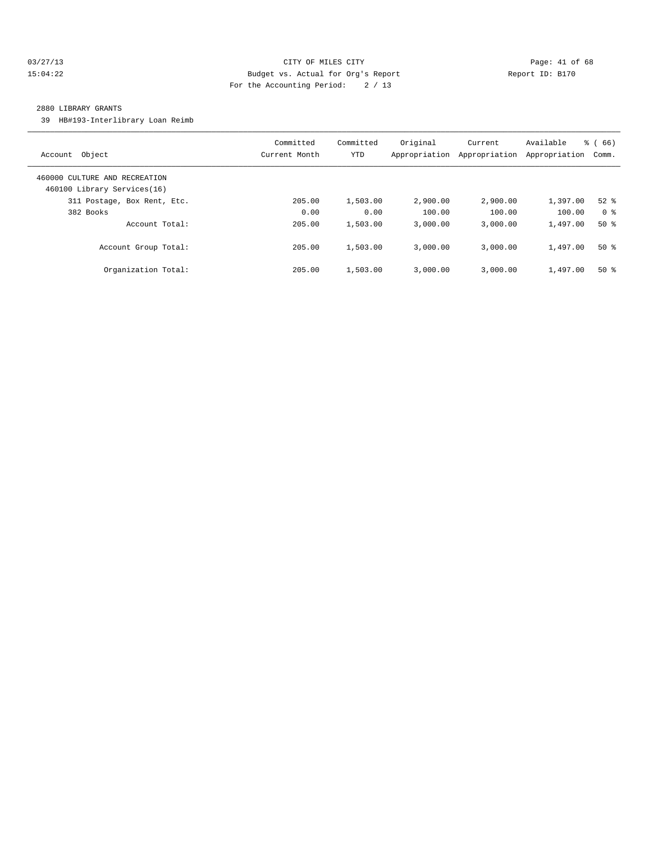#### 03/27/13 Page: 41 of 68 15:04:22 Budget vs. Actual for Org's Report Report ID: B170 For the Accounting Period: 2 / 13

#### 2880 LIBRARY GRANTS

39 HB#193-Interlibrary Loan Reimb

| Object<br>Account                                            | Committed<br>Current Month | Committed<br><b>YTD</b> | Original<br>Appropriation | Current<br>Appropriation | Available<br>Appropriation | % (66)<br>Comm. |
|--------------------------------------------------------------|----------------------------|-------------------------|---------------------------|--------------------------|----------------------------|-----------------|
| 460000 CULTURE AND RECREATION<br>460100 Library Services(16) |                            |                         |                           |                          |                            |                 |
| 311 Postage, Box Rent, Etc.                                  | 205.00                     | 1,503.00                | 2,900.00                  | 2,900.00                 | 1,397.00                   | $52$ $%$        |
| 382 Books                                                    | 0.00                       | 0.00                    | 100.00                    | 100.00                   | 100.00                     | 0 <sup>8</sup>  |
| Account Total:                                               | 205.00                     | 1,503.00                | 3.000.00                  | 3.000.00                 | 1,497.00                   | $50*$           |
| Account Group Total:                                         | 205.00                     | 1,503.00                | 3.000.00                  | 3.000.00                 | 1,497.00                   | $50*$           |
| Organization Total:                                          | 205.00                     | 1,503.00                | 3.000.00                  | 3.000.00                 | 1,497.00                   | $50*$           |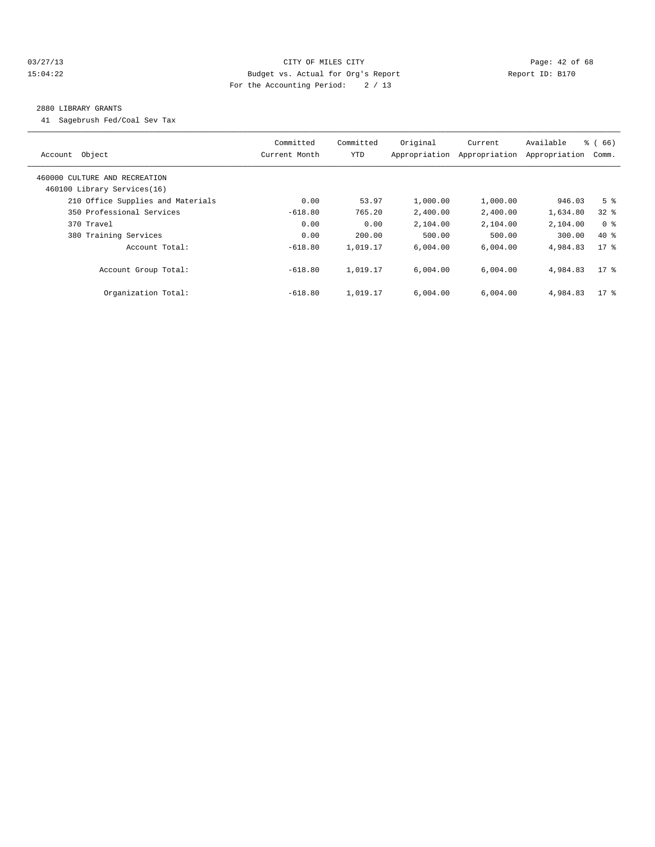#### 03/27/13 Page: 42 of 68 15:04:22 Budget vs. Actual for Org's Report Report ID: B170 For the Accounting Period: 2 / 13

#### 2880 LIBRARY GRANTS

41 Sagebrush Fed/Coal Sev Tax

|                                   | Committed     | Committed  | Original      | Current       | Available     | $\frac{6}{6}$ (66) |  |
|-----------------------------------|---------------|------------|---------------|---------------|---------------|--------------------|--|
| Account Object                    | Current Month | <b>YTD</b> | Appropriation | Appropriation | Appropriation | Comm.              |  |
| 460000 CULTURE AND RECREATION     |               |            |               |               |               |                    |  |
| 460100 Library Services(16)       |               |            |               |               |               |                    |  |
| 210 Office Supplies and Materials | 0.00          | 53.97      | 1,000.00      | 1,000.00      | 946.03        | 5 <sup>8</sup>     |  |
| 350 Professional Services         | $-618.80$     | 765.20     | 2,400.00      | 2,400.00      | 1,634.80      | $32*$              |  |
| 370 Travel                        | 0.00          | 0.00       | 2,104.00      | 2,104.00      | 2,104.00      | 0 <sup>8</sup>     |  |
| 380 Training Services             | 0.00          | 200.00     | 500.00        | 500.00        | 300.00        | $40*$              |  |
| Account Total:                    | $-618.80$     | 1,019.17   | 6.004.00      | 6.004.00      | 4,984.83      | $17*$              |  |
|                                   |               |            |               |               |               |                    |  |
| Account Group Total:              | $-618.80$     | 1,019.17   | 6,004.00      | 6,004.00      | 4,984.83      | $17$ %             |  |
|                                   |               |            |               |               |               |                    |  |
| Organization Total:               | $-618.80$     | 1,019.17   | 6,004.00      | 6,004.00      | 4,984.83      | $17$ %             |  |
|                                   |               |            |               |               |               |                    |  |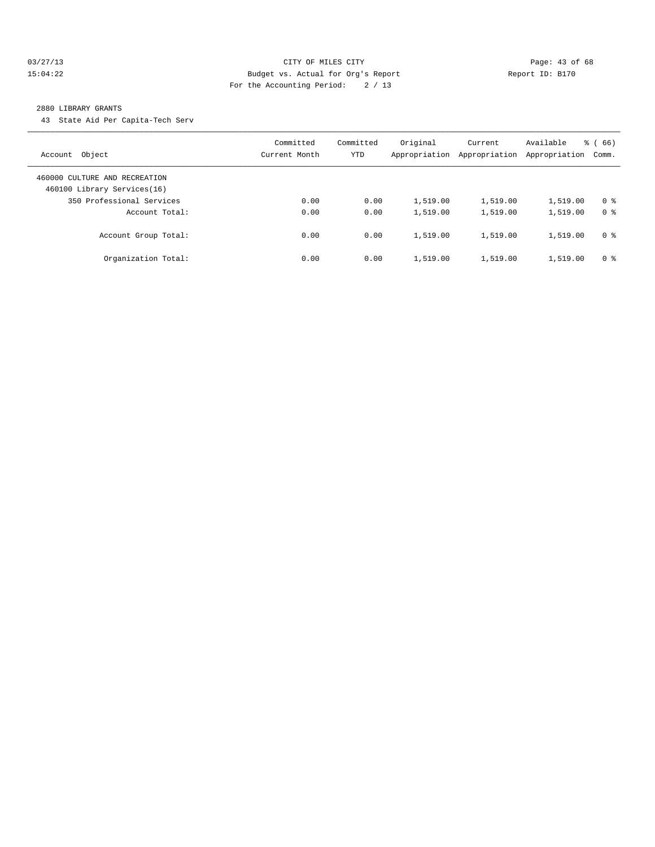#### 03/27/13 Page: 43 of 68 15:04:22 Budget vs. Actual for Org's Report Report ID: B170 For the Accounting Period: 2 / 13

#### 2880 LIBRARY GRANTS

43 State Aid Per Capita-Tech Serv

| Object<br>Account                                            | Committed<br>Current Month | Committed<br>YTD | Original<br>Appropriation | Current<br>Appropriation | Available<br>Appropriation | $\frac{6}{6}$ (66)<br>Comm. |
|--------------------------------------------------------------|----------------------------|------------------|---------------------------|--------------------------|----------------------------|-----------------------------|
| 460000 CULTURE AND RECREATION<br>460100 Library Services(16) |                            |                  |                           |                          |                            |                             |
| 350 Professional Services                                    | 0.00                       | 0.00             | 1,519.00                  | 1,519.00                 | 1,519.00                   | 0 <sup>8</sup>              |
| Account Total:                                               | 0.00                       | 0.00             | 1,519.00                  | 1,519.00                 | 1,519.00                   | 0 <sup>8</sup>              |
| Account Group Total:                                         | 0.00                       | 0.00             | 1,519.00                  | 1,519.00                 | 1,519.00                   | 0 <sup>8</sup>              |
| Organization Total:                                          | 0.00                       | 0.00             | 1,519.00                  | 1,519.00                 | 1,519.00                   | 0 <sup>8</sup>              |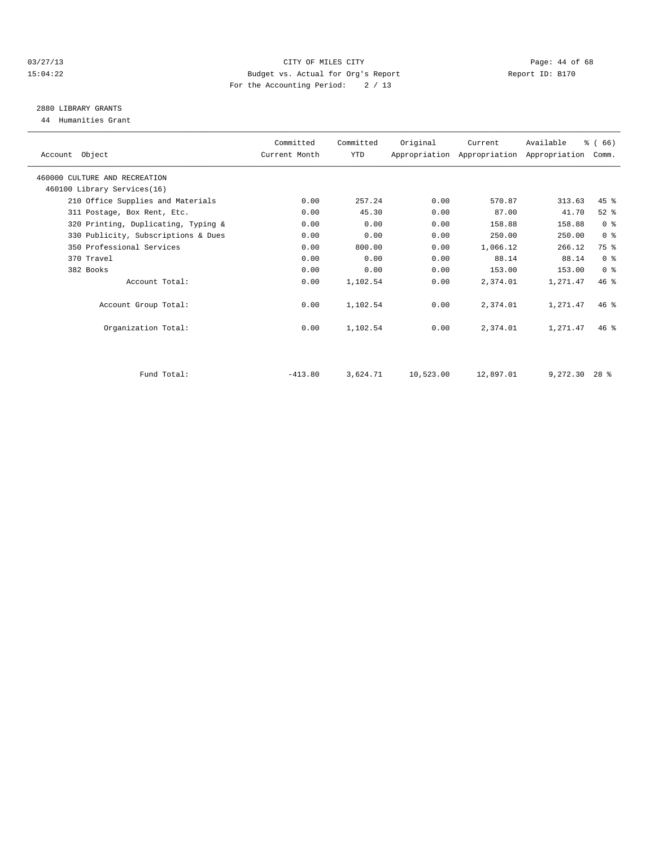#### 03/27/13 Page: 44 of 68 15:04:22 Budget vs. Actual for Org's Report Report ID: B170 For the Accounting Period: 2 / 13

## 2880 LIBRARY GRANTS

44 Humanities Grant

| Account Object                      | Committed<br>Current Month | Committed<br>YTD | Original  | Current   | Available<br>Appropriation Appropriation Appropriation | % (66)<br>Comm. |  |
|-------------------------------------|----------------------------|------------------|-----------|-----------|--------------------------------------------------------|-----------------|--|
| 460000 CULTURE AND RECREATION       |                            |                  |           |           |                                                        |                 |  |
| 460100 Library Services(16)         |                            |                  |           |           |                                                        |                 |  |
| 210 Office Supplies and Materials   | 0.00                       | 257.24           | 0.00      | 570.87    | 313.63                                                 | $45$ $%$        |  |
| 311 Postage, Box Rent, Etc.         | 0.00                       | 45.30            | 0.00      | 87.00     | 41.70                                                  | $52$ $%$        |  |
| 320 Printing, Duplicating, Typing & | 0.00                       | 0.00             | 0.00      | 158.88    | 158.88                                                 | 0 <sup>8</sup>  |  |
| 330 Publicity, Subscriptions & Dues | 0.00                       | 0.00             | 0.00      | 250.00    | 250.00                                                 | 0 <sup>8</sup>  |  |
| 350 Professional Services           | 0.00                       | 800.00           | 0.00      | 1,066.12  | 266.12                                                 | 75 %            |  |
| 370 Travel                          | 0.00                       | 0.00             | 0.00      | 88.14     | 88.14                                                  | 0 <sup>8</sup>  |  |
| 382 Books                           | 0.00                       | 0.00             | 0.00      | 153.00    | 153.00                                                 | 0 <sup>8</sup>  |  |
| Account Total:                      | 0.00                       | 1,102.54         | 0.00      | 2,374.01  | 1,271.47                                               | 46%             |  |
| Account Group Total:                | 0.00                       | 1,102.54         | 0.00      | 2,374.01  | 1,271.47                                               | 46%             |  |
| Organization Total:                 | 0.00                       | 1,102.54         | 0.00      | 2,374.01  | 1,271.47                                               | $46*$           |  |
| Fund Total:                         | $-413.80$                  |                  |           |           |                                                        | $28*$           |  |
|                                     |                            | 3,624.71         | 10,523.00 | 12,897.01 | 9,272.30                                               |                 |  |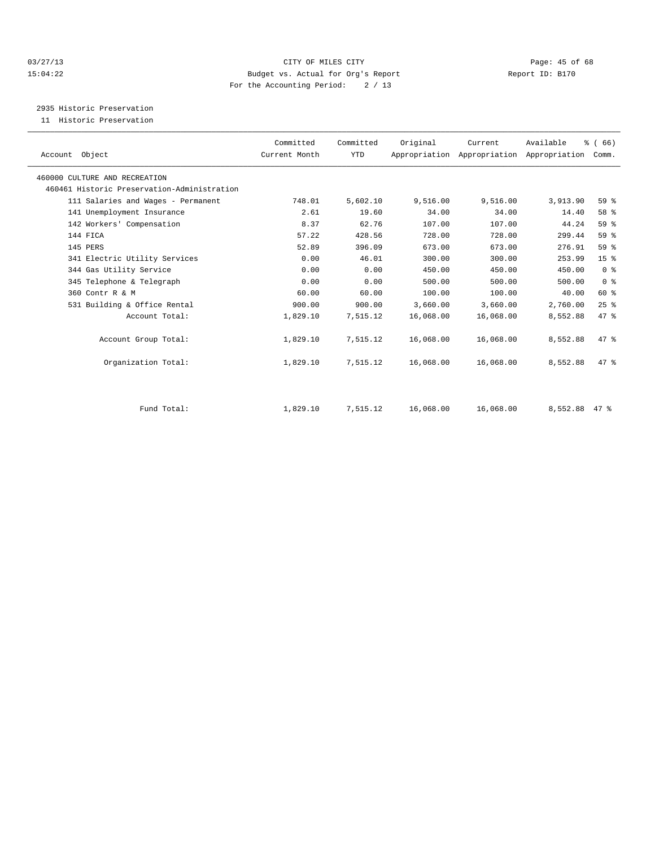#### 03/27/13 Page: 45 of 68 15:04:22 Budget vs. Actual for Org's Report Report ID: B170 For the Accounting Period: 2 / 13

2935 Historic Preservation

11 Historic Preservation

| Account Object                              | Committed<br>Current Month | Committed<br>YTD | Original  | Current<br>Appropriation Appropriation Appropriation | Available     | % (66)<br>Comm. |  |
|---------------------------------------------|----------------------------|------------------|-----------|------------------------------------------------------|---------------|-----------------|--|
| 460000 CULTURE AND RECREATION               |                            |                  |           |                                                      |               |                 |  |
| 460461 Historic Preservation-Administration |                            |                  |           |                                                      |               |                 |  |
| 111 Salaries and Wages - Permanent          | 748.01                     | 5,602.10         | 9,516.00  | 9,516.00                                             | 3,913.90      | 59 <sub>8</sub> |  |
| 141 Unemployment Insurance                  | 2.61                       | 19.60            | 34.00     | 34.00                                                | 14.40         | 58 %            |  |
| 142 Workers' Compensation                   | 8.37                       | 62.76            | 107.00    | 107.00                                               | 44.24         | 59 %            |  |
| 144 FICA                                    | 57.22                      | 428.56           | 728.00    | 728.00                                               | 299.44        | 59 %            |  |
| 145 PERS                                    | 52.89                      | 396.09           | 673.00    | 673.00                                               | 276.91        | 59 %            |  |
| 341 Electric Utility Services               | 0.00                       | 46.01            | 300.00    | 300.00                                               | 253.99        | 15 <sup>8</sup> |  |
| 344 Gas Utility Service                     | 0.00                       | 0.00             | 450.00    | 450.00                                               | 450.00        | 0 <sup>8</sup>  |  |
| 345 Telephone & Telegraph                   | 0.00                       | 0.00             | 500.00    | 500.00                                               | 500.00        | 0 <sup>8</sup>  |  |
| 360 Contr R & M                             | 60.00                      | 60.00            | 100.00    | 100.00                                               | 40.00         | 60 %            |  |
| 531 Building & Office Rental                | 900.00                     | 900.00           | 3,660.00  | 3,660.00                                             | 2,760.00      | 25%             |  |
| Account Total:                              | 1,829.10                   | 7,515.12         | 16,068.00 | 16,068.00                                            | 8,552.88      | 47 %            |  |
| Account Group Total:                        | 1,829.10                   | 7,515.12         | 16,068.00 | 16,068.00                                            | 8,552.88      | 47 %            |  |
| Organization Total:                         | 1,829.10                   | 7,515.12         | 16,068.00 | 16,068.00                                            | 8,552.88      | 47.8            |  |
|                                             |                            |                  |           |                                                      |               |                 |  |
| Fund Total:                                 | 1,829.10                   | 7,515.12         | 16,068.00 | 16,068.00                                            | 8,552.88 47 % |                 |  |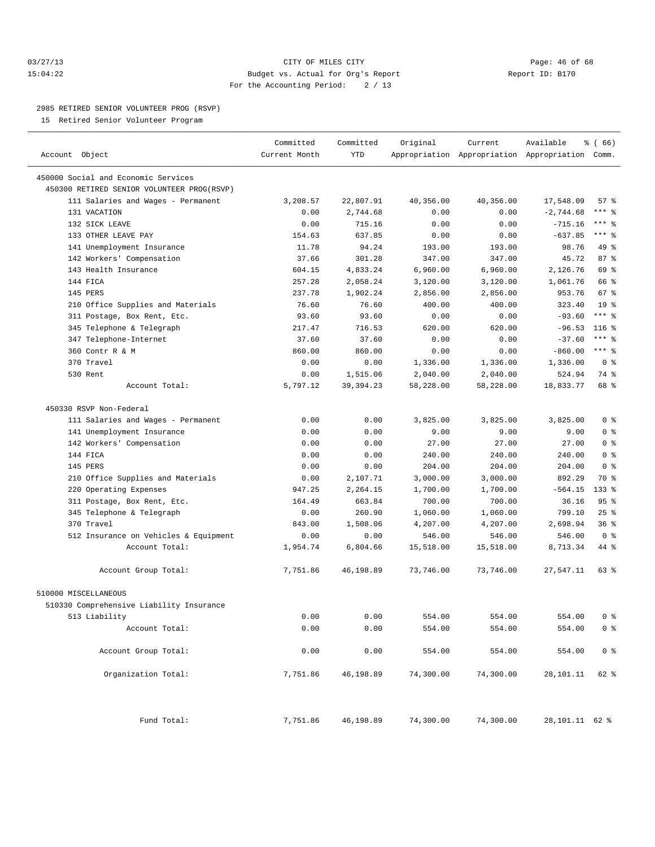#### 03/27/13 Page: 46 of 68 15:04:22 Budget vs. Actual for Org's Report Report ID: B170 For the Accounting Period: 2 / 13

————————————————————————————————————————————————————————————————————————————————————————————————————————————————————————————————————

#### 2985 RETIRED SENIOR VOLUNTEER PROG (RSVP)

15 Retired Senior Volunteer Program

|                                            | Committed     | Committed   | Original  | Current   | Available                                       | <sub>है</sub> (66) |
|--------------------------------------------|---------------|-------------|-----------|-----------|-------------------------------------------------|--------------------|
| Account Object                             | Current Month | YTD         |           |           | Appropriation Appropriation Appropriation Comm. |                    |
| 450000 Social and Economic Services        |               |             |           |           |                                                 |                    |
| 450300 RETIRED SENIOR VOLUNTEER PROG(RSVP) |               |             |           |           |                                                 |                    |
| 111 Salaries and Wages - Permanent         | 3,208.57      | 22,807.91   | 40,356.00 | 40,356.00 | 17,548.09                                       | 57%                |
| 131 VACATION                               | 0.00          | 2,744.68    | 0.00      | 0.00      | $-2,744.68$                                     | *** 응              |
| 132 SICK LEAVE                             | 0.00          | 715.16      | 0.00      | 0.00      | $-715.16$                                       | *** 응              |
| 133 OTHER LEAVE PAY                        | 154.63        | 637.85      | 0.00      | 0.00      | $-637.85$                                       | *** 응              |
| 141 Unemployment Insurance                 | 11.78         | 94.24       | 193.00    | 193.00    | 98.76                                           | 49 %               |
| 142 Workers' Compensation                  | 37.66         | 301.28      | 347.00    | 347.00    | 45.72                                           | 87%                |
| 143 Health Insurance                       | 604.15        | 4,833.24    | 6,960.00  | 6,960.00  | 2,126.76                                        | 69 %               |
| 144 FICA                                   | 257.28        | 2,058.24    | 3,120.00  | 3,120.00  | 1,061.76                                        | 66 %               |
| 145 PERS                                   | 237.78        | 1,902.24    | 2,856.00  | 2,856.00  | 953.76                                          | 67 %               |
| 210 Office Supplies and Materials          | 76.60         | 76.60       | 400.00    | 400.00    | 323.40                                          | 19 <sup>°</sup>    |
| 311 Postage, Box Rent, Etc.                | 93.60         | 93.60       | 0.00      | 0.00      | $-93.60$                                        | $***$ $-$          |
| 345 Telephone & Telegraph                  | 217.47        | 716.53      | 620.00    | 620.00    | $-96.53$                                        | $116$ %            |
| 347 Telephone-Internet                     | 37.60         | 37.60       | 0.00      | 0.00      | $-37.60$                                        | $***$ $-$          |
| 360 Contr R & M                            | 860.00        | 860.00      | 0.00      | 0.00      | $-860.00$                                       | *** 응              |
| 370 Travel                                 | 0.00          | 0.00        | 1,336.00  | 1,336.00  | 1,336.00                                        | 0 <sup>8</sup>     |
| 530 Rent                                   | 0.00          | 1,515.06    | 2,040.00  | 2,040.00  | 524.94                                          | 74 %               |
| Account Total:                             | 5,797.12      | 39, 394. 23 | 58,228.00 | 58,228.00 | 18,833.77                                       | 68 %               |
| 450330 RSVP Non-Federal                    |               |             |           |           |                                                 |                    |
| 111 Salaries and Wages - Permanent         | 0.00          | 0.00        | 3,825.00  | 3,825.00  | 3,825.00                                        | 0 <sup>8</sup>     |
| 141 Unemployment Insurance                 | 0.00          | 0.00        | 9.00      | 9.00      | 9.00                                            | 0 <sup>8</sup>     |
| 142 Workers' Compensation                  | 0.00          | 0.00        | 27.00     | 27.00     | 27.00                                           | 0 <sup>8</sup>     |
| 144 FICA                                   | 0.00          | 0.00        | 240.00    | 240.00    | 240.00                                          | 0 <sup>8</sup>     |
| 145 PERS                                   | 0.00          | 0.00        | 204.00    | 204.00    | 204.00                                          | 0 <sup>8</sup>     |
| 210 Office Supplies and Materials          | 0.00          | 2,107.71    | 3,000.00  | 3,000.00  | 892.29                                          | 70 %               |
| 220 Operating Expenses                     | 947.25        | 2,264.15    | 1,700.00  | 1,700.00  | $-564.15$                                       | $133$ %            |
| 311 Postage, Box Rent, Etc.                | 164.49        | 663.84      | 700.00    | 700.00    | 36.16                                           | 95%                |
| 345 Telephone & Telegraph                  | 0.00          | 260.90      | 1,060.00  | 1,060.00  | 799.10                                          | $25$ %             |
| 370 Travel                                 | 843.00        | 1,508.06    | 4,207.00  | 4,207.00  | 2,698.94                                        | 36%                |
| 512 Insurance on Vehicles & Equipment      | 0.00          | 0.00        | 546.00    | 546.00    | 546.00                                          | 0 <sup>8</sup>     |
| Account Total:                             | 1,954.74      | 6,804.66    | 15,518.00 | 15,518.00 | 8,713.34                                        | 44 %               |
| Account Group Total:                       | 7,751.86      | 46,198.89   | 73,746.00 | 73,746.00 | 27,547.11                                       | 63 %               |
| 510000 MISCELLANEOUS                       |               |             |           |           |                                                 |                    |
| 510330 Comprehensive Liability Insurance   |               |             |           |           |                                                 |                    |
| 513 Liability                              | 0.00          | 0.00        | 554.00    | 554.00    | 554.00                                          | 0 %                |
| Account Total:                             | 0.00          | 0.00        | 554.00    | 554.00    | 554.00                                          | 0 <sup>8</sup>     |
| Account Group Total:                       | 0.00          | 0.00        | 554.00    | 554.00    | 554.00                                          | 0 <sup>8</sup>     |
| Organization Total:                        | 7,751.86      | 46,198.89   | 74,300.00 | 74,300.00 | 28,101.11                                       | 62 %               |
| Fund Total:                                | 7,751.86      | 46,198.89   | 74,300.00 | 74,300.00 | 28, 101. 11 62 %                                |                    |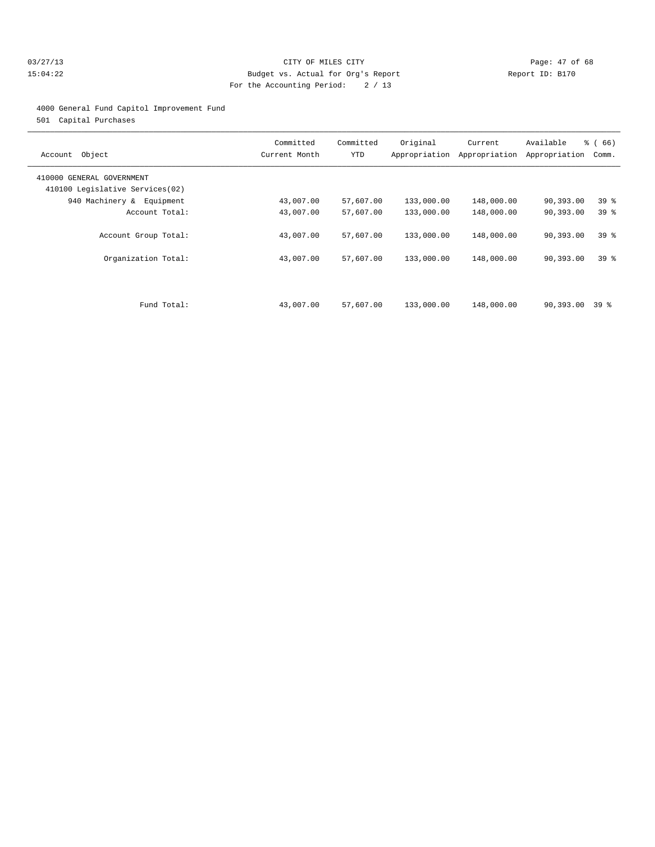#### 03/27/13 Page: 47 of 68 15:04:22 Budget vs. Actual for Org's Report Report ID: B170 For the Accounting Period: 2 / 13

#### 4000 General Fund Capitol Improvement Fund

501 Capital Purchases

| Object<br>Account                                            | Committed<br>Current Month | Committed<br>YTD | Original<br>Appropriation | Current<br>Appropriation | Available<br>Appropriation | % (66)<br>Comm. |
|--------------------------------------------------------------|----------------------------|------------------|---------------------------|--------------------------|----------------------------|-----------------|
| 410000 GENERAL GOVERNMENT<br>410100 Legislative Services(02) |                            |                  |                           |                          |                            |                 |
| 940 Machinery & Equipment                                    | 43,007.00                  | 57,607.00        | 133,000.00                | 148,000.00               | 90,393.00                  | 39 %            |
| Account Total:                                               | 43,007.00                  | 57,607.00        | 133,000.00                | 148,000.00               | 90,393.00                  | 39 <sup>°</sup> |
| Account Group Total:                                         | 43,007.00                  | 57,607.00        | 133,000.00                | 148,000.00               | 90,393.00                  | 39 <sup>8</sup> |
| Organization Total:                                          | 43,007.00                  | 57,607.00        | 133,000.00                | 148,000.00               | 90,393.00                  | 39 <sup>8</sup> |
| Fund Total:                                                  | 43,007.00                  | 57,607.00        | 133,000.00                | 148,000.00               | 90,393.00                  | 39 %            |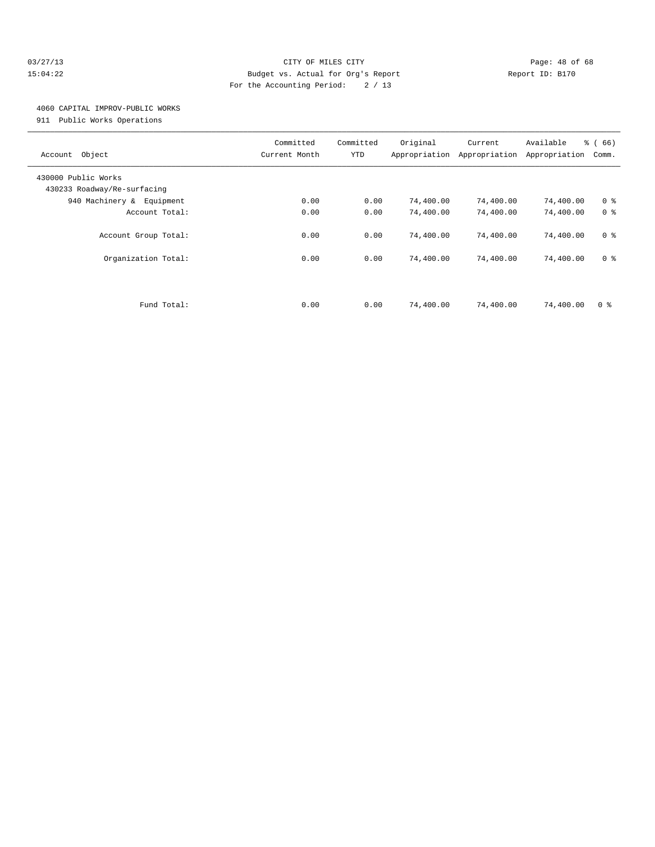#### 03/27/13 Page: 48 of 68 15:04:22 Budget vs. Actual for Org's Report Report ID: B170 For the Accounting Period: 2 / 13

### 4060 CAPITAL IMPROV-PUBLIC WORKS

911 Public Works Operations

| Object<br>Account                                  | Committed<br>Current Month | Committed<br>YTD | Original<br>Appropriation | Current<br>Appropriation | Available<br>Appropriation | % (66)<br>Comm. |
|----------------------------------------------------|----------------------------|------------------|---------------------------|--------------------------|----------------------------|-----------------|
| 430000 Public Works<br>430233 Roadway/Re-surfacing |                            |                  |                           |                          |                            |                 |
| 940 Machinery & Equipment                          | 0.00                       | 0.00             | 74,400.00                 | 74,400.00                | 74,400.00                  | 0 <sup>8</sup>  |
| Account Total:                                     | 0.00                       | 0.00             | 74,400.00                 | 74,400.00                | 74,400.00                  | 0 <sup>8</sup>  |
| Account Group Total:                               | 0.00                       | 0.00             | 74,400.00                 | 74,400.00                | 74,400.00                  | 0 <sup>8</sup>  |
| Organization Total:                                | 0.00                       | 0.00             | 74,400.00                 | 74,400.00                | 74,400.00                  | 0 <sup>8</sup>  |
|                                                    |                            |                  |                           |                          |                            |                 |
| Fund Total:                                        | 0.00                       | 0.00             | 74,400.00                 | 74,400.00                | 74,400.00                  | 0 <sup>8</sup>  |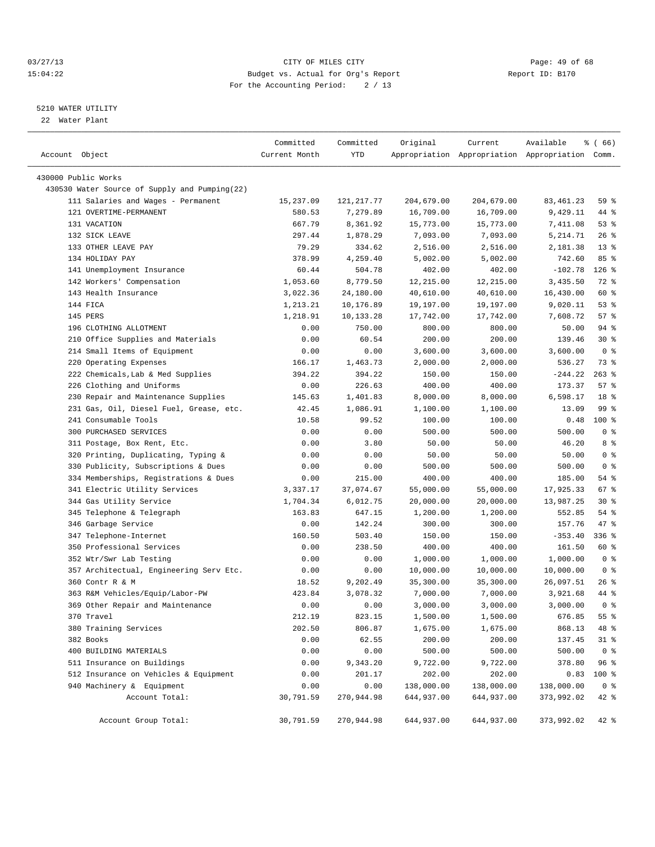#### 03/27/13 Page: 49 of 68 15:04:22 Budget vs. Actual for Org's Report Report ID: B170 For the Accounting Period: 2 / 13

————————————————————————————————————————————————————————————————————————————————————————————————————————————————————————————————————

#### 5210 WATER UTILITY

22 Water Plant

|                                               | Committed     | Committed  | Original   | Current                                         | Available   | % (66)         |
|-----------------------------------------------|---------------|------------|------------|-------------------------------------------------|-------------|----------------|
| Account Object                                | Current Month | YTD        |            | Appropriation Appropriation Appropriation Comm. |             |                |
|                                               |               |            |            |                                                 |             |                |
| 430000 Public Works                           |               |            |            |                                                 |             |                |
| 430530 Water Source of Supply and Pumping(22) |               |            |            |                                                 |             |                |
| 111 Salaries and Wages - Permanent            | 15,237.09     | 121,217.77 | 204,679.00 | 204,679.00                                      | 83, 461. 23 | 59 %           |
| 121 OVERTIME-PERMANENT                        | 580.53        | 7,279.89   | 16,709.00  | 16,709.00                                       | 9,429.11    | 44 %           |
| 131 VACATION                                  | 667.79        | 8,361.92   | 15,773.00  | 15,773.00                                       | 7,411.08    | 53%            |
| 132 SICK LEAVE                                | 297.44        | 1,878.29   | 7,093.00   | 7,093.00                                        | 5, 214.71   | $26$ %         |
| 133 OTHER LEAVE PAY                           | 79.29         | 334.62     | 2,516.00   | 2,516.00                                        | 2,181.38    | $13*$          |
| 134 HOLIDAY PAY                               | 378.99        | 4,259.40   | 5,002.00   | 5,002.00                                        | 742.60      | 85%            |
| 141 Unemployment Insurance                    | 60.44         | 504.78     | 402.00     | 402.00                                          | $-102.78$   | $126$ %        |
| 142 Workers' Compensation                     | 1,053.60      | 8,779.50   | 12,215.00  | 12,215.00                                       | 3,435.50    | 72 %           |
| 143 Health Insurance                          | 3,022.36      | 24,180.00  | 40,610.00  | 40,610.00                                       | 16,430.00   | 60 %           |
| 144 FICA                                      | 1,213.21      | 10,176.89  | 19,197.00  | 19,197.00                                       | 9,020.11    | 53%            |
| 145 PERS                                      | 1,218.91      | 10,133.28  | 17,742.00  | 17,742.00                                       | 7,608.72    | 57%            |
| 196 CLOTHING ALLOTMENT                        | 0.00          | 750.00     | 800.00     | 800.00                                          | 50.00       | 94 %           |
| 210 Office Supplies and Materials             | 0.00          | 60.54      | 200.00     | 200.00                                          | 139.46      | $30*$          |
| 214 Small Items of Equipment                  | 0.00          | 0.00       | 3,600.00   | 3,600.00                                        | 3,600.00    | 0 <sup>8</sup> |
| 220 Operating Expenses                        | 166.17        | 1,463.73   | 2,000.00   | 2,000.00                                        | 536.27      | 73 %           |
| 222 Chemicals, Lab & Med Supplies             | 394.22        | 394.22     | 150.00     | 150.00                                          | $-244.22$   | $263$ $%$      |
| 226 Clothing and Uniforms                     | 0.00          | 226.63     | 400.00     | 400.00                                          | 173.37      | 57%            |
| 230 Repair and Maintenance Supplies           | 145.63        | 1,401.83   | 8,000.00   | 8,000.00                                        | 6,598.17    | 18 %           |
| 231 Gas, Oil, Diesel Fuel, Grease, etc.       | 42.45         | 1,086.91   | 1,100.00   | 1,100.00                                        | 13.09       | 99 %           |
| 241 Consumable Tools                          | 10.58         | 99.52      | 100.00     | 100.00                                          | 0.48        | 100 %          |
| 300 PURCHASED SERVICES                        | 0.00          | 0.00       | 500.00     | 500.00                                          | 500.00      | 0 <sup>8</sup> |
| 311 Postage, Box Rent, Etc.                   | 0.00          | 3.80       | 50.00      | 50.00                                           | 46.20       | 8 %            |
| 320 Printing, Duplicating, Typing &           | 0.00          | 0.00       | 50.00      | 50.00                                           | 50.00       | 0 <sup>8</sup> |
| 330 Publicity, Subscriptions & Dues           | 0.00          | 0.00       | 500.00     | 500.00                                          | 500.00      | 0 <sup>8</sup> |
| 334 Memberships, Registrations & Dues         | 0.00          | 215.00     | 400.00     | 400.00                                          | 185.00      | 54 %           |
| 341 Electric Utility Services                 | 3,337.17      | 37,074.67  | 55,000.00  | 55,000.00                                       | 17,925.33   | 67 %           |
| 344 Gas Utility Service                       | 1,704.34      | 6,012.75   | 20,000.00  | 20,000.00                                       | 13,987.25   | $30*$          |
| 345 Telephone & Telegraph                     | 163.83        | 647.15     | 1,200.00   | 1,200.00                                        | 552.85      | 54 %           |
| 346 Garbage Service                           | 0.00          | 142.24     | 300.00     | 300.00                                          | 157.76      | 47 %           |
| 347 Telephone-Internet                        | 160.50        | 503.40     | 150.00     | 150.00                                          | $-353.40$   | $336$ $%$      |
| 350 Professional Services                     | 0.00          | 238.50     | 400.00     | 400.00                                          | 161.50      | 60 %           |
| 352 Wtr/Swr Lab Testing                       | 0.00          | 0.00       | 1,000.00   | 1,000.00                                        | 1,000.00    | 0 <sup>8</sup> |
| 357 Architectual, Engineering Serv Etc.       | 0.00          | 0.00       | 10,000.00  | 10,000.00                                       | 10,000.00   | 0 <sup>8</sup> |
| 360 Contr R & M                               | 18.52         | 9,202.49   | 35,300.00  | 35,300.00                                       | 26,097.51   | $26$ %         |
| 363 R&M Vehicles/Equip/Labor-PW               | 423.84        | 3,078.32   | 7,000.00   | 7,000.00                                        | 3,921.68    | 44 %           |
| 369 Other Repair and Maintenance              | 0.00          | 0.00       | 3,000.00   | 3,000.00                                        | 3,000.00    | 0 <sup>8</sup> |
| 370 Travel                                    | 212.19        | 823.15     | 1,500.00   | 1,500.00                                        | 676.85      | 55 %           |
| 380 Training Services                         | 202.50        | 806.87     | 1,675.00   | 1,675.00                                        | 868.13      | 48 %           |
| 382 Books                                     | 0.00          | 62.55      | 200.00     | 200.00                                          | 137.45      | $31$ %         |
| 400 BUILDING MATERIALS                        | 0.00          | 0.00       | 500.00     | 500.00                                          | 500.00      | 0 <sup>8</sup> |
| 511 Insurance on Buildings                    | 0.00          | 9,343.20   | 9,722.00   | 9,722.00                                        | 378.80      | 96%            |
| 512 Insurance on Vehicles & Equipment         | 0.00          | 201.17     | 202.00     | 202.00                                          | 0.83        | 100 %          |
| 940 Machinery & Equipment                     | 0.00          | 0.00       | 138,000.00 | 138,000.00                                      | 138,000.00  | 0 <sup>8</sup> |
| Account Total:                                | 30,791.59     | 270,944.98 | 644,937.00 | 644,937.00                                      | 373,992.02  | 42 %           |
|                                               |               |            |            |                                                 |             |                |
| Account Group Total:                          | 30,791.59     | 270,944.98 | 644,937.00 | 644,937.00                                      | 373,992.02  | 42 %           |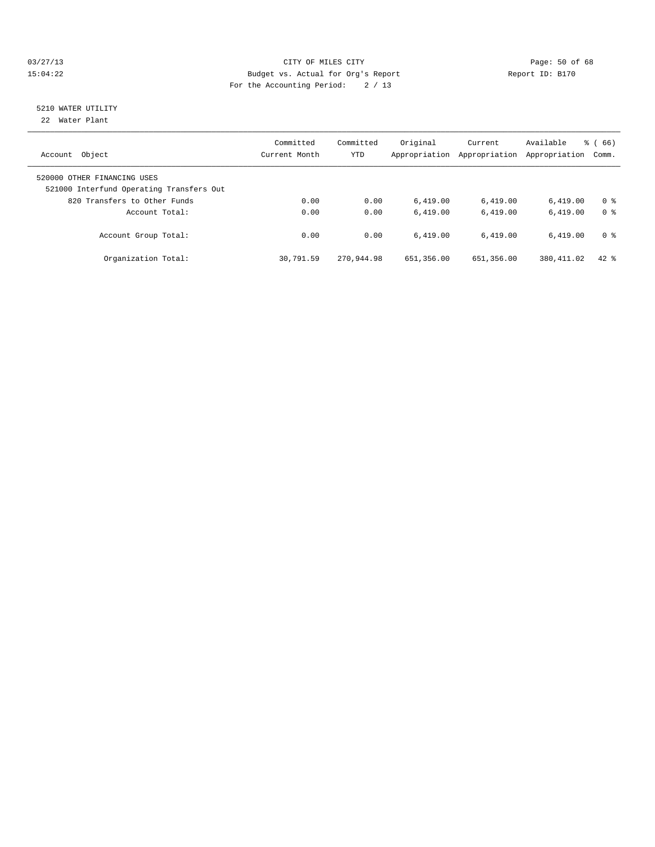#### 03/27/13 Page: 50 of 68 15:04:22 Budget vs. Actual for Org's Report Report ID: B170 For the Accounting Period: 2 / 13

# 5210 WATER UTILITY

22 Water Plant

| Object<br>Account                                                       | Committed<br>Current Month | Committed<br><b>YTD</b> | Original<br>Appropriation | Current<br>Appropriation | Available<br>Appropriation | $\frac{6}{6}$ (66)<br>Comm. |
|-------------------------------------------------------------------------|----------------------------|-------------------------|---------------------------|--------------------------|----------------------------|-----------------------------|
| 520000 OTHER FINANCING USES<br>521000 Interfund Operating Transfers Out |                            |                         |                           |                          |                            |                             |
| 820 Transfers to Other Funds                                            | 0.00                       | 0.00                    | 6.419.00                  | 6,419.00                 | 6.419.00                   | 0 <sup>8</sup>              |
| Account Total:                                                          | 0.00                       | 0.00                    | 6.419.00                  | 6.419.00                 | 6.419.00                   | 0 <sup>8</sup>              |
| Account Group Total:                                                    | 0.00                       | 0.00                    | 6.419.00                  | 6.419.00                 | 6.419.00                   | 0 <sup>8</sup>              |
| Organization Total:                                                     | 30,791.59                  | 270,944.98              | 651,356.00                | 651,356.00               | 380, 411.02                | $42*$                       |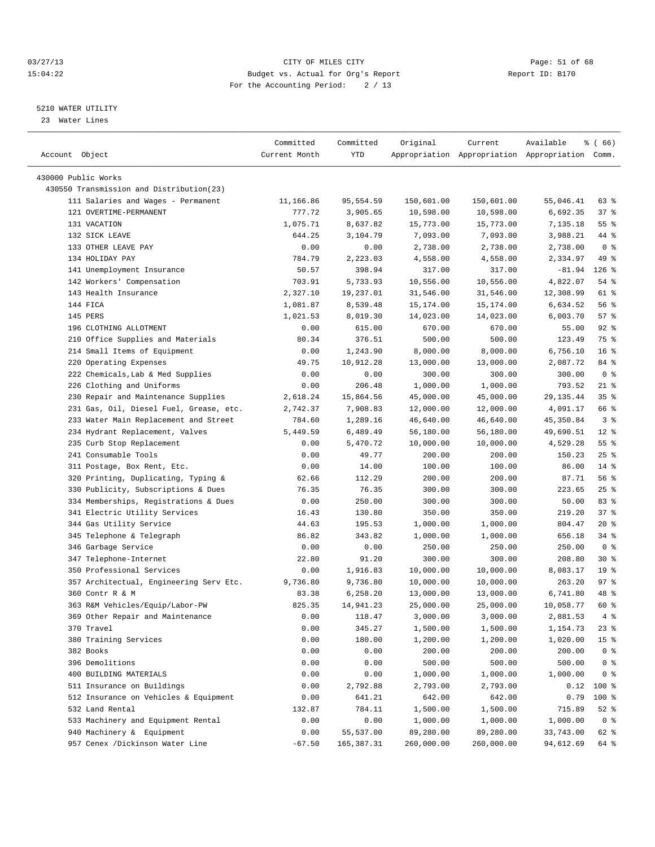#### 03/27/13 Page: 51 of 68 15:04:22 Budget vs. Actual for Org's Report Report ID: B170 For the Accounting Period: 2 / 13

————————————————————————————————————————————————————————————————————————————————————————————————————————————————————————————————————

#### 5210 WATER UTILITY

23 Water Lines

|                                                                 | Committed     | Committed             | Original               | Current                | Available                                       | ៖ ( 66)         |  |
|-----------------------------------------------------------------|---------------|-----------------------|------------------------|------------------------|-------------------------------------------------|-----------------|--|
| Account Object                                                  | Current Month | YTD                   |                        |                        | Appropriation Appropriation Appropriation Comm. |                 |  |
|                                                                 |               |                       |                        |                        |                                                 |                 |  |
| 430000 Public Works<br>430550 Transmission and Distribution(23) |               |                       |                        |                        |                                                 |                 |  |
| 111 Salaries and Wages - Permanent                              | 11,166.86     | 95,554.59             | 150,601.00             | 150,601.00             | 55,046.41                                       | 63 %            |  |
| 121 OVERTIME-PERMANENT                                          | 777.72        | 3,905.65              | 10,598.00              | 10,598.00              | 6,692.35                                        | 37%             |  |
| 131 VACATION                                                    | 1,075.71      | 8,637.82              | 15,773.00              | 15,773.00              | 7,135.18                                        | $55$ $%$        |  |
| 132 SICK LEAVE                                                  | 644.25        | 3,104.79              | 7,093.00               | 7,093.00               | 3,988.21                                        | 44 %            |  |
| 133 OTHER LEAVE PAY                                             | 0.00          | 0.00                  | 2,738.00               | 2,738.00               | 2,738.00                                        | 0 <sup>8</sup>  |  |
| 134 HOLIDAY PAY                                                 | 784.79        | 2,223.03              | 4,558.00               | 4,558.00               | 2,334.97                                        | 49 %            |  |
| 141 Unemployment Insurance                                      | 50.57         | 398.94                | 317.00                 | 317.00                 | $-81.94$                                        | $126$ %         |  |
|                                                                 | 703.91        |                       |                        |                        | 4,822.07                                        | 54 %            |  |
| 142 Workers' Compensation<br>143 Health Insurance               | 2,327.10      | 5,733.93<br>19,237.01 | 10,556.00<br>31,546.00 | 10,556.00<br>31,546.00 | 12,308.99                                       | 61 %            |  |
| 144 FICA                                                        | 1,081.87      | 8,539.48              | 15,174.00              | 15,174.00              | 6,634.52                                        | 56%             |  |
| 145 PERS                                                        |               |                       |                        |                        |                                                 | 57%             |  |
| 196 CLOTHING ALLOTMENT                                          | 1,021.53      | 8,019.30              | 14,023.00              | 14,023.00              | 6,003.70                                        | $92$ $%$        |  |
|                                                                 | 0.00          | 615.00                | 670.00                 | 670.00                 | 55.00                                           | 75 %            |  |
| 210 Office Supplies and Materials                               | 80.34         | 376.51                | 500.00                 | 500.00                 | 123.49                                          | 16 <sup>°</sup> |  |
| 214 Small Items of Equipment                                    | 0.00          | 1,243.90              | 8,000.00               | 8,000.00               | 6,756.10                                        |                 |  |
| 220 Operating Expenses                                          | 49.75         | 10,912.28             | 13,000.00              | 13,000.00              | 2,087.72<br>300.00                              | 84 %            |  |
| 222 Chemicals, Lab & Med Supplies                               | 0.00          | 0.00                  | 300.00                 | 300.00                 |                                                 | 0 <sup>8</sup>  |  |
| 226 Clothing and Uniforms                                       | 0.00          | 206.48                | 1,000.00               | 1,000.00               | 793.52                                          | $21$ %          |  |
| 230 Repair and Maintenance Supplies                             | 2,618.24      | 15,864.56             | 45,000.00              | 45,000.00              | 29, 135. 44                                     | 35 <sup>8</sup> |  |
| 231 Gas, Oil, Diesel Fuel, Grease, etc.                         | 2,742.37      | 7,908.83              | 12,000.00              | 12,000.00              | 4,091.17                                        | 66 %            |  |
| 233 Water Main Replacement and Street                           | 784.60        | 1,289.16              | 46,640.00              | 46,640.00              | 45, 350.84                                      | 3%              |  |
| 234 Hydrant Replacement, Valves                                 | 5,449.59      | 6,489.49              | 56,180.00              | 56,180.00              | 49,690.51                                       | $12*$           |  |
| 235 Curb Stop Replacement                                       | 0.00          | 5,470.72              | 10,000.00              | 10,000.00              | 4,529.28                                        | $55$ $%$        |  |
| 241 Consumable Tools                                            | 0.00          | 49.77                 | 200.00                 | 200.00                 | 150.23                                          | $25$ $%$        |  |
| 311 Postage, Box Rent, Etc.                                     | 0.00          | 14.00                 | 100.00                 | 100.00                 | 86.00                                           | $14*$           |  |
| 320 Printing, Duplicating, Typing &                             | 62.66         | 112.29                | 200.00                 | 200.00                 | 87.71                                           | 56%             |  |
| 330 Publicity, Subscriptions & Dues                             | 76.35         | 76.35                 | 300.00                 | 300.00                 | 223.65                                          | $25$ $%$        |  |
| 334 Memberships, Registrations & Dues                           | 0.00          | 250.00                | 300.00                 | 300.00                 | 50.00                                           | 83%             |  |
| 341 Electric Utility Services                                   | 16.43         | 130.80                | 350.00                 | 350.00                 | 219.20                                          | 37%             |  |
| 344 Gas Utility Service                                         | 44.63         | 195.53                | 1,000.00               | 1,000.00               | 804.47                                          | $20*$           |  |
| 345 Telephone & Telegraph                                       | 86.82         | 343.82                | 1,000.00               | 1,000.00               | 656.18                                          | $34$ $%$        |  |
| 346 Garbage Service                                             | 0.00          | 0.00                  | 250.00                 | 250.00                 | 250.00                                          | 0 <sup>8</sup>  |  |
| 347 Telephone-Internet                                          | 22.80         | 91.20                 | 300.00                 | 300.00                 | 208.80                                          | $30*$           |  |
| 350 Professional Services                                       | 0.00          | 1,916.83              | 10,000.00              | 10,000.00              | 8,083.17                                        | 19 <sup>°</sup> |  |
| 357 Architectual, Engineering Serv Etc.                         | 9,736.80      | 9,736.80              | 10,000.00              | 10,000.00              | 263.20                                          | 97%             |  |
| 360 Contr R & M                                                 | 83.38         | 6,258.20              | 13,000.00              | 13,000.00              | 6,741.80                                        | 48 %            |  |
| 363 R&M Vehicles/Equip/Labor-PW                                 | 825.35        | 14,941.23             | 25,000.00              | 25,000.00              | 10,058.77                                       | 60 %            |  |
| 369 Other Repair and Maintenance                                | 0.00          | 118.47                | 3,000.00               | 3,000.00               | 2,881.53                                        | 4%              |  |
| 370 Travel                                                      | 0.00          | 345.27                | 1,500.00               | 1,500.00               | 1,154.73                                        | $23$ $%$        |  |
| 380 Training Services                                           | 0.00          | 180.00                | 1,200.00               | 1,200.00               | 1,020.00                                        | 15 <sup>°</sup> |  |
| 382 Books                                                       | 0.00          | 0.00                  | 200.00                 | 200.00                 | 200.00                                          | 0 <sup>8</sup>  |  |
| 396 Demolitions                                                 | 0.00          | 0.00                  | 500.00                 | 500.00                 | 500.00                                          | 0 <sup>8</sup>  |  |
| 400 BUILDING MATERIALS                                          | 0.00          | 0.00                  | 1,000.00               | 1,000.00               | 1,000.00                                        | 0 <sup>8</sup>  |  |
| 511 Insurance on Buildings                                      | 0.00          | 2,792.88              | 2,793.00               | 2,793.00               | 0.12                                            | $100$ %         |  |
| 512 Insurance on Vehicles & Equipment                           | 0.00          | 641.21                | 642.00                 | 642.00                 | 0.79                                            | 100 %           |  |
| 532 Land Rental                                                 | 132.87        | 784.11                | 1,500.00               | 1,500.00               | 715.89                                          | $52$ $%$        |  |
| 533 Machinery and Equipment Rental                              | 0.00          | 0.00                  | 1,000.00               | 1,000.00               | 1,000.00                                        | 0 <sup>8</sup>  |  |
| 940 Machinery & Equipment                                       | 0.00          | 55,537.00             | 89,280.00              | 89,280.00              | 33,743.00                                       | 62 %            |  |
| 957 Cenex /Dickinson Water Line                                 | $-67.50$      | 165,387.31            | 260,000.00             | 260,000.00             | 94,612.69                                       | 64 %            |  |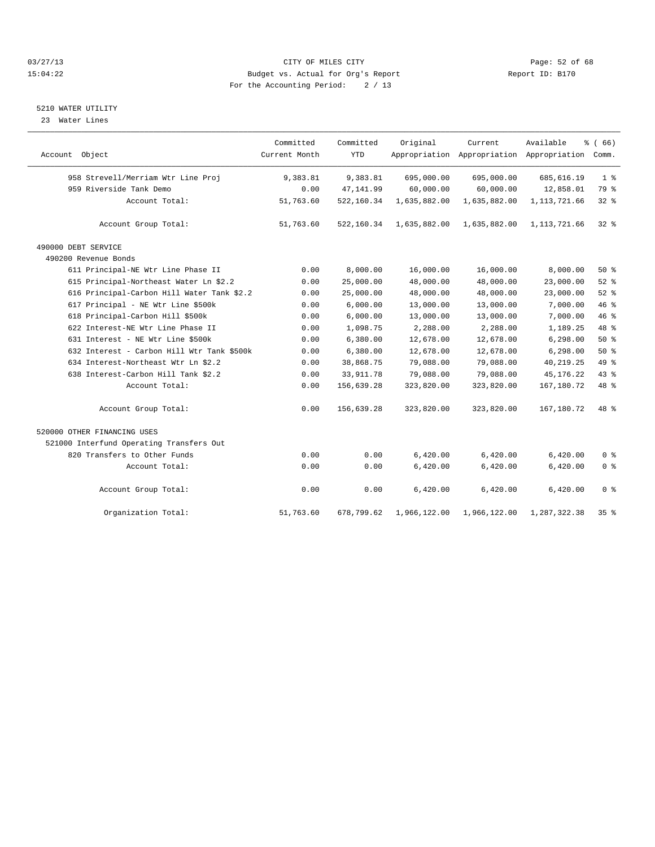#### 03/27/13 Page: 52 of 68 15:04:22 Budget vs. Actual for Org's Report Report ID: B170 For the Accounting Period: 2 / 13

#### 5210 WATER UTILITY

23 Water Lines

|                                            | Committed     | Committed  | Original     | Current      | Available                                 | % (66)          |
|--------------------------------------------|---------------|------------|--------------|--------------|-------------------------------------------|-----------------|
| Account Object                             | Current Month | <b>YTD</b> |              |              | Appropriation Appropriation Appropriation | Comm.           |
| 958 Strevell/Merriam Wtr Line Proj         | 9,383.81      | 9,383.81   | 695,000.00   | 695,000.00   | 685, 616.19                               | 1 <sup>8</sup>  |
| 959 Riverside Tank Demo                    | 0.00          | 47, 141.99 | 60,000.00    | 60,000.00    | 12,858.01                                 | 79 %            |
| Account Total:                             | 51,763.60     | 522,160.34 | 1,635,882.00 | 1,635,882.00 | 1, 113, 721.66                            | 32%             |
| Account Group Total:                       | 51,763.60     | 522,160.34 | 1,635,882.00 | 1,635,882.00 | 1, 113, 721.66                            | $32$ $%$        |
| 490000 DEBT SERVICE                        |               |            |              |              |                                           |                 |
| 490200 Revenue Bonds                       |               |            |              |              |                                           |                 |
| 611 Principal-NE Wtr Line Phase II         | 0.00          | 8,000.00   | 16,000.00    | 16,000.00    | 8,000.00                                  | 50%             |
| 615 Principal-Northeast Water Ln \$2.2     | 0.00          | 25,000.00  | 48,000.00    | 48,000.00    | 23,000.00                                 | 52%             |
| 616 Principal-Carbon Hill Water Tank \$2.2 | 0.00          | 25,000.00  | 48,000.00    | 48,000.00    | 23,000.00                                 | 52%             |
| 617 Principal - NE Wtr Line \$500k         | 0.00          | 6,000.00   | 13,000.00    | 13,000.00    | 7,000.00                                  | 46 %            |
| 618 Principal-Carbon Hill \$500k           | 0.00          | 6,000.00   | 13,000.00    | 13,000.00    | 7,000.00                                  | 46 %            |
| 622 Interest-NE Wtr Line Phase II          | 0.00          | 1,098.75   | 2,288.00     | 2,288.00     | 1,189.25                                  | 48 %            |
| 631 Interest - NE Wtr Line \$500k          | 0.00          | 6,380.00   | 12,678.00    | 12,678.00    | 6,298.00                                  | $50*$           |
| 632 Interest - Carbon Hill Wtr Tank \$500k | 0.00          | 6,380.00   | 12,678.00    | 12,678.00    | 6, 298.00                                 | 50%             |
| 634 Interest-Northeast Wtr Ln \$2.2        | 0.00          | 38,868.75  | 79,088.00    | 79,088.00    | 40, 219. 25                               | 49 %            |
| 638 Interest-Carbon Hill Tank \$2.2        | 0.00          | 33, 911.78 | 79,088.00    | 79,088.00    | 45, 176. 22                               | 43 %            |
| Account Total:                             | 0.00          | 156,639.28 | 323,820.00   | 323,820.00   | 167, 180. 72                              | 48 %            |
| Account Group Total:                       | 0.00          | 156,639.28 | 323,820.00   | 323,820.00   | 167,180.72                                | 48 %            |
| 520000 OTHER FINANCING USES                |               |            |              |              |                                           |                 |
| 521000 Interfund Operating Transfers Out   |               |            |              |              |                                           |                 |
| 820 Transfers to Other Funds               | 0.00          | 0.00       | 6,420.00     | 6,420.00     | 6,420.00                                  | 0 <sup>8</sup>  |
| Account Total:                             | 0.00          | 0.00       | 6,420.00     | 6,420.00     | 6,420.00                                  | 0 <sup>°</sup>  |
| Account Group Total:                       | 0.00          | 0.00       | 6,420.00     | 6,420.00     | 6,420.00                                  | 0 <sup>8</sup>  |
| Organization Total:                        | 51,763.60     | 678,799.62 | 1,966,122.00 | 1,966,122.00 | 1,287,322.38                              | 35 <sup>8</sup> |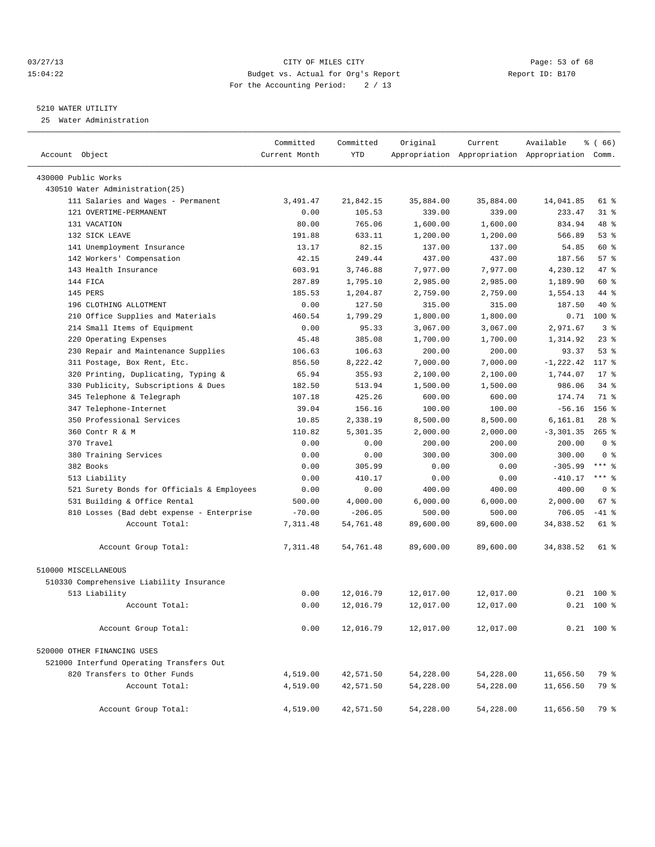#### 03/27/13 Page: 53 of 68 15:04:22 Budget vs. Actual for Org's Report Report ID: B170 For the Accounting Period: 2 / 13

#### 5210 WATER UTILITY

25 Water Administration

| Account Object                             | Committed<br>Current Month | Committed<br><b>YTD</b> | Original  | Current   | Available<br>Appropriation Appropriation Appropriation Comm. | % (66)         |
|--------------------------------------------|----------------------------|-------------------------|-----------|-----------|--------------------------------------------------------------|----------------|
| 430000 Public Works                        |                            |                         |           |           |                                                              |                |
| 430510 Water Administration(25)            |                            |                         |           |           |                                                              |                |
| 111 Salaries and Wages - Permanent         | 3,491.47                   | 21,842.15               | 35,884.00 | 35,884.00 | 14,041.85                                                    | 61 %           |
| 121 OVERTIME-PERMANENT                     | 0.00                       | 105.53                  | 339.00    | 339.00    | 233.47                                                       | $31$ $%$       |
| 131 VACATION                               | 80.00                      | 765.06                  | 1,600.00  | 1,600.00  | 834.94                                                       | 48 %           |
| 132 SICK LEAVE                             | 191.88                     | 633.11                  | 1,200.00  | 1,200.00  | 566.89                                                       | 53%            |
| 141 Unemployment Insurance                 | 13.17                      | 82.15                   | 137.00    | 137.00    | 54.85                                                        | 60 %           |
| 142 Workers' Compensation                  | 42.15                      | 249.44                  | 437.00    | 437.00    | 187.56                                                       | 57%            |
| 143 Health Insurance                       | 603.91                     | 3,746.88                | 7,977.00  | 7,977.00  | 4,230.12                                                     | 47 %           |
| 144 FICA                                   | 287.89                     | 1,795.10                | 2,985.00  | 2,985.00  | 1,189.90                                                     | 60 %           |
| 145 PERS                                   | 185.53                     | 1,204.87                | 2,759.00  | 2,759.00  | 1,554.13                                                     | 44 %           |
| 196 CLOTHING ALLOTMENT                     | 0.00                       | 127.50                  | 315.00    | 315.00    | 187.50                                                       | $40*$          |
| 210 Office Supplies and Materials          | 460.54                     | 1,799.29                | 1,800.00  | 1,800.00  | 0.71                                                         | $100*$         |
| 214 Small Items of Equipment               | 0.00                       | 95.33                   | 3,067.00  | 3,067.00  | 2,971.67                                                     | 3 <sup>°</sup> |
| Operating Expenses<br>220                  | 45.48                      | 385.08                  | 1,700.00  | 1,700.00  | 1,314.92                                                     | 23%            |
| 230 Repair and Maintenance Supplies        | 106.63                     | 106.63                  | 200.00    | 200.00    | 93.37                                                        | 53%            |
| 311 Postage, Box Rent, Etc.                | 856.50                     | 8,222.42                | 7,000.00  | 7,000.00  | $-1, 222.42$                                                 | 117 %          |
| 320 Printing, Duplicating, Typing &        | 65.94                      | 355.93                  | 2,100.00  | 2,100.00  | 1,744.07                                                     | $17*$          |
| 330 Publicity, Subscriptions & Dues        | 182.50                     | 513.94                  | 1,500.00  | 1,500.00  | 986.06                                                       | $34$ $%$       |
| Telephone & Telegraph<br>345               | 107.18                     | 425.26                  | 600.00    | 600.00    | 174.74                                                       | 71 %           |
| 347 Telephone-Internet                     | 39.04                      | 156.16                  | 100.00    | 100.00    | $-56.16$                                                     | $156$ $%$      |
| 350 Professional Services                  | 10.85                      | 2,338.19                | 8,500.00  | 8,500.00  | 6,161.81                                                     | $28$ %         |
| 360 Contr R & M                            | 110.82                     | 5,301.35                | 2,000.00  | 2,000.00  | $-3,301.35$                                                  | $265$ %        |
| 370 Travel                                 | 0.00                       | 0.00                    | 200.00    | 200.00    | 200.00                                                       | 0 <sup>8</sup> |
| 380 Training Services                      | 0.00                       | 0.00                    | 300.00    | 300.00    | 300.00                                                       | 0 <sup>8</sup> |
| 382 Books                                  | 0.00                       | 305.99                  | 0.00      | 0.00      | $-305.99$                                                    | $***$ $%$      |
| 513 Liability                              | 0.00                       | 410.17                  | 0.00      | 0.00      | $-410.17$                                                    | *** 8          |
| 521 Surety Bonds for Officials & Employees | 0.00                       | 0.00                    | 400.00    | 400.00    | 400.00                                                       | 0 <sup>8</sup> |
| 531 Building & Office Rental               | 500.00                     | 4,000.00                | 6,000.00  | 6,000.00  | 2,000.00                                                     | 67 %           |
| 810 Losses (Bad debt expense - Enterprise  | $-70.00$                   | $-206.05$               | 500.00    | 500.00    | 706.05                                                       | $-41$ %        |
| Account Total:                             | 7,311.48                   | 54,761.48               | 89,600.00 | 89,600.00 | 34,838.52                                                    | 61 %           |
|                                            |                            |                         |           |           |                                                              |                |
| Account Group Total:                       | 7,311.48                   | 54,761.48               | 89,600.00 | 89,600.00 | 34,838.52                                                    | 61 %           |
| 510000 MISCELLANEOUS                       |                            |                         |           |           |                                                              |                |
| 510330 Comprehensive Liability Insurance   |                            |                         |           |           |                                                              |                |
| 513 Liability                              | 0.00                       | 12,016.79               | 12,017.00 | 12,017.00 |                                                              | $0.21$ 100 %   |
| Account Total:                             | 0.00                       | 12,016.79               | 12,017.00 | 12,017.00 | 0.21                                                         | $100*$         |
| Account Group Total:                       | 0.00                       | 12,016.79               | 12,017.00 | 12,017.00 |                                                              | $0.21$ 100 %   |
|                                            |                            |                         |           |           |                                                              |                |
| 520000 OTHER FINANCING USES                |                            |                         |           |           |                                                              |                |
| 521000 Interfund Operating Transfers Out   |                            |                         |           |           |                                                              |                |
| 820 Transfers to Other Funds               | 4,519.00                   | 42,571.50               | 54,228.00 | 54,228.00 | 11,656.50                                                    | 79 %           |
| Account Total:                             | 4,519.00                   | 42,571.50               | 54,228.00 | 54,228.00 | 11,656.50                                                    | 79 %           |
| Account Group Total:                       | 4,519.00                   | 42,571.50               | 54,228.00 | 54,228.00 | 11,656.50                                                    | 79 %           |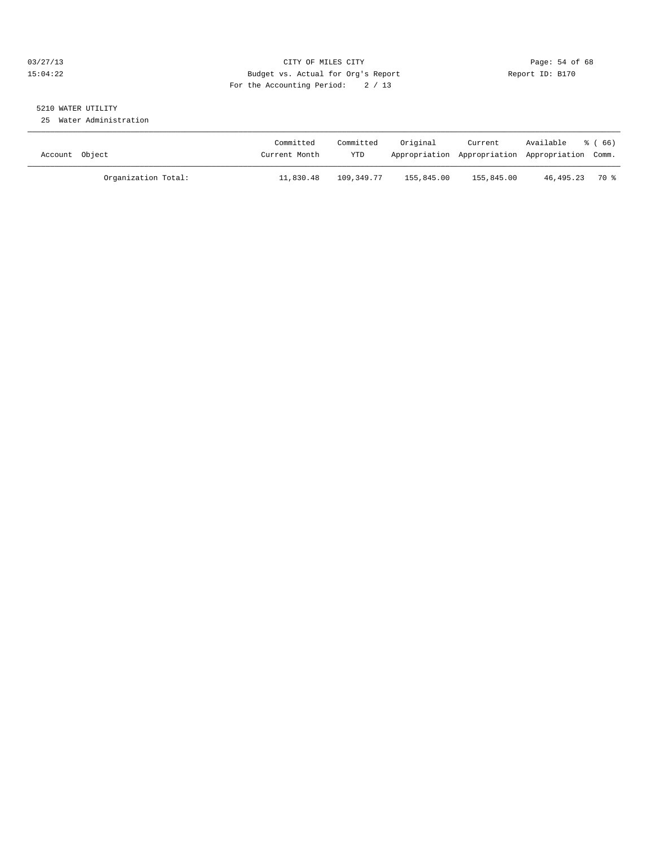#### 03/27/13 Page: 54 of 68 15:04:22 Budget vs. Actual for Org's Report Report ID: B170 For the Accounting Period: 2 / 13

# 5210 WATER UTILITY

25 Water Administration

| Account Object |                     | Committed<br>Current Month | Committed<br>YTD | Original   | Current<br>Appropriation Appropriation Appropriation Comm. | Available      | 8 ( 66 ) |
|----------------|---------------------|----------------------------|------------------|------------|------------------------------------------------------------|----------------|----------|
|                | Organization Total: | 11,830.48                  | 109,349.77       | 155,845.00 | 155,845.00                                                 | 46,495.23 70 % |          |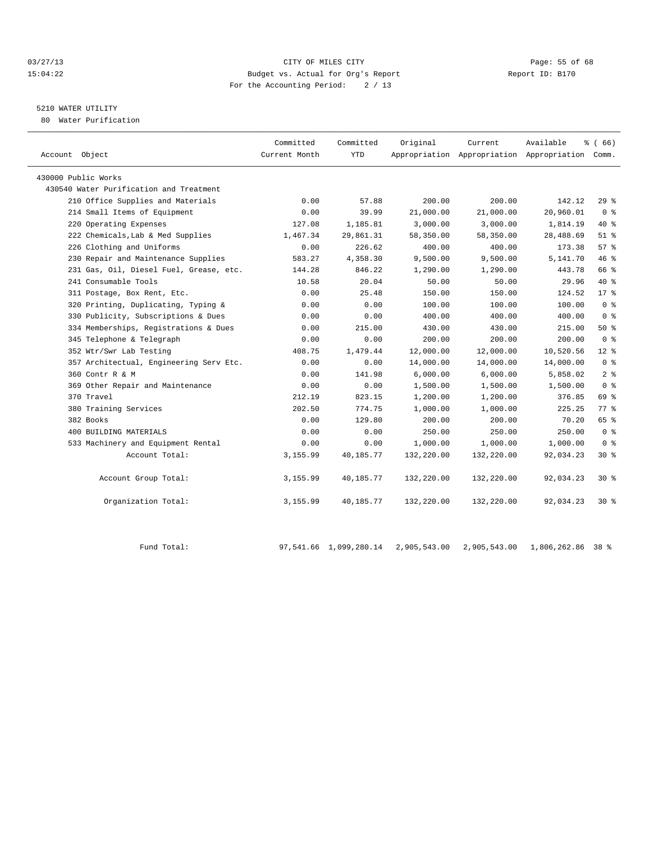#### 03/27/13 Page: 55 of 68 15:04:22 Budget vs. Actual for Org's Report Report ID: B170 For the Accounting Period: 2 / 13

## 5210 WATER UTILITY

80 Water Purification

| Account Object                          | Committed<br>Current Month | Committed<br>YTD | Original   | Current    | Available<br>Appropriation Appropriation Appropriation Comm. | % (66)         |  |
|-----------------------------------------|----------------------------|------------------|------------|------------|--------------------------------------------------------------|----------------|--|
| 430000 Public Works                     |                            |                  |            |            |                                                              |                |  |
| 430540 Water Purification and Treatment |                            |                  |            |            |                                                              |                |  |
| 210 Office Supplies and Materials       | 0.00                       | 57.88            | 200.00     | 200.00     | 142.12                                                       | $29*$          |  |
| 214 Small Items of Equipment            | 0.00                       | 39.99            | 21,000.00  | 21,000.00  | 20,960.01                                                    | 0 <sup>8</sup> |  |
| 220 Operating Expenses                  | 127.08                     | 1,185.81         | 3,000.00   | 3,000.00   | 1,814.19                                                     | 40 %           |  |
| 222 Chemicals, Lab & Med Supplies       | 1,467.34                   | 29,861.31        | 58,350.00  | 58,350.00  | 28,488.69                                                    | $51$ %         |  |
| 226 Clothing and Uniforms               | 0.00                       | 226.62           | 400.00     | 400.00     | 173.38                                                       | $57*$          |  |
| 230 Repair and Maintenance Supplies     | 583.27                     | 4,358.30         | 9,500.00   | 9,500.00   | 5,141.70                                                     | 46%            |  |
| 231 Gas, Oil, Diesel Fuel, Grease, etc. | 144.28                     | 846.22           | 1,290.00   | 1,290.00   | 443.78                                                       | 66 %           |  |
| 241 Consumable Tools                    | 10.58                      | 20.04            | 50.00      | 50.00      | 29.96                                                        | $40*$          |  |
| 311 Postage, Box Rent, Etc.             | 0.00                       | 25.48            | 150.00     | 150.00     | 124.52                                                       | $17*$          |  |
| 320 Printing, Duplicating, Typing &     | 0.00                       | 0.00             | 100.00     | 100.00     | 100.00                                                       | 0 <sup>8</sup> |  |
| 330 Publicity, Subscriptions & Dues     | 0.00                       | 0.00             | 400.00     | 400.00     | 400.00                                                       | 0 <sup>8</sup> |  |
| 334 Memberships, Registrations & Dues   | 0.00                       | 215.00           | 430.00     | 430.00     | 215.00                                                       | $50*$          |  |
| 345 Telephone & Telegraph               | 0.00                       | 0.00             | 200.00     | 200.00     | 200.00                                                       | 0 <sup>8</sup> |  |
| 352 Wtr/Swr Lab Testing                 | 408.75                     | 1,479.44         | 12,000.00  | 12,000.00  | 10,520.56                                                    | $12*$          |  |
| 357 Architectual, Engineering Serv Etc. | 0.00                       | 0.00             | 14,000.00  | 14,000.00  | 14,000.00                                                    | 0 <sup>8</sup> |  |
| 360 Contr R & M                         | 0.00                       | 141.98           | 6,000.00   | 6,000.00   | 5,858.02                                                     | 2 <sup>°</sup> |  |
| 369 Other Repair and Maintenance        | 0.00                       | 0.00             | 1,500.00   | 1,500.00   | 1,500.00                                                     | 0 <sup>8</sup> |  |
| 370 Travel                              | 212.19                     | 823.15           | 1,200.00   | 1,200.00   | 376.85                                                       | 69 %           |  |
| 380 Training Services                   | 202.50                     | 774.75           | 1,000.00   | 1,000.00   | 225.25                                                       | 77.8           |  |
| 382 Books                               | 0.00                       | 129.80           | 200.00     | 200.00     | 70.20                                                        | 65 %           |  |
| 400 BUILDING MATERIALS                  | 0.00                       | 0.00             | 250.00     | 250.00     | 250.00                                                       | 0 <sup>8</sup> |  |
| 533 Machinery and Equipment Rental      | 0.00                       | 0.00             | 1,000.00   | 1,000.00   | 1,000.00                                                     | 0 <sup>8</sup> |  |
| Account Total:                          | 3,155.99                   | 40,185.77        | 132,220.00 | 132,220.00 | 92,034.23                                                    | $30*$          |  |
| Account Group Total:                    | 3,155.99                   | 40,185.77        | 132,220.00 | 132,220.00 | 92,034.23                                                    | $30*$          |  |
| Organization Total:                     | 3,155.99                   | 40,185.77        | 132,220.00 | 132,220.00 | 92,034.23                                                    | $30*$          |  |
|                                         |                            |                  |            |            |                                                              |                |  |

Fund Total: 97,541.66 1,099,280.14 2,905,543.00 2,905,543.00 1,806,262.86 38 %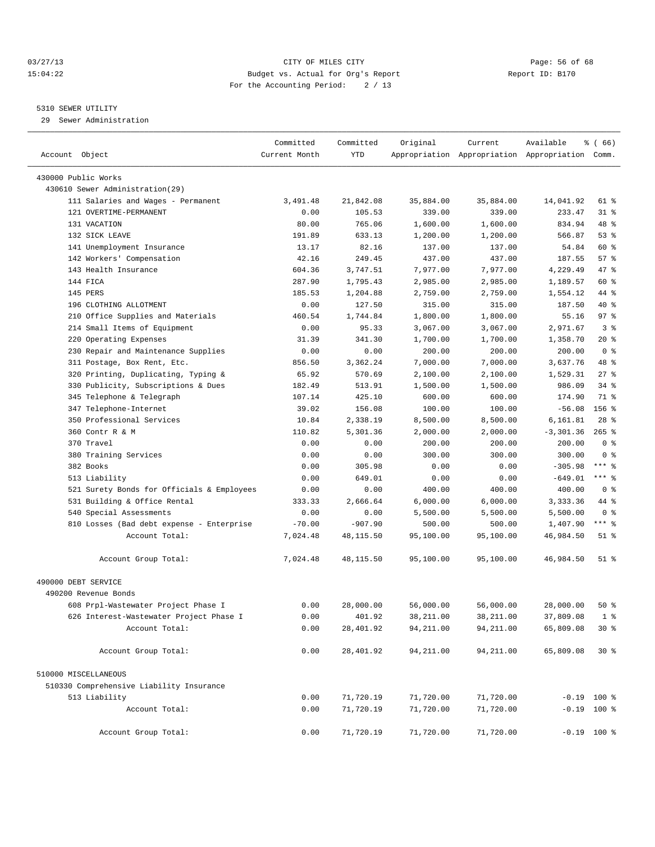#### 03/27/13 Page: 56 of 68 15:04:22 Budget vs. Actual for Org's Report Report ID: B170 For the Accounting Period: 2 / 13

————————————————————————————————————————————————————————————————————————————————————————————————————————————————————————————————————

#### 5310 SEWER UTILITY

29 Sewer Administration

|                                            | Committed     | Committed       | Original             | Current              | Available                                       | $\frac{3}{6}$ (66) |  |
|--------------------------------------------|---------------|-----------------|----------------------|----------------------|-------------------------------------------------|--------------------|--|
| Account Object                             | Current Month | YTD             |                      |                      | Appropriation Appropriation Appropriation Comm. |                    |  |
| 430000 Public Works                        |               |                 |                      |                      |                                                 |                    |  |
| 430610 Sewer Administration(29)            |               |                 |                      |                      |                                                 |                    |  |
| 111 Salaries and Wages - Permanent         | 3,491.48      | 21,842.08       | 35,884.00            | 35,884.00            | 14,041.92                                       | 61 %               |  |
| 121 OVERTIME-PERMANENT                     | 0.00          | 105.53          | 339.00               | 339.00               | 233.47                                          | 31 %               |  |
| 131 VACATION                               |               |                 |                      |                      | 834.94                                          | 48 %               |  |
| 132 SICK LEAVE                             | 80.00         | 765.06          | 1,600.00<br>1,200.00 | 1,600.00<br>1,200.00 | 566.87                                          | 53%                |  |
|                                            | 191.89        | 633.13<br>82.16 |                      |                      |                                                 | 60 %               |  |
| 141 Unemployment Insurance                 | 13.17         |                 | 137.00               | 137.00               | 54.84                                           |                    |  |
| 142 Workers' Compensation                  | 42.16         | 249.45          | 437.00               | 437.00               | 187.55                                          | 57%                |  |
| 143 Health Insurance                       | 604.36        | 3,747.51        | 7,977.00             | 7,977.00             | 4,229.49                                        | 47 %               |  |
| 144 FICA                                   | 287.90        | 1,795.43        | 2,985.00             | 2,985.00             | 1,189.57                                        | 60 %               |  |
| 145 PERS                                   | 185.53        | 1,204.88        | 2,759.00             | 2,759.00             | 1,554.12                                        | 44 %               |  |
| 196 CLOTHING ALLOTMENT                     | 0.00          | 127.50          | 315.00               | 315.00               | 187.50                                          | 40 %               |  |
| 210 Office Supplies and Materials          | 460.54        | 1,744.84        | 1,800.00             | 1,800.00             | 55.16                                           | 97%                |  |
| 214 Small Items of Equipment               | 0.00          | 95.33           | 3,067.00             | 3,067.00             | 2,971.67                                        | 3%                 |  |
| 220 Operating Expenses                     | 31.39         | 341.30          | 1,700.00             | 1,700.00             | 1,358.70                                        | $20*$              |  |
| 230 Repair and Maintenance Supplies        | 0.00          | 0.00            | 200.00               | 200.00               | 200.00                                          | 0 <sup>8</sup>     |  |
| 311 Postage, Box Rent, Etc.                | 856.50        | 3,362.24        | 7,000.00             | 7,000.00             | 3,637.76                                        | 48 %               |  |
| 320 Printing, Duplicating, Typing &        | 65.92         | 570.69          | 2,100.00             | 2,100.00             | 1,529.31                                        | $27$ %             |  |
| 330 Publicity, Subscriptions & Dues        | 182.49        | 513.91          | 1,500.00             | 1,500.00             | 986.09                                          | $34$ $%$           |  |
| 345 Telephone & Telegraph                  | 107.14        | 425.10          | 600.00               | 600.00               | 174.90                                          | 71 %               |  |
| 347 Telephone-Internet                     | 39.02         | 156.08          | 100.00               | 100.00               | $-56.08$                                        | $156$ %            |  |
| 350 Professional Services                  | 10.84         | 2,338.19        | 8,500.00             | 8,500.00             | 6,161.81                                        | $28$ %             |  |
| 360 Contr R & M                            | 110.82        | 5,301.36        | 2,000.00             | 2,000.00             | $-3, 301.36$                                    | $265$ %            |  |
| 370 Travel                                 | 0.00          | 0.00            | 200.00               | 200.00               | 200.00                                          | 0 <sup>8</sup>     |  |
| 380 Training Services                      | 0.00          | 0.00            | 300.00               | 300.00               | 300.00                                          | 0 <sup>8</sup>     |  |
| 382 Books                                  | 0.00          | 305.98          | 0.00                 | 0.00                 | $-305.98$                                       | *** 응              |  |
| 513 Liability                              | 0.00          | 649.01          | 0.00                 | 0.00                 | $-649.01$                                       | *** 응              |  |
| 521 Surety Bonds for Officials & Employees | 0.00          | 0.00            | 400.00               | 400.00               | 400.00                                          | 0 <sup>8</sup>     |  |
| 531 Building & Office Rental               | 333.33        | 2,666.64        | 6,000.00             | 6,000.00             | 3,333.36                                        | 44 %               |  |
| 540 Special Assessments                    | 0.00          | 0.00            | 5,500.00             | 5,500.00             | 5,500.00                                        | 0 <sup>8</sup>     |  |
| 810 Losses (Bad debt expense - Enterprise  | $-70.00$      | $-907.90$       | 500.00               | 500.00               | 1,407.90                                        | *** 8              |  |
| Account Total:                             | 7,024.48      | 48,115.50       | 95,100.00            | 95,100.00            | 46,984.50                                       | $51$ %             |  |
| Account Group Total:                       | 7,024.48      | 48, 115.50      | 95,100.00            | 95,100.00            | 46,984.50                                       | $51$ %             |  |
| 490000 DEBT SERVICE                        |               |                 |                      |                      |                                                 |                    |  |
| 490200 Revenue Bonds                       |               |                 |                      |                      |                                                 |                    |  |
| 608 Prpl-Wastewater Project Phase I        | 0.00          | 28,000.00       | 56,000.00            | 56,000.00            | 28,000.00                                       | $50*$              |  |
| 626 Interest-Wastewater Project Phase I    | 0.00          | 401.92          | 38,211.00            | 38,211.00            | 37,809.08                                       | 1 <sup>8</sup>     |  |
| Account Total:                             | 0.00          | 28,401.92       | 94, 211.00           | 94, 211.00           | 65,809.08                                       | $30*$              |  |
|                                            |               |                 |                      |                      |                                                 |                    |  |
| Account Group Total:                       | 0.00          | 28,401.92       | 94,211.00            | 94, 211.00           | 65,809.08                                       | $30*$              |  |
| 510000 MISCELLANEOUS                       |               |                 |                      |                      |                                                 |                    |  |
| 510330 Comprehensive Liability Insurance   |               |                 |                      |                      |                                                 |                    |  |
| 513 Liability                              | 0.00          | 71,720.19       | 71,720.00            | 71,720.00            |                                                 | $-0.19$ 100 %      |  |
| Account Total:                             | 0.00          | 71,720.19       | 71,720.00            | 71,720.00            |                                                 | $-0.19$ 100 %      |  |
| Account Group Total:                       | 0.00          | 71,720.19       | 71,720.00            | 71,720.00            |                                                 | $-0.19$ 100 %      |  |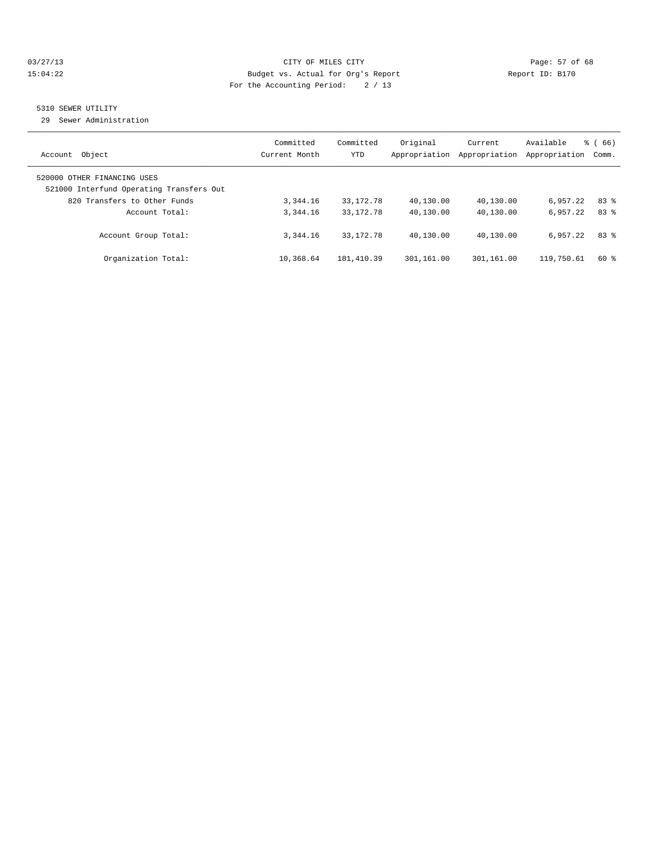#### 03/27/13 Page: 57 of 68 15:04:22 Budget vs. Actual for Org's Report Report ID: B170 For the Accounting Period: 2 / 13

## 5310 SEWER UTILITY

29 Sewer Administration

| Account Object                                                                                          | Committed<br>Current Month | Committed<br>YTD | Original<br>Appropriation | Current<br>Appropriation | Available<br>Appropriation | $\frac{6}{6}$ (66)<br>Comm. |
|---------------------------------------------------------------------------------------------------------|----------------------------|------------------|---------------------------|--------------------------|----------------------------|-----------------------------|
| 520000 OTHER FINANCING USES<br>521000 Interfund Operating Transfers Out<br>820 Transfers to Other Funds | 3,344.16                   | 33, 172. 78      | 40,130.00                 | 40,130.00                | 6,957.22                   | 83 %                        |
| Account Total:                                                                                          | 3, 344, 16                 | 33, 172. 78      | 40,130.00                 | 40,130.00                | 6.957.22                   | 83%                         |
| Account Group Total:                                                                                    | 3, 344, 16                 | 33, 172. 78      | 40,130.00                 | 40,130.00                | 6,957.22                   | 83%                         |
| Organization Total:                                                                                     | 10,368.64                  | 181,410.39       | 301,161.00                | 301,161.00               | 119,750.61                 | 60 %                        |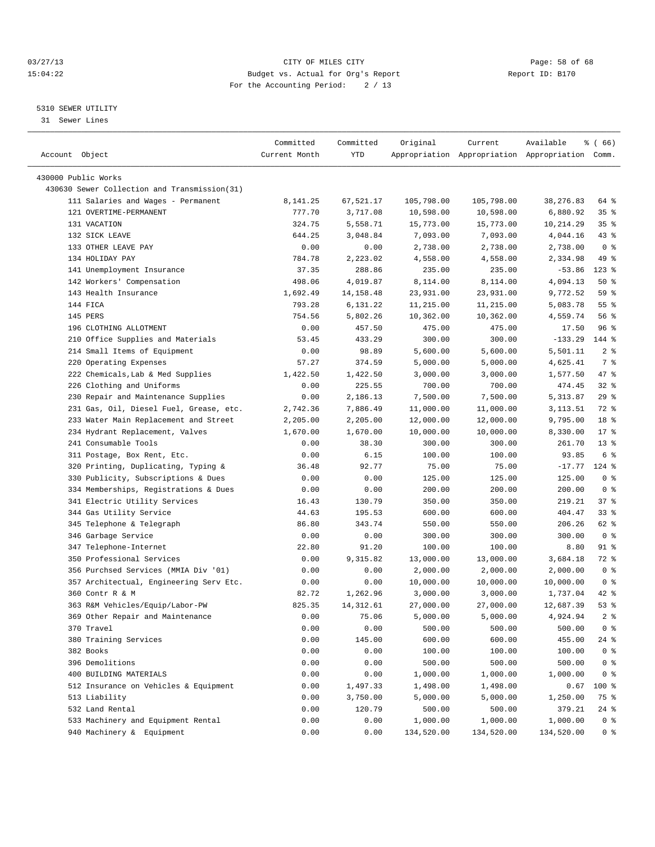#### 03/27/13 Page: 58 of 68 15:04:22 Budget vs. Actual for Org's Report Report ID: B170 For the Accounting Period: 2 / 13

————————————————————————————————————————————————————————————————————————————————————————————————————————————————————————————————————

#### 5310 SEWER UTILITY

31 Sewer Lines

|                                              | Committed     | Committed   | Original   | Current    | Available                                       | % ( 66)         |
|----------------------------------------------|---------------|-------------|------------|------------|-------------------------------------------------|-----------------|
| Account Object                               | Current Month | YTD         |            |            | Appropriation Appropriation Appropriation Comm. |                 |
| 430000 Public Works                          |               |             |            |            |                                                 |                 |
| 430630 Sewer Collection and Transmission(31) |               |             |            |            |                                                 |                 |
| 111 Salaries and Wages - Permanent           | 8,141.25      | 67,521.17   | 105,798.00 | 105,798.00 | 38,276.83                                       | 64 %            |
| 121 OVERTIME-PERMANENT                       | 777.70        | 3,717.08    | 10,598.00  | 10,598.00  | 6,880.92                                        | 35%             |
| 131 VACATION                                 | 324.75        | 5,558.71    | 15,773.00  | 15,773.00  | 10,214.29                                       | 35%             |
| 132 SICK LEAVE                               | 644.25        | 3,048.84    | 7,093.00   | 7,093.00   | 4,044.16                                        | $43$ $%$        |
| 133 OTHER LEAVE PAY                          | 0.00          | 0.00        | 2,738.00   | 2,738.00   | 2,738.00                                        | 0 <sup>8</sup>  |
| 134 HOLIDAY PAY                              | 784.78        | 2,223.02    | 4,558.00   | 4,558.00   | 2,334.98                                        | 49 %            |
| 141 Unemployment Insurance                   | 37.35         | 288.86      | 235.00     | 235.00     | $-53.86$                                        | $123$ %         |
| 142 Workers' Compensation                    | 498.06        | 4,019.87    | 8,114.00   | 8,114.00   | 4,094.13                                        | 50%             |
| 143 Health Insurance                         | 1,692.49      | 14, 158. 48 | 23,931.00  | 23,931.00  | 9,772.52                                        | 59 %            |
| 144 FICA                                     | 793.28        | 6,131.22    | 11,215.00  | 11,215.00  | 5,083.78                                        | 55 <sup>8</sup> |
| 145 PERS                                     | 754.56        | 5,802.26    | 10,362.00  | 10,362.00  | 4,559.74                                        | 56%             |
| 196 CLOTHING ALLOTMENT                       | 0.00          | 457.50      | 475.00     | 475.00     | 17.50                                           | 96%             |
| 210 Office Supplies and Materials            | 53.45         | 433.29      | 300.00     | 300.00     | $-133.29$                                       | 144 %           |
| 214 Small Items of Equipment                 | 0.00          | 98.89       | 5,600.00   | 5,600.00   | 5,501.11                                        | 2 <sup>°</sup>  |
| 220 Operating Expenses                       | 57.27         | 374.59      | 5,000.00   | 5,000.00   | 4,625.41                                        | 7 %             |
| 222 Chemicals, Lab & Med Supplies            | 1,422.50      | 1,422.50    | 3,000.00   | 3,000.00   | 1,577.50                                        | 47 %            |
| 226 Clothing and Uniforms                    | 0.00          | 225.55      | 700.00     | 700.00     | 474.45                                          | $32$ $%$        |
| 230 Repair and Maintenance Supplies          | 0.00          | 2,186.13    | 7,500.00   | 7,500.00   | 5, 313.87                                       | 29%             |
| 231 Gas, Oil, Diesel Fuel, Grease, etc.      | 2,742.36      | 7,886.49    | 11,000.00  | 11,000.00  | 3,113.51                                        | 72 %            |
| 233 Water Main Replacement and Street        | 2,205.00      | 2,205.00    | 12,000.00  | 12,000.00  | 9,795.00                                        | 18 %            |
| 234 Hydrant Replacement, Valves              | 1,670.00      | 1,670.00    | 10,000.00  | 10,000.00  | 8,330.00                                        | $17*$           |
| 241 Consumable Tools                         | 0.00          | 38.30       | 300.00     | 300.00     | 261.70                                          | $13*$           |
| 311 Postage, Box Rent, Etc.                  | 0.00          | 6.15        | 100.00     | 100.00     | 93.85                                           | 6 %             |
| 320 Printing, Duplicating, Typing &          | 36.48         | 92.77       | 75.00      | 75.00      | $-17.77$                                        | $124$ %         |
| 330 Publicity, Subscriptions & Dues          | 0.00          | 0.00        | 125.00     | 125.00     | 125.00                                          | 0 <sup>8</sup>  |
| 334 Memberships, Registrations & Dues        | 0.00          | 0.00        | 200.00     | 200.00     | 200.00                                          | 0 <sup>8</sup>  |
| 341 Electric Utility Services                | 16.43         | 130.79      | 350.00     | 350.00     | 219.21                                          | 37%             |
| 344 Gas Utility Service                      | 44.63         | 195.53      | 600.00     | 600.00     | 404.47                                          | $33$ $%$        |
| 345 Telephone & Telegraph                    | 86.80         | 343.74      | 550.00     | 550.00     | 206.26                                          | 62 %            |
| 346 Garbage Service                          | 0.00          | 0.00        | 300.00     | 300.00     | 300.00                                          | 0 <sup>8</sup>  |
| 347 Telephone-Internet                       | 22.80         | 91.20       | 100.00     | 100.00     | 8.80                                            | 91 %            |
| 350 Professional Services                    | 0.00          | 9,315.82    | 13,000.00  | 13,000.00  | 3,684.18                                        | 72 %            |
| 356 Purchsed Services (MMIA Div '01)         | 0.00          | 0.00        | 2,000.00   | 2,000.00   | 2,000.00                                        | 0 <sup>8</sup>  |
| 357 Architectual, Engineering Serv Etc.      | 0.00          | 0.00        | 10,000.00  | 10,000.00  | 10,000.00                                       | 0 <sup>8</sup>  |
| 360 Contr R & M                              | 82.72         | 1,262.96    | 3,000.00   | 3,000.00   | 1,737.04                                        | 42 %            |
| 363 R&M Vehicles/Equip/Labor-PW              | 825.35        | 14, 312.61  | 27,000.00  | 27,000.00  | 12,687.39                                       | 53%             |
| 369 Other Repair and Maintenance             | 0.00          | 75.06       | 5,000.00   | 5,000.00   | 4,924.94                                        | 2 <sup>8</sup>  |
| 370 Travel                                   | 0.00          | 0.00        | 500.00     | 500.00     | 500.00                                          | 0 <sup>8</sup>  |
| 380 Training Services                        | 0.00          | 145.00      | 600.00     | 600.00     | 455.00                                          | 24 %            |
| 382 Books                                    | 0.00          | 0.00        | 100.00     | 100.00     | 100.00                                          | 0 <sup>8</sup>  |
| 396 Demolitions                              | 0.00          | 0.00        | 500.00     | 500.00     | 500.00                                          | 0 <sup>8</sup>  |
| 400 BUILDING MATERIALS                       | 0.00          | 0.00        | 1,000.00   | 1,000.00   | 1,000.00                                        | 0 <sup>8</sup>  |
| 512 Insurance on Vehicles & Equipment        | 0.00          | 1,497.33    | 1,498.00   | 1,498.00   | 0.67                                            | 100 %           |
| 513 Liability                                | 0.00          | 3,750.00    | 5,000.00   | 5,000.00   | 1,250.00                                        | 75 %            |
| 532 Land Rental                              | 0.00          | 120.79      | 500.00     | 500.00     | 379.21                                          | $24$ %          |
| 533 Machinery and Equipment Rental           | 0.00          | 0.00        | 1,000.00   | 1,000.00   | 1,000.00                                        | 0 <sup>8</sup>  |
| 940 Machinery & Equipment                    | 0.00          | 0.00        | 134,520.00 | 134,520.00 | 134,520.00                                      | 0 <sup>8</sup>  |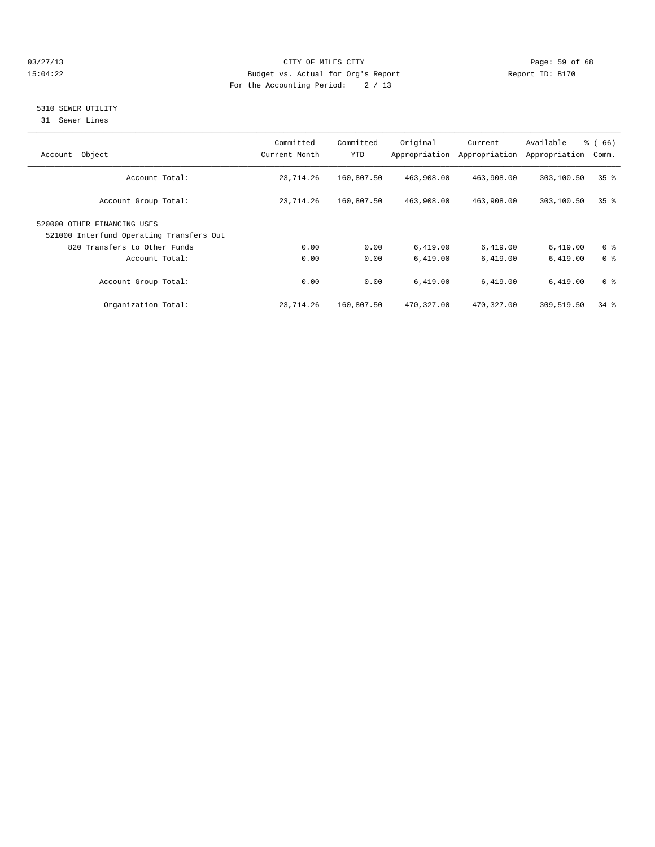#### 03/27/13 Page: 59 of 68 15:04:22 Budget vs. Actual for Org's Report Report ID: B170 For the Accounting Period: 2 / 13

#### 5310 SEWER UTILITY

31 Sewer Lines

| Object<br>Account                                                       | Committed<br>Current Month | Committed<br>YTD | Original   | Current<br>Appropriation Appropriation | Available<br>Appropriation | $\frac{3}{6}$ (66)<br>Comm. |
|-------------------------------------------------------------------------|----------------------------|------------------|------------|----------------------------------------|----------------------------|-----------------------------|
| Account Total:                                                          | 23,714.26                  | 160,807.50       | 463,908.00 | 463,908.00                             | 303,100.50                 | 35 <sup>8</sup>             |
| Account Group Total:                                                    | 23,714.26                  | 160,807.50       | 463,908.00 | 463,908.00                             | 303,100.50                 | 35 <sup>8</sup>             |
| 520000 OTHER FINANCING USES<br>521000 Interfund Operating Transfers Out |                            |                  |            |                                        |                            |                             |
| 820 Transfers to Other Funds                                            | 0.00                       | 0.00             | 6,419.00   | 6,419.00                               | 6,419.00                   | 0 <sup>8</sup>              |
| Account Total:                                                          | 0.00                       | 0.00             | 6.419.00   | 6,419.00                               | 6,419.00                   | 0 <sup>8</sup>              |
| Account Group Total:                                                    | 0.00                       | 0.00             | 6,419.00   | 6,419.00                               | 6,419.00                   | 0 <sup>8</sup>              |
| Organization Total:                                                     | 23,714.26                  | 160,807.50       | 470,327.00 | 470,327.00                             | 309,519.50                 | $34$ $%$                    |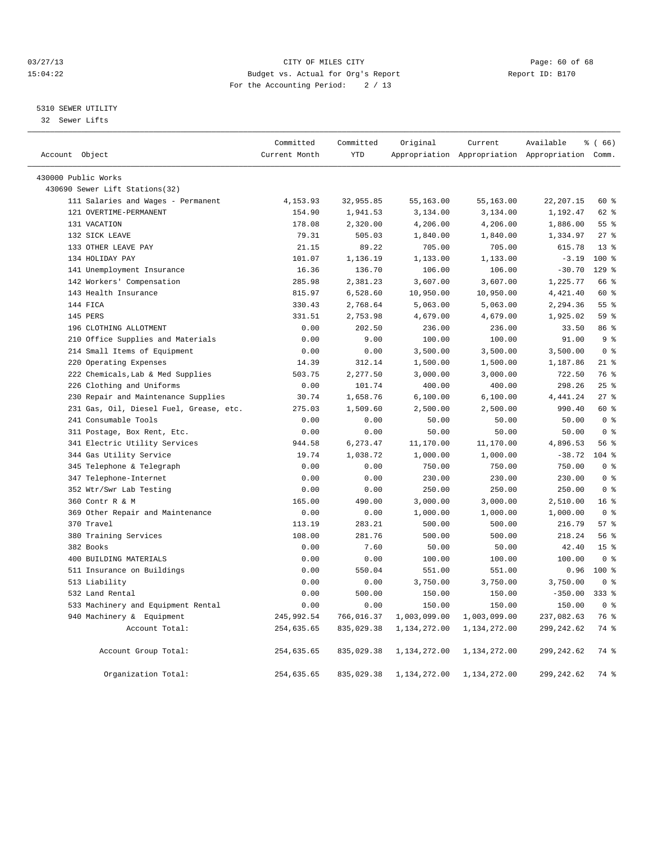#### 03/27/13 Page: 60 of 68 15:04:22 Budget vs. Actual for Org's Report Report ID: B170 For the Accounting Period: 2 / 13

#### 5310 SEWER UTILITY

32 Sewer Lifts

|                                         | Committed     | Committed  | Original     | Current                                         | Available   | % (66)          |  |
|-----------------------------------------|---------------|------------|--------------|-------------------------------------------------|-------------|-----------------|--|
| Account Object                          | Current Month | <b>YTD</b> |              | Appropriation Appropriation Appropriation Comm. |             |                 |  |
| 430000 Public Works                     |               |            |              |                                                 |             |                 |  |
| 430690 Sewer Lift Stations(32)          |               |            |              |                                                 |             |                 |  |
| 111 Salaries and Wages - Permanent      | 4,153.93      | 32,955.85  | 55,163.00    | 55,163.00                                       | 22, 207.15  | 60 %            |  |
| 121 OVERTIME-PERMANENT                  | 154.90        | 1,941.53   | 3,134.00     | 3,134.00                                        | 1,192.47    | 62 %            |  |
| 131 VACATION                            | 178.08        | 2,320.00   | 4,206.00     | 4,206.00                                        | 1,886.00    | 55 %            |  |
| 132 SICK LEAVE                          | 79.31         | 505.03     | 1,840.00     | 1,840.00                                        | 1,334.97    | $27$ $%$        |  |
| 133 OTHER LEAVE PAY                     | 21.15         | 89.22      | 705.00       | 705.00                                          | 615.78      | $13*$           |  |
| 134 HOLIDAY PAY                         | 101.07        | 1,136.19   | 1,133.00     | 1,133.00                                        | $-3.19$     | $100*$          |  |
| 141 Unemployment Insurance              | 16.36         | 136.70     | 106.00       | 106.00                                          | $-30.70$    | $129$ %         |  |
| 142 Workers' Compensation               | 285.98        | 2,381.23   | 3,607.00     | 3,607.00                                        | 1,225.77    | 66 %            |  |
| 143 Health Insurance                    | 815.97        | 6,528.60   | 10,950.00    | 10,950.00                                       | 4,421.40    | 60 %            |  |
| 144 FICA                                | 330.43        | 2,768.64   | 5,063.00     | 5,063.00                                        | 2,294.36    | 55 <sup>8</sup> |  |
| 145 PERS                                | 331.51        | 2,753.98   | 4,679.00     | 4,679.00                                        | 1,925.02    | 59 <sub>8</sub> |  |
| 196 CLOTHING ALLOTMENT                  | 0.00          | 202.50     | 236.00       | 236.00                                          | 33.50       | 86%             |  |
| 210 Office Supplies and Materials       | 0.00          | 9.00       | 100.00       | 100.00                                          | 91.00       | 9 <sup>°</sup>  |  |
| 214 Small Items of Equipment            | 0.00          | 0.00       | 3,500.00     | 3,500.00                                        | 3,500.00    | 0 <sup>8</sup>  |  |
| 220 Operating Expenses                  | 14.39         | 312.14     | 1,500.00     | 1,500.00                                        | 1,187.86    | $21$ %          |  |
| 222 Chemicals, Lab & Med Supplies       | 503.75        | 2,277.50   | 3,000.00     | 3,000.00                                        | 722.50      | 76 %            |  |
| 226 Clothing and Uniforms               | 0.00          | 101.74     | 400.00       | 400.00                                          | 298.26      | 25%             |  |
| 230 Repair and Maintenance Supplies     | 30.74         | 1,658.76   | 6, 100.00    | 6,100.00                                        | 4, 441.24   | $27$ $%$        |  |
| 231 Gas, Oil, Diesel Fuel, Grease, etc. | 275.03        | 1,509.60   | 2,500.00     | 2,500.00                                        | 990.40      | 60 %            |  |
| 241 Consumable Tools                    | 0.00          | 0.00       | 50.00        | 50.00                                           | 50.00       | 0 <sup>8</sup>  |  |
| 311 Postage, Box Rent, Etc.             | 0.00          | 0.00       | 50.00        | 50.00                                           | 50.00       | 0 <sup>8</sup>  |  |
| 341 Electric Utility Services           | 944.58        | 6,273.47   | 11,170.00    | 11,170.00                                       | 4,896.53    | 56 %            |  |
| 344 Gas Utility Service                 | 19.74         | 1,038.72   | 1,000.00     | 1,000.00                                        | $-38.72$    | 104 %           |  |
| 345 Telephone & Telegraph               | 0.00          | 0.00       | 750.00       | 750.00                                          | 750.00      | 0 <sup>8</sup>  |  |
| 347 Telephone-Internet                  | 0.00          | 0.00       | 230.00       | 230.00                                          | 230.00      | 0 <sup>8</sup>  |  |
| 352 Wtr/Swr Lab Testing                 | 0.00          | 0.00       | 250.00       | 250.00                                          | 250.00      | 0 <sup>8</sup>  |  |
| 360 Contr R & M                         | 165.00        | 490.00     | 3,000.00     | 3,000.00                                        | 2,510.00    | 16 <sup>8</sup> |  |
| 369 Other Repair and Maintenance        | 0.00          | 0.00       | 1,000.00     | 1,000.00                                        | 1,000.00    | 0 <sup>8</sup>  |  |
| 370 Travel                              | 113.19        | 283.21     | 500.00       | 500.00                                          | 216.79      | 57%             |  |
| 380 Training Services                   | 108.00        | 281.76     | 500.00       | 500.00                                          | 218.24      | 56 %            |  |
| 382 Books                               | 0.00          | 7.60       | 50.00        | 50.00                                           | 42.40       | 15 <sup>°</sup> |  |
| 400 BUILDING MATERIALS                  | 0.00          | 0.00       | 100.00       | 100.00                                          | 100.00      | 0 <sup>8</sup>  |  |
| 511 Insurance on Buildings              | 0.00          | 550.04     | 551.00       | 551.00                                          | 0.96        | $100*$          |  |
| 513 Liability                           | 0.00          | 0.00       | 3,750.00     | 3,750.00                                        | 3,750.00    | 0 <sup>8</sup>  |  |
| 532 Land Rental                         | 0.00          | 500.00     | 150.00       | 150.00                                          | $-350.00$   | $333$ $%$       |  |
| 533 Machinery and Equipment Rental      | 0.00          | 0.00       | 150.00       | 150.00                                          | 150.00      | 0 <sup>8</sup>  |  |
| 940 Machinery & Equipment               | 245,992.54    | 766,016.37 | 1,003,099.00 | 1,003,099.00                                    | 237,082.63  | 76 %            |  |
| Account Total:                          | 254,635.65    | 835,029.38 | 1,134,272.00 | 1,134,272.00                                    | 299, 242.62 | 74 %            |  |
|                                         |               |            |              |                                                 |             |                 |  |
| Account Group Total:                    | 254,635.65    | 835,029.38 | 1,134,272.00 | 1,134,272.00                                    | 299,242.62  | 74 %            |  |
| Organization Total:                     | 254,635.65    | 835,029.38 | 1,134,272.00 | 1,134,272.00                                    | 299, 242.62 | 74 %            |  |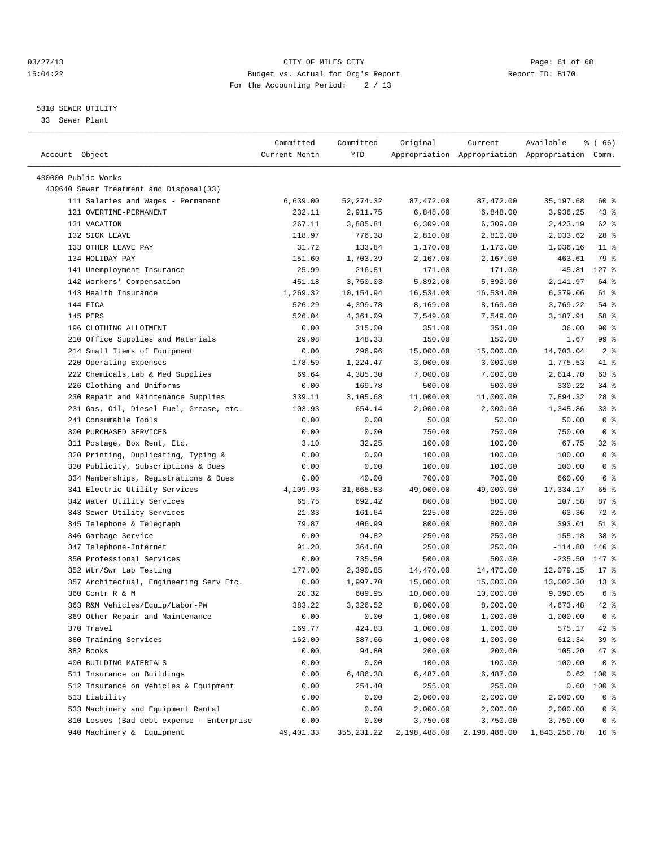#### 03/27/13 Page: 61 of 68 15:04:22 Budget vs. Actual for Org's Report Report ID: B170 For the Accounting Period: 2 / 13

————————————————————————————————————————————————————————————————————————————————————————————————————————————————————————————————————

#### 5310 SEWER UTILITY

33 Sewer Plant

|                                                                | Committed     | Committed  | Original     | Current                                         | Available                     | <sub>है</sub> (66) |
|----------------------------------------------------------------|---------------|------------|--------------|-------------------------------------------------|-------------------------------|--------------------|
| Account Object                                                 | Current Month | YTD        |              | Appropriation Appropriation Appropriation Comm. |                               |                    |
|                                                                |               |            |              |                                                 |                               |                    |
| 430000 Public Works<br>430640 Sewer Treatment and Disposal(33) |               |            |              |                                                 |                               |                    |
| 111 Salaries and Wages - Permanent                             | 6,639.00      | 52, 274.32 | 87,472.00    | 87, 472.00                                      | 35, 197.68                    | 60 %               |
| 121 OVERTIME-PERMANENT                                         | 232.11        | 2,911.75   | 6,848.00     | 6,848.00                                        | 3,936.25                      | 43 %               |
| 131 VACATION                                                   | 267.11        | 3,885.81   | 6,309.00     | 6,309.00                                        | 2,423.19                      | 62 %               |
| 132 SICK LEAVE                                                 | 118.97        | 776.38     | 2,810.00     | 2,810.00                                        | 2,033.62                      | $28$ %             |
| 133 OTHER LEAVE PAY                                            | 31.72         | 133.84     | 1,170.00     | 1,170.00                                        | 1,036.16                      | $11$ %             |
| 134 HOLIDAY PAY                                                | 151.60        | 1,703.39   | 2,167.00     | 2,167.00                                        | 463.61                        | 79 %               |
| 141 Unemployment Insurance                                     | 25.99         | 216.81     | 171.00       | 171.00                                          | $-45.81$                      | $127$ %            |
| 142 Workers' Compensation                                      | 451.18        | 3,750.03   | 5,892.00     | 5,892.00                                        | 2,141.97                      | 64 %               |
| 143 Health Insurance                                           | 1,269.32      | 10,154.94  | 16,534.00    | 16,534.00                                       | 6,379.06                      | 61 %               |
| 144 FICA                                                       | 526.29        | 4,399.78   | 8,169.00     | 8,169.00                                        | 3,769.22                      | 54 %               |
| 145 PERS                                                       | 526.04        | 4,361.09   | 7,549.00     | 7,549.00                                        | 3,187.91                      | 58 %               |
| 196 CLOTHING ALLOTMENT                                         | 0.00          | 315.00     | 351.00       | 351.00                                          | 36.00                         | 90%                |
| 210 Office Supplies and Materials                              | 29.98         | 148.33     | 150.00       | 150.00                                          | 1.67                          | 99 %               |
| 214 Small Items of Equipment                                   | 0.00          | 296.96     | 15,000.00    | 15,000.00                                       | 14,703.04                     | 2 <sup>8</sup>     |
| 220 Operating Expenses                                         | 178.59        | 1,224.47   | 3,000.00     | 3,000.00                                        | 1,775.53                      | 41 %               |
| 222 Chemicals, Lab & Med Supplies                              | 69.64         | 4,385.30   | 7,000.00     | 7,000.00                                        | 2,614.70                      | 63 %               |
| 226 Clothing and Uniforms                                      | 0.00          | 169.78     | 500.00       | 500.00                                          | 330.22                        | $34$ $%$           |
| 230 Repair and Maintenance Supplies                            | 339.11        | 3,105.68   | 11,000.00    | 11,000.00                                       | 7,894.32                      | $28$ %             |
| 231 Gas, Oil, Diesel Fuel, Grease, etc.                        | 103.93        | 654.14     | 2,000.00     | 2,000.00                                        | 1,345.86                      | 33 %               |
| 241 Consumable Tools                                           | 0.00          | 0.00       | 50.00        | 50.00                                           | 50.00                         | 0 <sup>8</sup>     |
| 300 PURCHASED SERVICES                                         | 0.00          | 0.00       | 750.00       | 750.00                                          | 750.00                        | 0 <sup>8</sup>     |
| 311 Postage, Box Rent, Etc.                                    | 3.10          | 32.25      | 100.00       | 100.00                                          | 67.75                         | $32$ $%$           |
| 320 Printing, Duplicating, Typing &                            | 0.00          | 0.00       | 100.00       | 100.00                                          | 100.00                        | 0 <sup>8</sup>     |
| 330 Publicity, Subscriptions & Dues                            | 0.00          | 0.00       | 100.00       | 100.00                                          | 100.00                        | 0 <sup>8</sup>     |
| 334 Memberships, Registrations & Dues                          | 0.00          | 40.00      | 700.00       | 700.00                                          | 660.00                        | 6 %                |
| 341 Electric Utility Services                                  | 4,109.93      | 31,665.83  | 49,000.00    | 49,000.00                                       | 17,334.17                     | 65 %               |
| 342 Water Utility Services                                     | 65.75         | 692.42     | 800.00       | 800.00                                          | 107.58                        | 87%                |
| 343 Sewer Utility Services                                     | 21.33         | 161.64     | 225.00       | 225.00                                          | 63.36                         | 72 %               |
| 345 Telephone & Telegraph                                      | 79.87         | 406.99     | 800.00       | 800.00                                          | 393.01                        | $51$ %             |
| 346 Garbage Service                                            | 0.00          | 94.82      | 250.00       | 250.00                                          | 155.18                        | 38 %               |
| 347 Telephone-Internet                                         | 91.20         | 364.80     | 250.00       | 250.00                                          | $-114.80$                     | 146 %              |
| 350 Professional Services                                      | 0.00          | 735.50     | 500.00       | 500.00                                          | $-235.50$                     | 147 %              |
| 352 Wtr/Swr Lab Testing                                        | 177.00        | 2,390.85   | 14,470.00    | 14,470.00                                       | 12,079.15                     | $17$ %             |
| 357 Architectual, Engineering Serv Etc.                        | 0.00          | 1,997.70   | 15,000.00    | 15,000.00                                       | 13,002.30                     | 13 <sup>°</sup>    |
| 360 Contr R & M                                                | 20.32         | 609.95     | 10,000.00    | 10,000.00                                       | 9,390.05                      | 6 %                |
| 363 R&M Vehicles/Equip/Labor-PW                                | 383.22        | 3,326.52   | 8,000.00     | 8,000.00                                        | 4,673.48                      | $42$ %             |
| 369 Other Repair and Maintenance                               | 0.00          | 0.00       | 1,000.00     | 1,000.00                                        | 1,000.00                      | 0 <sup>8</sup>     |
| 370 Travel                                                     | 169.77        | 424.83     | 1,000.00     | 1,000.00                                        | 575.17                        | 42 %               |
| 380 Training Services                                          | 162.00        | 387.66     | 1,000.00     | 1,000.00                                        | 612.34                        | 39 %               |
| 382 Books                                                      | 0.00          | 94.80      | 200.00       | 200.00                                          | 105.20                        | 47 %               |
| 400 BUILDING MATERIALS                                         | 0.00          | 0.00       | 100.00       | 100.00                                          | 100.00                        | 0 <sup>8</sup>     |
| 511 Insurance on Buildings                                     | 0.00          | 6,486.38   | 6,487.00     | 6,487.00                                        | 0.62                          | 100 %              |
| 512 Insurance on Vehicles & Equipment                          | 0.00          | 254.40     | 255.00       | 255.00                                          | 0.60                          | $100$ %            |
| 513 Liability                                                  | 0.00          | 0.00       | 2,000.00     | 2,000.00                                        | 2,000.00                      | 0 <sup>8</sup>     |
| 533 Machinery and Equipment Rental                             | 0.00          | 0.00       | 2,000.00     | 2,000.00                                        | 2,000.00                      | 0 <sup>8</sup>     |
| 810 Losses (Bad debt expense - Enterprise                      | 0.00          | 0.00       | 3,750.00     | 3,750.00                                        | 3,750.00                      | 0 <sup>8</sup>     |
| 940 Machinery & Equipment                                      | 49, 401.33    | 355,231.22 | 2,198,488.00 |                                                 | 2, 198, 488.00 1, 843, 256.78 | 16 %               |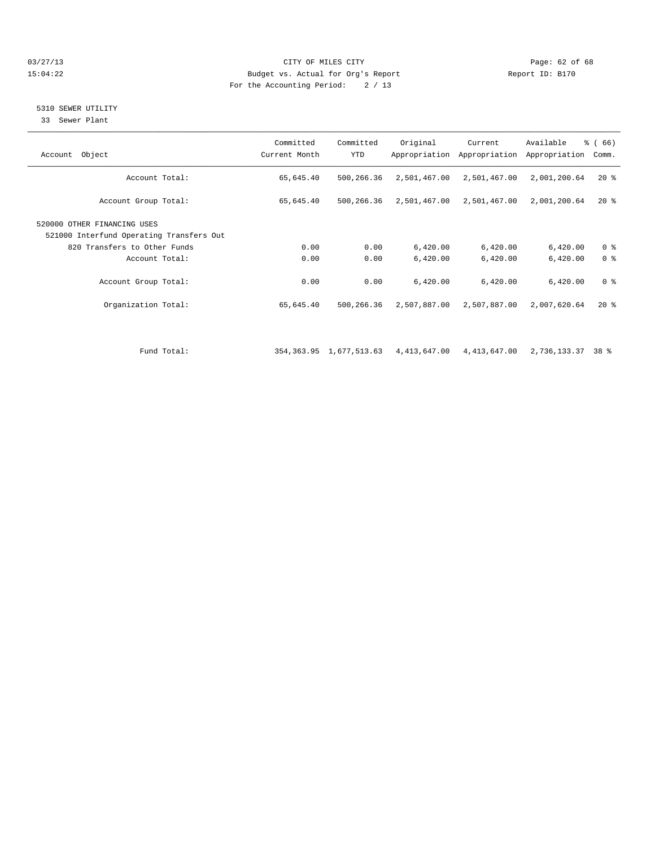#### 03/27/13 Page: 62 of 68 15:04:22 Budget vs. Actual for Org's Report Report ID: B170 For the Accounting Period: 2 / 13

## 5310 SEWER UTILITY

33 Sewer Plant

| Object<br>Account                                                       | Committed<br>Current Month | Committed<br>YTD | Original                                  | Current<br>Appropriation Appropriation | Available<br>Appropriation | % (66)<br>Comm. |
|-------------------------------------------------------------------------|----------------------------|------------------|-------------------------------------------|----------------------------------------|----------------------------|-----------------|
| Account Total:                                                          | 65,645.40                  | 500,266.36       | 2,501,467.00                              | 2,501,467.00                           | 2,001,200.64               | $20*$           |
| Account Group Total:                                                    | 65,645.40                  | 500,266.36       | 2,501,467.00                              | 2,501,467.00                           | 2,001,200.64               | $20*$           |
| 520000 OTHER FINANCING USES<br>521000 Interfund Operating Transfers Out |                            |                  |                                           |                                        |                            |                 |
| 820 Transfers to Other Funds                                            | 0.00                       | 0.00             | 6,420.00                                  | 6,420.00                               | 6,420.00                   | 0 <sup>8</sup>  |
| Account Total:                                                          | 0.00                       | 0.00             | 6,420.00                                  | 6,420.00                               | 6,420.00                   | 0 <sup>8</sup>  |
| Account Group Total:                                                    | 0.00                       | 0.00             | 6,420.00                                  | 6,420.00                               | 6,420.00                   | 0 <sup>8</sup>  |
| Organization Total:                                                     | 65,645.40                  | 500,266.36       | 2,507,887.00                              | 2,507,887.00                           | 2,007,620.64               | $20*$           |
|                                                                         |                            |                  |                                           |                                        |                            |                 |
| Fund Total:                                                             |                            |                  | 354, 363.95 1, 677, 513.63 4, 413, 647.00 | 4,413,647.00                           | 2,736,133.37 38 %          |                 |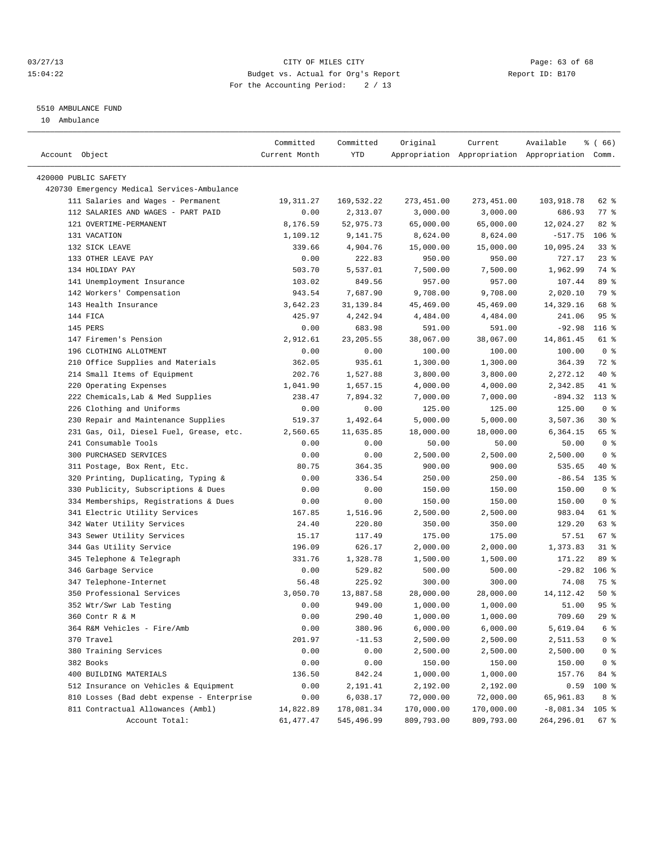#### 03/27/13 Page: 63 of 68 15:04:22 Budget vs. Actual for Org's Report Report ID: B170 For the Accounting Period: 2 / 13

————————————————————————————————————————————————————————————————————————————————————————————————————————————————————————————————————

#### 5510 AMBULANCE FUND

10 Ambulance

|                                             | Committed     | Committed  | Original   | Current                                         | Available         | $\frac{3}{6}$ (66) |
|---------------------------------------------|---------------|------------|------------|-------------------------------------------------|-------------------|--------------------|
| Account Object                              | Current Month | YTD        |            | Appropriation Appropriation Appropriation Comm. |                   |                    |
|                                             |               |            |            |                                                 |                   |                    |
| 420000 PUBLIC SAFETY                        |               |            |            |                                                 |                   |                    |
| 420730 Emergency Medical Services-Ambulance |               |            |            |                                                 |                   |                    |
| 111 Salaries and Wages - Permanent          | 19,311.27     | 169,532.22 | 273,451.00 | 273,451.00                                      | 103,918.78        | 62 %               |
| 112 SALARIES AND WAGES - PART PAID          | 0.00          | 2,313.07   | 3,000.00   | 3,000.00                                        | 686.93            | $77$ $%$           |
| 121 OVERTIME-PERMANENT                      | 8,176.59      | 52,975.73  | 65,000.00  | 65,000.00                                       | 12,024.27         | $82$ $%$           |
| 131 VACATION                                | 1,109.12      | 9,141.75   | 8,624.00   | 8,624.00                                        | $-517.75$         | $106$ %            |
| 132 SICK LEAVE                              | 339.66        | 4,904.76   | 15,000.00  | 15,000.00                                       | 10,095.24         | $33*$              |
| 133 OTHER LEAVE PAY                         | 0.00          | 222.83     | 950.00     | 950.00                                          | 727.17            | $23$ $%$           |
| 134 HOLIDAY PAY                             | 503.70        | 5,537.01   | 7,500.00   | 7,500.00                                        | 1,962.99          | 74 %               |
| 141 Unemployment Insurance                  | 103.02        | 849.56     | 957.00     | 957.00                                          | 107.44            | 89 %               |
| 142 Workers' Compensation                   | 943.54        | 7,687.90   | 9,708.00   | 9,708.00                                        | 2,020.10          | 79 %               |
| 143 Health Insurance                        | 3,642.23      | 31,139.84  | 45,469.00  | 45,469.00                                       | 14,329.16         | 68 %               |
| 144 FICA                                    | 425.97        | 4,242.94   | 4,484.00   | 4,484.00                                        | 241.06            | 95%                |
| 145 PERS                                    | 0.00          | 683.98     | 591.00     | 591.00                                          | $-92.98$          | $116$ %            |
| 147 Firemen's Pension                       | 2,912.61      | 23, 205.55 | 38,067.00  | 38,067.00                                       | 14,861.45         | 61 %               |
| 196 CLOTHING ALLOTMENT                      | 0.00          | 0.00       | 100.00     | 100.00                                          | 100.00            | 0 <sup>8</sup>     |
| 210 Office Supplies and Materials           | 362.05        | 935.61     | 1,300.00   | 1,300.00                                        | 364.39            | 72 %               |
| 214 Small Items of Equipment                | 202.76        | 1,527.88   | 3,800.00   | 3,800.00                                        | 2,272.12          | 40 %               |
| 220 Operating Expenses                      | 1,041.90      | 1,657.15   | 4,000.00   | 4,000.00                                        | 2,342.85          | 41 %               |
| 222 Chemicals, Lab & Med Supplies           | 238.47        | 7,894.32   | 7,000.00   | 7,000.00                                        | $-894.32$         | $113*$             |
| 226 Clothing and Uniforms                   | 0.00          | 0.00       | 125.00     | 125.00                                          | 125.00            | 0 <sup>8</sup>     |
| 230 Repair and Maintenance Supplies         | 519.37        | 1,492.64   | 5,000.00   | 5,000.00                                        | 3,507.36          | $30*$              |
| 231 Gas, Oil, Diesel Fuel, Grease, etc.     | 2,560.65      | 11,635.85  | 18,000.00  | 18,000.00                                       | 6,364.15          | 65 %               |
| 241 Consumable Tools                        | 0.00          | 0.00       | 50.00      | 50.00                                           | 50.00             | 0 <sup>8</sup>     |
| 300 PURCHASED SERVICES                      | 0.00          | 0.00       | 2,500.00   | 2,500.00                                        | 2,500.00          | 0 <sup>8</sup>     |
| 311 Postage, Box Rent, Etc.                 | 80.75         | 364.35     | 900.00     | 900.00                                          | 535.65            | 40 %               |
| 320 Printing, Duplicating, Typing &         | 0.00          | 336.54     | 250.00     | 250.00                                          | $-86.54$          | $135$ %            |
| 330 Publicity, Subscriptions & Dues         | 0.00          | 0.00       | 150.00     | 150.00                                          | 150.00            | 0 <sup>8</sup>     |
| 334 Memberships, Registrations & Dues       | 0.00          | 0.00       | 150.00     | 150.00                                          | 150.00            | 0 <sup>8</sup>     |
| 341 Electric Utility Services               | 167.85        | 1,516.96   | 2,500.00   | 2,500.00                                        | 983.04            | 61 %               |
| 342 Water Utility Services                  | 24.40         | 220.80     | 350.00     | 350.00                                          | 129.20            | 63 %               |
| 343 Sewer Utility Services                  | 15.17         | 117.49     | 175.00     | 175.00                                          | 57.51             | 67 %               |
| 344 Gas Utility Service                     | 196.09        | 626.17     | 2,000.00   | 2,000.00                                        | 1,373.83          | $31$ $%$           |
| 345 Telephone & Telegraph                   | 331.76        | 1,328.78   | 1,500.00   | 1,500.00                                        | 171.22            | 89 %               |
| 346 Garbage Service                         | 0.00          | 529.82     | 500.00     | 500.00                                          | $-29.82$          | $106$ %            |
| 347 Telephone-Internet                      | 56.48         | 225.92     | 300.00     | 300.00                                          | 74.08             | 75 %               |
| 350 Professional Services                   | 3,050.70      | 13,887.58  | 28,000.00  | 28,000.00                                       | 14, 112. 42       | $50*$              |
| 352 Wtr/Swr Lab Testing                     | 0.00          | 949.00     | 1,000.00   | 1,000.00                                        | 51.00             | 95%                |
| 360 Contr R & M                             | 0.00          | 290.40     | 1,000.00   | 1,000.00                                        | 709.60            | 29%                |
| 364 R&M Vehicles - Fire/Amb                 | 0.00          | 380.96     | 6,000.00   | 6,000.00                                        | 5,619.04          | 6 %                |
| 370 Travel                                  | 201.97        | $-11.53$   | 2,500.00   | 2,500.00                                        | 2,511.53          | 0 <sup>8</sup>     |
| 380 Training Services                       | 0.00          | 0.00       | 2,500.00   | 2,500.00                                        | 2,500.00          | $0$ %              |
| 382 Books                                   | 0.00          | 0.00       | 150.00     | 150.00                                          | 150.00            | 0 <sup>8</sup>     |
| 400 BUILDING MATERIALS                      | 136.50        | 842.24     | 1,000.00   | 1,000.00                                        | 157.76            | 84 %               |
| 512 Insurance on Vehicles & Equipment       | 0.00          | 2,191.41   | 2,192.00   | 2,192.00                                        | 0.59              | 100 %              |
| 810 Losses (Bad debt expense - Enterprise   | 0.00          | 6,038.17   | 72,000.00  | 72,000.00                                       | 65,961.83         | 8 %                |
| 811 Contractual Allowances (Ambl)           | 14,822.89     | 178,081.34 | 170,000.00 | 170,000.00                                      | $-8,081.34$ 105 % |                    |
| Account Total:                              | 61,477.47     | 545,496.99 | 809,793.00 | 809,793.00                                      | 264,296.01        | 67 %               |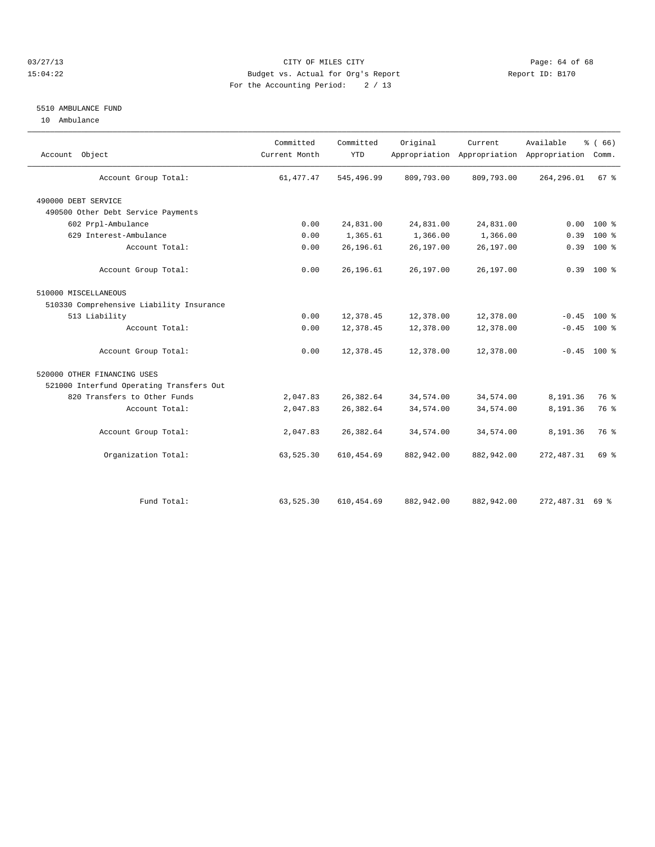#### 03/27/13 Page: 64 of 68 15:04:22 Budget vs. Actual for Org's Report Report ID: B170 For the Accounting Period: 2 / 13

#### 5510 AMBULANCE FUND

10 Ambulance

| Account Object                           | Committed<br>Current Month | Committed<br><b>YTD</b> | Original   | Current    | Available<br>Appropriation Appropriation Appropriation | % (66)<br>Comm. |  |
|------------------------------------------|----------------------------|-------------------------|------------|------------|--------------------------------------------------------|-----------------|--|
| Account Group Total:                     | 61, 477. 47                | 545,496.99              | 809,793.00 | 809,793.00 | 264,296.01                                             | 67 %            |  |
| 490000 DEBT SERVICE                      |                            |                         |            |            |                                                        |                 |  |
| 490500 Other Debt Service Payments       |                            |                         |            |            |                                                        |                 |  |
| 602 Prpl-Ambulance                       | 0.00                       | 24,831.00               | 24,831.00  | 24,831.00  | 0.00                                                   | $100*$          |  |
| 629 Interest-Ambulance                   | 0.00                       | 1,365.61                | 1,366.00   | 1,366.00   | 0.39                                                   | $100*$          |  |
| Account Total:                           | 0.00                       | 26,196.61               | 26,197.00  | 26,197.00  | 0.39                                                   | 100 %           |  |
| Account Group Total:                     | 0.00                       | 26,196.61               | 26,197.00  | 26,197.00  |                                                        | $0.39$ 100 %    |  |
| 510000 MISCELLANEOUS                     |                            |                         |            |            |                                                        |                 |  |
| 510330 Comprehensive Liability Insurance |                            |                         |            |            |                                                        |                 |  |
| 513 Liability                            | 0.00                       | 12,378.45               | 12,378.00  | 12,378.00  | $-0.45$                                                | $100*$          |  |
| Account Total:                           | 0.00                       | 12,378.45               | 12,378.00  | 12,378.00  |                                                        | $-0.45$ 100 %   |  |
| Account Group Total:                     | 0.00                       | 12,378.45               | 12,378.00  | 12,378.00  |                                                        | $-0.45$ 100 %   |  |
| 520000 OTHER FINANCING USES              |                            |                         |            |            |                                                        |                 |  |
| 521000 Interfund Operating Transfers Out |                            |                         |            |            |                                                        |                 |  |
| 820 Transfers to Other Funds             | 2,047.83                   | 26, 382.64              | 34,574.00  | 34,574.00  | 8,191.36                                               | 76 %            |  |
| Account Total:                           | 2,047.83                   | 26, 382.64              | 34,574.00  | 34,574.00  | 8,191.36                                               | 76 %            |  |
| Account Group Total:                     | 2,047.83                   | 26, 382.64              | 34,574.00  | 34,574.00  | 8,191.36                                               | 76 %            |  |
| Organization Total:                      | 63,525.30                  | 610, 454.69             | 882,942.00 | 882,942.00 | 272, 487.31                                            | 69 %            |  |
|                                          |                            |                         |            |            |                                                        |                 |  |
| Fund Total:                              | 63,525.30                  | 610, 454.69             | 882,942.00 | 882,942.00 | 272, 487.31 69 %                                       |                 |  |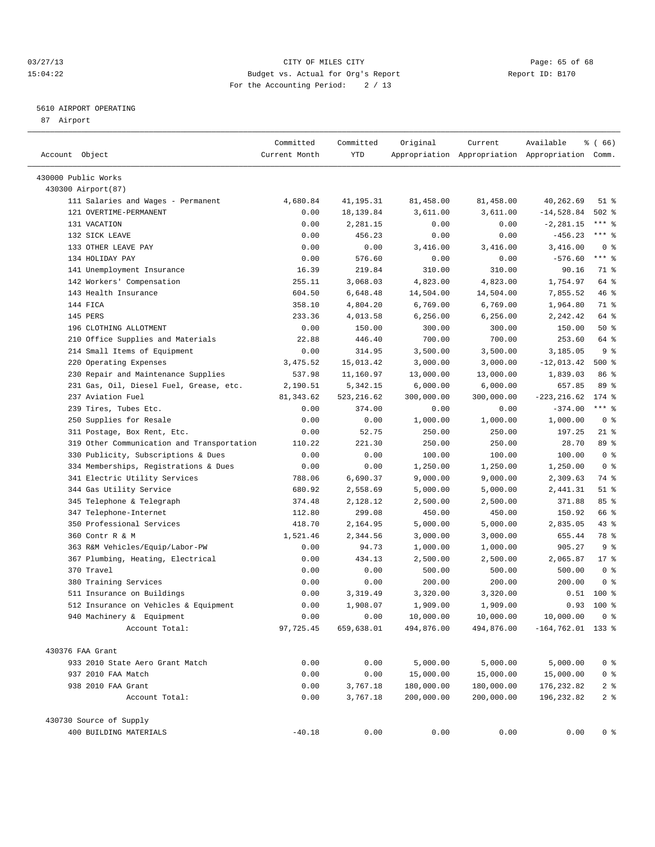#### 03/27/13 Page: 65 of 68 15:04:22 Budget vs. Actual for Org's Report Report ID: B170 For the Accounting Period: 2 / 13

————————————————————————————————————————————————————————————————————————————————————————————————————————————————————————————————————

#### 5610 AIRPORT OPERATING

87 Airport

| Account Object                                    | Committed<br>Current Month | Committed<br>YTD | Original   | Current    | Available<br>Appropriation Appropriation Appropriation Comm. | ៖ ( 66)        |
|---------------------------------------------------|----------------------------|------------------|------------|------------|--------------------------------------------------------------|----------------|
|                                                   |                            |                  |            |            |                                                              |                |
| 430000 Public Works                               |                            |                  |            |            |                                                              |                |
| 430300 Airport (87)                               |                            |                  |            |            |                                                              |                |
| 111 Salaries and Wages - Permanent                | 4,680.84                   | 41,195.31        | 81,458.00  | 81,458.00  | 40,262.69                                                    | $51$ %         |
| 121 OVERTIME-PERMANENT                            | 0.00                       | 18,139.84        | 3,611.00   | 3,611.00   | $-14,528.84$                                                 | $502$ %        |
| 131 VACATION                                      | 0.00                       | 2,281.15         | 0.00       | 0.00       | $-2, 281.15$                                                 | *** 응          |
| 132 SICK LEAVE                                    | 0.00                       | 456.23           | 0.00       | 0.00       | $-456.23$                                                    | $***$ $%$      |
| 133 OTHER LEAVE PAY                               | 0.00                       | 0.00             | 3,416.00   | 3,416.00   | 3,416.00                                                     | 0 <sup>8</sup> |
| 134 HOLIDAY PAY                                   | 0.00                       | 576.60           | 0.00       | 0.00       | $-576.60$                                                    | $***$ $-$      |
| 141 Unemployment Insurance                        | 16.39                      | 219.84           | 310.00     | 310.00     | 90.16                                                        | 71 %           |
| 142 Workers' Compensation                         | 255.11                     | 3,068.03         | 4,823.00   | 4,823.00   | 1,754.97                                                     | 64 %           |
| 143 Health Insurance                              | 604.50                     | 6,648.48         | 14,504.00  | 14,504.00  | 7,855.52                                                     | 46 %           |
| 144 FICA                                          | 358.10                     | 4,804.20         | 6,769.00   | 6,769.00   | 1,964.80                                                     | 71 %           |
| 145 PERS                                          | 233.36                     | 4,013.58         | 6, 256.00  | 6,256.00   | 2,242.42                                                     | 64 %           |
| 196 CLOTHING ALLOTMENT                            | 0.00                       | 150.00           | 300.00     | 300.00     | 150.00                                                       | $50*$          |
| 210 Office Supplies and Materials                 | 22.88                      | 446.40           | 700.00     | 700.00     | 253.60                                                       | 64 %           |
| 214 Small Items of Equipment                      | 0.00                       | 314.95           | 3,500.00   | 3,500.00   | 3,185.05                                                     | 9 <sup>8</sup> |
| 220 Operating Expenses                            | 3,475.52                   | 15,013.42        | 3,000.00   | 3,000.00   | $-12,013.42$                                                 | $500$ %        |
| 230 Repair and Maintenance Supplies               | 537.98                     | 11,160.97        | 13,000.00  | 13,000.00  | 1,839.03                                                     | 86 %           |
| 231 Gas, Oil, Diesel Fuel, Grease, etc.           | 2,190.51                   | 5,342.15         | 6,000.00   | 6,000.00   | 657.85                                                       | 89 %           |
| 237 Aviation Fuel                                 | 81, 343.62                 | 523, 216.62      | 300,000.00 | 300,000.00 | $-223, 216.62$                                               | $174$ $%$      |
| 239 Tires, Tubes Etc.                             | 0.00                       | 374.00           | 0.00       | 0.00       | $-374.00$                                                    | $***$ $-$      |
| 250 Supplies for Resale                           | 0.00                       | 0.00             | 1,000.00   | 1,000.00   | 1,000.00                                                     | 0 <sup>8</sup> |
| 311 Postage, Box Rent, Etc.                       | 0.00                       | 52.75            | 250.00     | 250.00     | 197.25                                                       | $21$ %         |
| 319 Other Communication and Transportation        | 110.22                     | 221.30           | 250.00     | 250.00     | 28.70                                                        | 89 %           |
| 330 Publicity, Subscriptions & Dues               | 0.00                       | 0.00             | 100.00     | 100.00     | 100.00                                                       | 0 <sup>8</sup> |
| 334 Memberships, Registrations & Dues             | 0.00                       | 0.00             | 1,250.00   | 1,250.00   | 1,250.00                                                     | 0 <sup>8</sup> |
| 341 Electric Utility Services                     | 788.06                     | 6,690.37         | 9,000.00   | 9,000.00   | 2,309.63                                                     | 74 %           |
| 344 Gas Utility Service                           | 680.92                     | 2,558.69         | 5,000.00   | 5,000.00   | 2,441.31                                                     | $51$ %         |
| 345 Telephone & Telegraph                         | 374.48                     | 2,128.12         | 2,500.00   | 2,500.00   | 371.88                                                       | 85%            |
| 347 Telephone-Internet                            | 112.80                     | 299.08           | 450.00     | 450.00     | 150.92                                                       | 66 %           |
| 350 Professional Services                         | 418.70                     | 2,164.95         | 5,000.00   | 5,000.00   | 2,835.05                                                     | $43$ $%$       |
| 360 Contr R & M                                   | 1,521.46                   | 2,344.56         | 3,000.00   | 3,000.00   | 655.44                                                       | 78 %           |
| 363 R&M Vehicles/Equip/Labor-PW                   | 0.00                       | 94.73            | 1,000.00   | 1,000.00   | 905.27                                                       | 9 <sub>8</sub> |
| 367 Plumbing, Heating, Electrical                 | 0.00                       | 434.13           | 2,500.00   | 2,500.00   | 2,065.87                                                     | $17*$          |
| 370 Travel                                        | 0.00                       | 0.00             | 500.00     | 500.00     | 500.00                                                       | 0 <sup>8</sup> |
| 380 Training Services                             | 0.00                       | 0.00             | 200.00     | 200.00     | 200.00                                                       | 0 <sup>8</sup> |
| 511 Insurance on Buildings                        | 0.00                       | 3,319.49         | 3,320.00   | 3,320.00   | 0.51                                                         | $100$ %        |
| 512 Insurance on Vehicles & Equipment             | 0.00                       | 1,908.07         | 1,909.00   | 1,909.00   | 0.93                                                         | 100 %          |
| 940 Machinery & Equipment                         | 0.00                       | 0.00             | 10,000.00  | 10,000.00  | 10,000.00                                                    | 0 <sup>8</sup> |
| Account Total:                                    | 97,725.45                  | 659,638.01       | 494,876.00 | 494,876.00 | $-164, 762.01$ 133 %                                         |                |
| 430376 FAA Grant                                  |                            |                  |            |            |                                                              |                |
| 933 2010 State Aero Grant Match                   | 0.00                       | 0.00             | 5,000.00   | 5,000.00   | 5,000.00                                                     | 0 %            |
| 937 2010 FAA Match                                | 0.00                       | 0.00             | 15,000.00  | 15,000.00  | 15,000.00                                                    | $0$ %          |
| 938 2010 FAA Grant                                | 0.00                       | 3,767.18         | 180,000.00 | 180,000.00 | 176, 232.82                                                  | 2 <sub>8</sub> |
| Account Total:                                    | 0.00                       | 3,767.18         | 200,000.00 | 200,000.00 | 196, 232.82                                                  | 2 <sup>8</sup> |
|                                                   |                            |                  |            |            |                                                              |                |
| 430730 Source of Supply<br>400 BUILDING MATERIALS | $-40.18$                   | 0.00             | 0.00       | 0.00       | 0.00                                                         |                |
|                                                   |                            |                  |            |            |                                                              | 0 %            |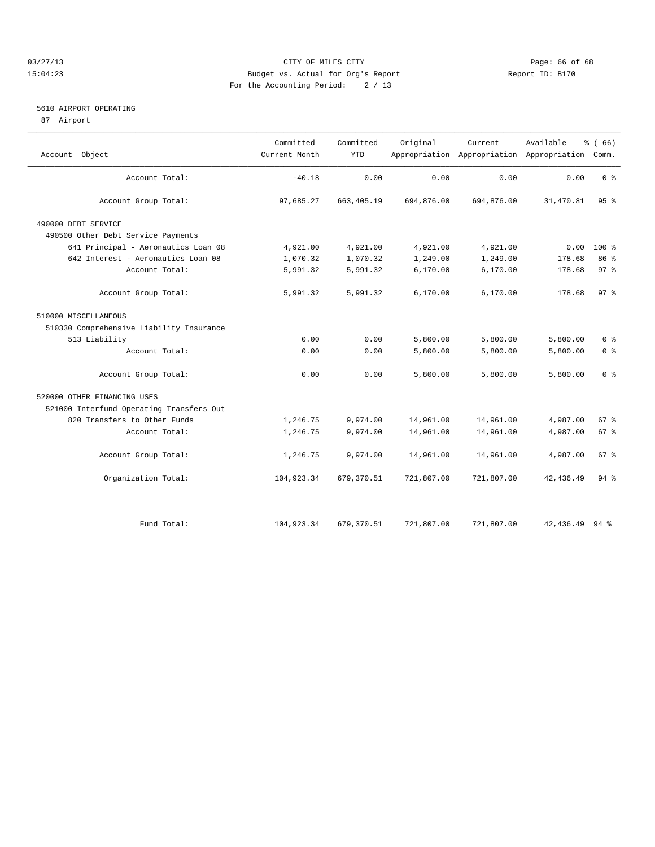#### 03/27/13 Page: 66 of 68 15:04:23 Budget vs. Actual for Org's Report Report ID: B170 For the Accounting Period: 2 / 13

#### 5610 AIRPORT OPERATING

87 Airport

|                                          | Committed     | Committed  | Original   | Current    | Available                                 | % (66)                  |  |
|------------------------------------------|---------------|------------|------------|------------|-------------------------------------------|-------------------------|--|
| Object<br>Account                        | Current Month | <b>YTD</b> |            |            | Appropriation Appropriation Appropriation | Comm.                   |  |
| Account Total:                           | $-40.18$      | 0.00       | 0.00       | 0.00       | 0.00                                      | 0 <sup>8</sup>          |  |
| Account Group Total:                     | 97,685.27     | 663,405.19 | 694,876.00 | 694,876.00 | 31,470.81                                 | 95 <sup>8</sup>         |  |
| 490000 DEBT SERVICE                      |               |            |            |            |                                           |                         |  |
| 490500 Other Debt Service Payments       |               |            |            |            |                                           |                         |  |
| 641 Principal - Aeronautics Loan 08      | 4,921.00      | 4,921.00   | 4,921.00   | 4,921.00   | 0.00                                      | $100*$                  |  |
| 642 Interest - Aeronautics Loan 08       | 1,070.32      | 1,070.32   | 1,249.00   | 1,249.00   | 178.68                                    | 86 %                    |  |
| Account Total:                           | 5,991.32      | 5,991.32   | 6, 170.00  | 6, 170.00  | 178.68                                    | 97%                     |  |
| Account Group Total:                     | 5,991.32      | 5,991.32   | 6,170.00   | 6,170.00   | 178.68                                    | 97.8                    |  |
| 510000 MISCELLANEOUS                     |               |            |            |            |                                           |                         |  |
| 510330 Comprehensive Liability Insurance |               |            |            |            |                                           |                         |  |
| 513 Liability                            | 0.00          | 0.00       | 5,800.00   | 5,800.00   | 5,800.00                                  | 0 <sup>8</sup>          |  |
| Account Total:                           | 0.00          | 0.00       | 5,800.00   | 5,800.00   | 5,800.00                                  | 0 <sup>8</sup>          |  |
| Account Group Total:                     | 0.00          | 0.00       | 5,800.00   | 5,800.00   | 5,800.00                                  | $0 \text{ }$ $\text{*}$ |  |
| 520000 OTHER FINANCING USES              |               |            |            |            |                                           |                         |  |
| 521000 Interfund Operating Transfers Out |               |            |            |            |                                           |                         |  |
| 820 Transfers to Other Funds             | 1,246.75      | 9,974.00   | 14,961.00  | 14,961.00  | 4,987.00                                  | 67 <sup>8</sup>         |  |
| Account Total:                           | 1,246.75      | 9,974.00   | 14,961.00  | 14,961.00  | 4,987.00                                  | 67 %                    |  |
| Account Group Total:                     | 1,246.75      | 9,974.00   | 14,961.00  | 14,961.00  | 4,987.00                                  | $67*$                   |  |
| Organization Total:                      | 104,923.34    | 679,370.51 | 721,807.00 | 721,807.00 | 42, 436.49                                | $94$ $%$                |  |
|                                          |               |            |            |            |                                           |                         |  |
| Fund Total:                              | 104,923.34    | 679,370.51 | 721,807.00 | 721,807.00 | 42, 436.49 94 %                           |                         |  |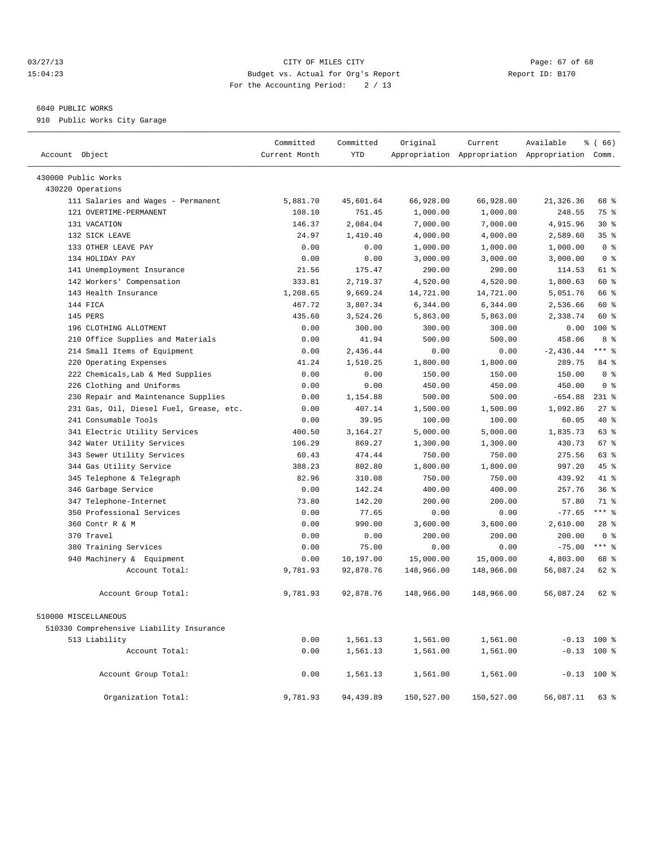#### 03/27/13 Page: 67 of 68 15:04:23 Budget vs. Actual for Org's Report Report ID: B170 For the Accounting Period: 2 / 13

#### 6040 PUBLIC WORKS

910 Public Works City Garage

| Account Object                           | Committed<br>Current Month | Committed<br><b>YTD</b> | Original   | Current    | Available<br>Appropriation Appropriation Appropriation Comm. | % (66)          |
|------------------------------------------|----------------------------|-------------------------|------------|------------|--------------------------------------------------------------|-----------------|
| 430000 Public Works                      |                            |                         |            |            |                                                              |                 |
| 430220 Operations                        |                            |                         |            |            |                                                              |                 |
| 111 Salaries and Wages - Permanent       | 5,881.70                   | 45,601.64               | 66,928.00  | 66,928.00  | 21,326.36                                                    | 68 %            |
| 121 OVERTIME-PERMANENT                   | 108.10                     | 751.45                  | 1,000.00   | 1,000.00   | 248.55                                                       | 75 %            |
| 131 VACATION                             | 146.37                     | 2,084.04                | 7,000.00   | 7,000.00   | 4,915.96                                                     | $30*$           |
| 132 SICK LEAVE                           | 24.97                      | 1,410.40                | 4,000.00   | 4,000.00   | 2,589.60                                                     | 35 <sup>8</sup> |
| 133 OTHER LEAVE PAY                      | 0.00                       | 0.00                    | 1,000.00   | 1,000.00   | 1,000.00                                                     | 0 <sup>8</sup>  |
| 134 HOLIDAY PAY                          | 0.00                       | 0.00                    | 3,000.00   | 3,000.00   | 3,000.00                                                     | 0 <sup>8</sup>  |
| 141 Unemployment Insurance               | 21.56                      | 175.47                  | 290.00     | 290.00     | 114.53                                                       | 61 %            |
| 142 Workers' Compensation                | 333.81                     | 2,719.37                | 4,520.00   | 4,520.00   | 1,800.63                                                     | 60 %            |
| 143 Health Insurance                     | 1,208.65                   | 9,669.24                | 14,721.00  | 14,721.00  | 5,051.76                                                     | 66 %            |
| 144 FICA                                 | 467.72                     | 3,807.34                | 6,344.00   | 6,344.00   | 2,536.66                                                     | 60 %            |
| 145 PERS                                 | 435.60                     | 3,524.26                | 5,863.00   | 5,863.00   | 2,338.74                                                     | 60 %            |
| 196 CLOTHING ALLOTMENT                   | 0.00                       | 300.00                  | 300.00     | 300.00     | 0.00                                                         | 100 %           |
| Office Supplies and Materials<br>210     | 0.00                       | 41.94                   | 500.00     | 500.00     | 458.06                                                       | 8 %             |
| 214 Small Items of Equipment             | 0.00                       | 2,436.44                | 0.00       | 0.00       | $-2,436.44$                                                  | $***$ $-$       |
| 220 Operating Expenses                   | 41.24                      | 1,510.25                | 1,800.00   | 1,800.00   | 289.75                                                       | 84 %            |
| 222 Chemicals, Lab & Med Supplies        | 0.00                       | 0.00                    | 150.00     | 150.00     | 150.00                                                       | 0 <sup>8</sup>  |
| 226 Clothing and Uniforms                | 0.00                       | 0.00                    | 450.00     | 450.00     | 450.00                                                       | 0 <sup>8</sup>  |
| Repair and Maintenance Supplies<br>230   | 0.00                       | 1,154.88                | 500.00     | 500.00     | $-654.88$                                                    | $231$ %         |
| 231 Gas, Oil, Diesel Fuel, Grease, etc.  | 0.00                       | 407.14                  | 1,500.00   | 1,500.00   | 1,092.86                                                     | $27$ %          |
| 241 Consumable Tools                     | 0.00                       | 39.95                   | 100.00     | 100.00     | 60.05                                                        | 40 %            |
| 341 Electric Utility Services            | 400.50                     | 3,164.27                | 5,000.00   | 5,000.00   | 1,835.73                                                     | 63 %            |
| 342 Water Utility Services               | 106.29                     | 869.27                  | 1,300.00   | 1,300.00   | 430.73                                                       | 67 %            |
| 343 Sewer Utility Services               | 60.43                      | 474.44                  | 750.00     | 750.00     | 275.56                                                       | 63 %            |
| 344 Gas Utility Service                  | 388.23                     | 802.80                  | 1,800.00   | 1,800.00   | 997.20                                                       | 45%             |
| 345 Telephone & Telegraph                | 82.96                      | 310.08                  | 750.00     | 750.00     | 439.92                                                       | 41 %            |
| 346 Garbage Service                      | 0.00                       | 142.24                  | 400.00     | 400.00     | 257.76                                                       | 36%             |
| 347 Telephone-Internet                   | 73.80                      | 142.20                  | 200.00     | 200.00     | 57.80                                                        | 71 %            |
| 350 Professional Services                | 0.00                       | 77.65                   | 0.00       | 0.00       | $-77.65$                                                     | $***$ $_{8}$    |
| 360 Contr R & M                          | 0.00                       | 990.00                  | 3,600.00   | 3,600.00   | 2,610.00                                                     | $28$ %          |
| 370 Travel                               | 0.00                       | 0.00                    | 200.00     | 200.00     | 200.00                                                       | 0 <sup>8</sup>  |
| 380 Training Services                    | 0.00                       | 75.00                   | 0.00       | 0.00       | $-75.00$                                                     | $***$ $%$       |
| 940 Machinery & Equipment                | 0.00                       | 10,197.00               | 15,000.00  | 15,000.00  | 4,803.00                                                     | 68 %            |
| Account Total:                           | 9,781.93                   | 92,878.76               | 148,966.00 | 148,966.00 | 56,087.24                                                    | 62 %            |
| Account Group Total:                     | 9,781.93                   | 92,878.76               | 148,966.00 | 148,966.00 | 56,087.24                                                    | 62 %            |
| 510000 MISCELLANEOUS                     |                            |                         |            |            |                                                              |                 |
| 510330 Comprehensive Liability Insurance |                            |                         |            |            |                                                              |                 |
| 513 Liability                            | 0.00                       | 1,561.13                | 1,561.00   | 1,561.00   |                                                              | $-0.13$ 100 %   |
| Account Total:                           | 0.00                       | 1,561.13                | 1,561.00   | 1,561.00   |                                                              | $-0.13$ 100 %   |
| Account Group Total:                     | 0.00                       | 1,561.13                | 1,561.00   | 1,561.00   |                                                              | $-0.13$ 100 %   |
| Organization Total:                      | 9,781.93                   | 94,439.89               | 150,527.00 | 150,527.00 | 56,087.11                                                    | 63 %            |